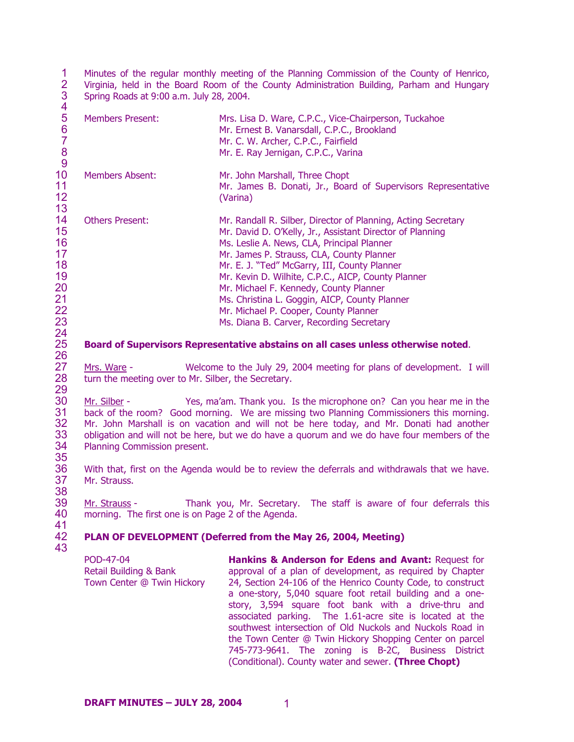1  $\mathcal{P}$ 3 Minutes of the regular monthly meeting of the Planning Commission of the County of Henrico, Virginia, held in the Board Room of the County Administration Building, Parham and Hungary Spring Roads at 9:00 a.m. July 28, 2004.

| 5<br>6<br>$\begin{array}{c} 8 \\ 9 \end{array}$                | <b>Members Present:</b> | Mrs. Lisa D. Ware, C.P.C., Vice-Chairperson, Tuckahoe<br>Mr. Ernest B. Vanarsdall, C.P.C., Brookland<br>Mr. C. W. Archer, C.P.C., Fairfield<br>Mr. E. Ray Jernigan, C.P.C., Varina                                                                                                                                                                                                                                                                                                                          |
|----------------------------------------------------------------|-------------------------|-------------------------------------------------------------------------------------------------------------------------------------------------------------------------------------------------------------------------------------------------------------------------------------------------------------------------------------------------------------------------------------------------------------------------------------------------------------------------------------------------------------|
| 10<br>11<br>12<br>13                                           | Members Absent:         | Mr. John Marshall, Three Chopt<br>Mr. James B. Donati, Jr., Board of Supervisors Representative<br>(Varina)                                                                                                                                                                                                                                                                                                                                                                                                 |
| 14<br>15<br>16<br>17<br>18<br>19<br>20<br>21<br>22<br>23<br>24 | <b>Others Present:</b>  | Mr. Randall R. Silber, Director of Planning, Acting Secretary<br>Mr. David D. O'Kelly, Jr., Assistant Director of Planning<br>Ms. Leslie A. News, CLA, Principal Planner<br>Mr. James P. Strauss, CLA, County Planner<br>Mr. E. J. "Ted" McGarry, III, County Planner<br>Mr. Kevin D. Wilhite, C.P.C., AICP, County Planner<br>Mr. Michael F. Kennedy, County Planner<br>Ms. Christina L. Goggin, AICP, County Planner<br>Mr. Michael P. Cooper, County Planner<br>Ms. Diana B. Carver, Recording Secretary |

## **Board of Supervisors Representative abstains on all cases unless otherwise noted**.

Mrs. Ware - Welcome to the July 29, 2004 meeting for plans of development. I will turn the meeting over to Mr. Silber, the Secretary.

30 31 32 33 34 35 Mr. Silber - Yes, ma'am. Thank you. Is the microphone on? Can you hear me in the back of the room? Good morning. We are missing two Planning Commissioners this morning. Mr. John Marshall is on vacation and will not be here today, and Mr. Donati had another obligation and will not be here, but we do have a quorum and we do have four members of the Planning Commission present.

36 37 38 With that, first on the Agenda would be to review the deferrals and withdrawals that we have. Mr. Strauss.

39 40 41 Mr. Strauss - Thank you, Mr. Secretary. The staff is aware of four deferrals this morning. The first one is on Page 2 of the Agenda.

### 42 **PLAN OF DEVELOPMENT (Deferred from the May 26, 2004, Meeting)**

43

25 26

27 28 29

4

POD-47-04 Retail Building & Bank Town Center @ Twin Hickory **Hankins & Anderson for Edens and Avant:** Request for approval of a plan of development, as required by Chapter 24, Section 24-106 of the Henrico County Code, to construct a one-story, 5,040 square foot retail building and a onestory, 3,594 square foot bank with a drive-thru and associated parking. The 1.61-acre site is located at the southwest intersection of Old Nuckols and Nuckols Road in the Town Center @ Twin Hickory Shopping Center on parcel 745-773-9641. The zoning is B-2C, Business District (Conditional). County water and sewer. **(Three Chopt)**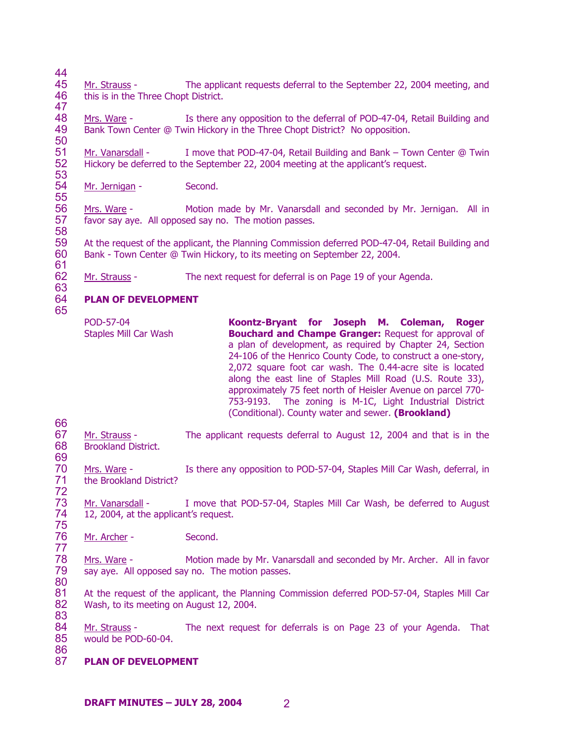44

47

50

61

63

65

66

69

86

45 46 Mr. Strauss - The applicant requests deferral to the September 22, 2004 meeting, and this is in the Three Chopt District.

48 49 Mrs. Ware - Is there any opposition to the deferral of POD-47-04, Retail Building and Bank Town Center @ Twin Hickory in the Three Chopt District? No opposition.

51 52 53 Mr. Vanarsdall - I move that POD-47-04, Retail Building and Bank – Town Center @ Twin Hickory be deferred to the September 22, 2004 meeting at the applicant's request.

54 55 Mr. Jernigan - Second.

56 57 58 Mrs. Ware - Motion made by Mr. Vanarsdall and seconded by Mr. Jernigan. All in favor say aye. All opposed say no. The motion passes.

59 60 At the request of the applicant, the Planning Commission deferred POD-47-04, Retail Building and Bank - Town Center @ Twin Hickory, to its meeting on September 22, 2004.

62 Mr. Strauss - The next request for deferral is on Page 19 of your Agenda.

### 64 **PLAN OF DEVELOPMENT**

POD-57-04 Staples Mill Car Wash **Koontz-Bryant for Joseph M. Coleman, Roger Bouchard and Champe Granger:** Request for approval of a plan of development, as required by Chapter 24, Section 24-106 of the Henrico County Code, to construct a one-story, 2,072 square foot car wash. The 0.44-acre site is located along the east line of Staples Mill Road (U.S. Route 33), approximately 75 feet north of Heisler Avenue on parcel 770- 753-9193. The zoning is M-1C, Light Industrial District (Conditional). County water and sewer. **(Brookland)**

67 68 Mr. Strauss - The applicant requests deferral to August 12, 2004 and that is in the Brookland District.

70 71 72 Mrs. Ware - Is there any opposition to POD-57-04, Staples Mill Car Wash, deferral, in the Brookland District?

73 74 75 Mr. Vanarsdall - I move that POD-57-04, Staples Mill Car Wash, be deferred to August 12, 2004, at the applicant's request.

76 77 Mr. Archer - Second.

78 79 80 Mrs. Ware - Motion made by Mr. Vanarsdall and seconded by Mr. Archer. All in favor say aye. All opposed say no. The motion passes.

81 82 83 At the request of the applicant, the Planning Commission deferred POD-57-04, Staples Mill Car Wash, to its meeting on August 12, 2004.

84 85 Mr. Strauss - The next request for deferrals is on Page 23 of your Agenda. That would be POD-60-04.

87 **PLAN OF DEVELOPMENT**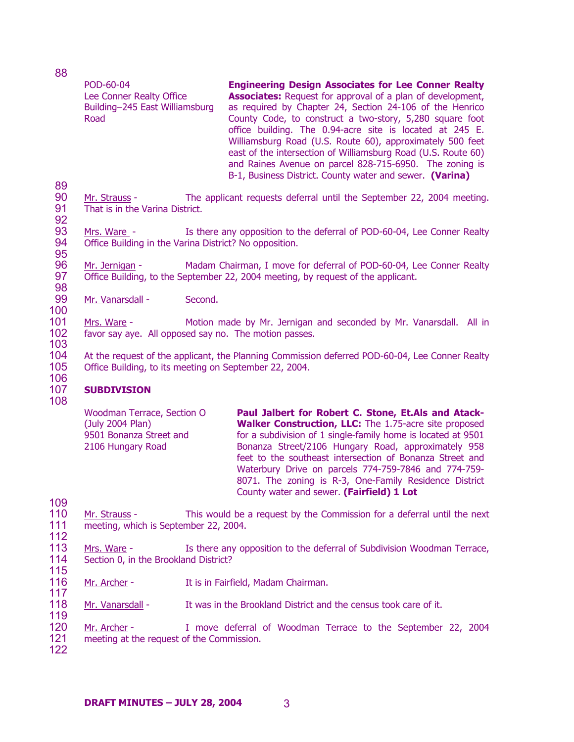| 88                |                                                                                                |                                                                                                                                                                                                                                                                                                                                                                                                                                                                                                                                                                          |
|-------------------|------------------------------------------------------------------------------------------------|--------------------------------------------------------------------------------------------------------------------------------------------------------------------------------------------------------------------------------------------------------------------------------------------------------------------------------------------------------------------------------------------------------------------------------------------------------------------------------------------------------------------------------------------------------------------------|
| 89                | POD-60-04<br>Lee Conner Realty Office<br>Building-245 East Williamsburg<br>Road                | <b>Engineering Design Associates for Lee Conner Realty</b><br><b>Associates:</b> Request for approval of a plan of development,<br>as required by Chapter 24, Section 24-106 of the Henrico<br>County Code, to construct a two-story, 5,280 square foot<br>office building. The 0.94-acre site is located at 245 E.<br>Williamsburg Road (U.S. Route 60), approximately 500 feet<br>east of the intersection of Williamsburg Road (U.S. Route 60)<br>and Raines Avenue on parcel 828-715-6950. The zoning is<br>B-1, Business District. County water and sewer. (Varina) |
| 90<br>91<br>92    | That is in the Varina District.                                                                | Mr. Strauss - The applicant requests deferral until the September 22, 2004 meeting.                                                                                                                                                                                                                                                                                                                                                                                                                                                                                      |
| 93<br>94<br>95    | Mrs. Ware -<br>Office Building in the Varina District? No opposition.                          | Is there any opposition to the deferral of POD-60-04, Lee Conner Realty                                                                                                                                                                                                                                                                                                                                                                                                                                                                                                  |
| 96<br>97<br>98    | Mr. Jernigan -                                                                                 | Madam Chairman, I move for deferral of POD-60-04, Lee Conner Realty<br>Office Building, to the September 22, 2004 meeting, by request of the applicant.                                                                                                                                                                                                                                                                                                                                                                                                                  |
| 99<br>100         | Second.<br>Mr. Vanarsdall -                                                                    |                                                                                                                                                                                                                                                                                                                                                                                                                                                                                                                                                                          |
| 101<br>102<br>103 | Mrs. Ware -<br>favor say aye. All opposed say no. The motion passes.                           | Motion made by Mr. Jernigan and seconded by Mr. Vanarsdall. All in                                                                                                                                                                                                                                                                                                                                                                                                                                                                                                       |
| 104<br>105        | Office Building, to its meeting on September 22, 2004.                                         | At the request of the applicant, the Planning Commission deferred POD-60-04, Lee Conner Realty                                                                                                                                                                                                                                                                                                                                                                                                                                                                           |
| 106<br>107        | <b>SUBDIVISION</b>                                                                             |                                                                                                                                                                                                                                                                                                                                                                                                                                                                                                                                                                          |
| 108               | Woodman Terrace, Section O<br>(July 2004 Plan)<br>9501 Bonanza Street and<br>2106 Hungary Road | Paul Jalbert for Robert C. Stone, Et.Als and Atack-<br>Walker Construction, LLC: The 1.75-acre site proposed<br>for a subdivision of 1 single-family home is located at 9501<br>Bonanza Street/2106 Hungary Road, approximately 958<br>feet to the southeast intersection of Bonanza Street and<br>Waterbury Drive on parcels 774-759-7846 and 774-759-<br>8071. The zoning is R-3, One-Family Residence District<br>County water and sewer. (Fairfield) 1 Lot                                                                                                           |
| 109               |                                                                                                |                                                                                                                                                                                                                                                                                                                                                                                                                                                                                                                                                                          |

115

110 111 112 Mr. Strauss - This would be a request by the Commission for a deferral until the next meeting, which is September 22, 2004.

- 113 114 Mrs. Ware - Is there any opposition to the deferral of Subdivision Woodman Terrace, Section 0, in the Brookland District?
- 116 117 Mr. Archer - It is in Fairfield, Madam Chairman.
- 118 119 Mr. Vanarsdall - It was in the Brookland District and the census took care of it.
- 120 121 Mr. Archer - I move deferral of Woodman Terrace to the September 22, 2004 meeting at the request of the Commission.
- 122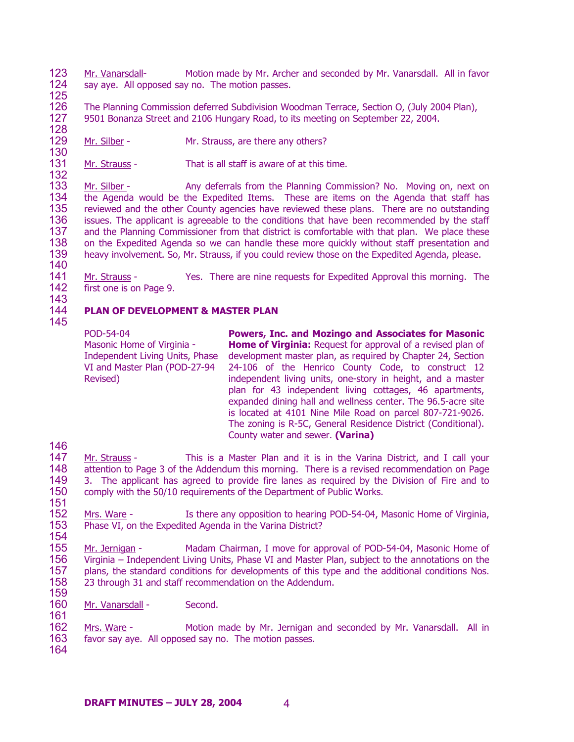123 124 Mr. Vanarsdall- Motion made by Mr. Archer and seconded by Mr. Vanarsdall. All in favor say aye. All opposed say no. The motion passes.

125

132

126 127 128 The Planning Commission deferred Subdivision Woodman Terrace, Section O, (July 2004 Plan), 9501 Bonanza Street and 2106 Hungary Road, to its meeting on September 22, 2004.

129 130 Mr. Silber - Mr. Strauss, are there any others?

131 Mr. Strauss - That is all staff is aware of at this time.

133 134 135 136 137 138 139 140 Mr. Silber - Any deferrals from the Planning Commission? No. Moving on, next on the Agenda would be the Expedited Items. These are items on the Agenda that staff has reviewed and the other County agencies have reviewed these plans. There are no outstanding issues. The applicant is agreeable to the conditions that have been recommended by the staff and the Planning Commissioner from that district is comfortable with that plan. We place these on the Expedited Agenda so we can handle these more quickly without staff presentation and heavy involvement. So, Mr. Strauss, if you could review those on the Expedited Agenda, please.

141 142 Mr. Strauss - Yes. There are nine requests for Expedited Approval this morning. The first one is on Page 9.

143

146

151

### 144 145 **PLAN OF DEVELOPMENT & MASTER PLAN**

POD-54-04 Masonic Home of Virginia - Independent Living Units, Phase VI and Master Plan (POD-27-94 Revised)

**Powers, Inc. and Mozingo and Associates for Masonic Home of Virginia:** Request for approval of a revised plan of development master plan, as required by Chapter 24, Section 24-106 of the Henrico County Code, to construct 12 independent living units, one-story in height, and a master plan for 43 independent living cottages, 46 apartments, expanded dining hall and wellness center. The 96.5-acre site is located at 4101 Nine Mile Road on parcel 807-721-9026. The zoning is R-5C, General Residence District (Conditional). County water and sewer. **(Varina)** 

147 148 149 150 Mr. Strauss - This is a Master Plan and it is in the Varina District, and I call your attention to Page 3 of the Addendum this morning. There is a revised recommendation on Page 3. The applicant has agreed to provide fire lanes as required by the Division of Fire and to comply with the 50/10 requirements of the Department of Public Works.

152 153 154 Mrs. Ware - Is there any opposition to hearing POD-54-04, Masonic Home of Virginia, Phase VI, on the Expedited Agenda in the Varina District?

155 156 157 158 159 Mr. Jernigan - Madam Chairman, I move for approval of POD-54-04, Masonic Home of Virginia – Independent Living Units, Phase VI and Master Plan, subject to the annotations on the plans, the standard conditions for developments of this type and the additional conditions Nos. 23 through 31 and staff recommendation on the Addendum.

160 Mr. Vanarsdall - Second.

162 163 Mrs. Ware - Motion made by Mr. Jernigan and seconded by Mr. Vanarsdall. All in favor say aye. All opposed say no. The motion passes.

164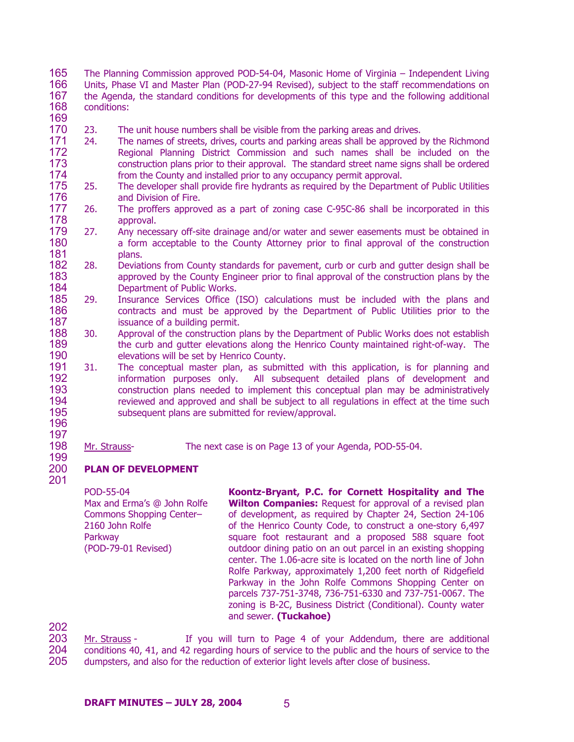- 165 166 167 168 The Planning Commission approved POD-54-04, Masonic Home of Virginia – Independent Living Units, Phase VI and Master Plan (POD-27-94 Revised), subject to the staff recommendations on the Agenda, the standard conditions for developments of this type and the following additional conditions:
- 169
- 170 23. The unit house numbers shall be visible from the parking areas and drives.
- 171 172 173 174 24. The names of streets, drives, courts and parking areas shall be approved by the Richmond Regional Planning District Commission and such names shall be included on the construction plans prior to their approval. The standard street name signs shall be ordered from the County and installed prior to any occupancy permit approval.
- 175 176 25. The developer shall provide fire hydrants as required by the Department of Public Utilities and Division of Fire.
- 177 178 26. The proffers approved as a part of zoning case C-95C-86 shall be incorporated in this approval.
- 179 180 181 27. Any necessary off-site drainage and/or water and sewer easements must be obtained in a form acceptable to the County Attorney prior to final approval of the construction plans.
- 182 183 184 28. Deviations from County standards for pavement, curb or curb and gutter design shall be approved by the County Engineer prior to final approval of the construction plans by the Department of Public Works.
- 185 186 187 29. Insurance Services Office (ISO) calculations must be included with the plans and contracts and must be approved by the Department of Public Utilities prior to the issuance of a building permit.
- 188 189 190 30. Approval of the construction plans by the Department of Public Works does not establish the curb and gutter elevations along the Henrico County maintained right-of-way. The elevations will be set by Henrico County.
- 191 192 193 194 195 31. The conceptual master plan, as submitted with this application, is for planning and information purposes only. All subsequent detailed plans of development and construction plans needed to implement this conceptual plan may be administratively reviewed and approved and shall be subject to all regulations in effect at the time such subsequent plans are submitted for review/approval.
- 196 197

201

198 199

Mr. Strauss- The next case is on Page 13 of your Agenda, POD-55-04.

200 **PLAN OF DEVELOPMENT** 

> POD-55-04 Max and Erma's @ John Rolfe Commons Shopping Center– 2160 John Rolfe Parkway (POD-79-01 Revised)

**Koontz-Bryant, P.C. for Cornett Hospitality and The Wilton Companies:** Request for approval of a revised plan of development, as required by Chapter 24, Section 24-106 of the Henrico County Code, to construct a one-story 6,497 square foot restaurant and a proposed 588 square foot outdoor dining patio on an out parcel in an existing shopping center. The 1.06-acre site is located on the north line of John Rolfe Parkway, approximately 1,200 feet north of Ridgefield Parkway in the John Rolfe Commons Shopping Center on parcels 737-751-3748, 736-751-6330 and 737-751-0067. The zoning is B-2C, Business District (Conditional). County water and sewer. **(Tuckahoe)** 

202

Mr. Strauss - If you will turn to Page 4 of your Addendum, there are additional conditions 40, 41, and 42 regarding hours of service to the public and the hours of service to the dumpsters, and also for the reduction of exterior light levels after close of business. 203 204 205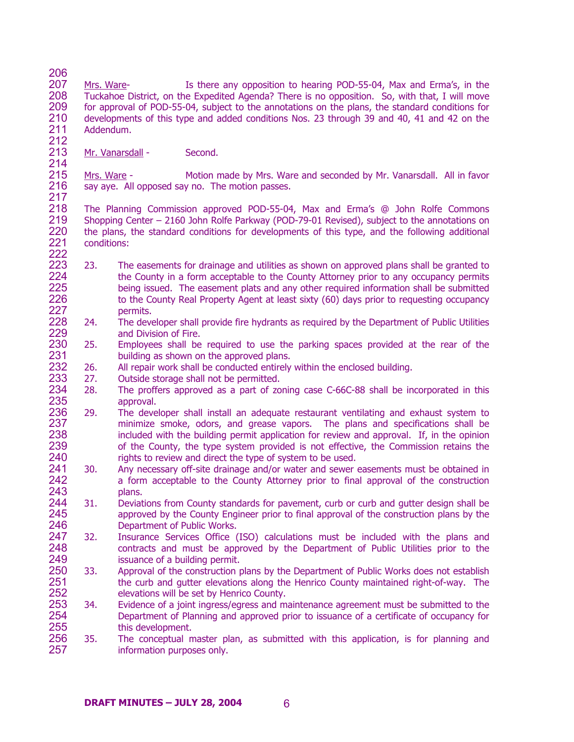- 206 207 208 209 210 211 212 Mrs. Ware- Is there any opposition to hearing POD-55-04, Max and Erma's, in the Tuckahoe District, on the Expedited Agenda? There is no opposition. So, with that, I will move for approval of POD-55-04, subject to the annotations on the plans, the standard conditions for developments of this type and added conditions Nos. 23 through 39 and 40, 41 and 42 on the Addendum.
- 213 214 Mr. Vanarsdall - Second.

215 216 217 Mrs. Ware - Motion made by Mrs. Ware and seconded by Mr. Vanarsdall. All in favor say aye. All opposed say no. The motion passes.

- 218 219 220 221 222 The Planning Commission approved POD-55-04, Max and Erma's @ John Rolfe Commons Shopping Center – 2160 John Rolfe Parkway (POD-79-01 Revised), subject to the annotations on the plans, the standard conditions for developments of this type, and the following additional conditions:
- 223 224 225 226 227 23. The easements for drainage and utilities as shown on approved plans shall be granted to the County in a form acceptable to the County Attorney prior to any occupancy permits being issued. The easement plats and any other required information shall be submitted to the County Real Property Agent at least sixty (60) days prior to requesting occupancy permits.
- 228 229 24. The developer shall provide fire hydrants as required by the Department of Public Utilities and Division of Fire.
- 230 231 25. Employees shall be required to use the parking spaces provided at the rear of the building as shown on the approved plans.
- 232 26. All repair work shall be conducted entirely within the enclosed building.
- 233 27. Outside storage shall not be permitted.
- 234 235 28. The proffers approved as a part of zoning case C-66C-88 shall be incorporated in this approval.
- 236 237 238 239 240 29. The developer shall install an adequate restaurant ventilating and exhaust system to minimize smoke, odors, and grease vapors. The plans and specifications shall be included with the building permit application for review and approval. If, in the opinion of the County, the type system provided is not effective, the Commission retains the rights to review and direct the type of system to be used.
- 241 242 243 30. Any necessary off-site drainage and/or water and sewer easements must be obtained in a form acceptable to the County Attorney prior to final approval of the construction plans.
- 244 245 246 31. Deviations from County standards for pavement, curb or curb and gutter design shall be approved by the County Engineer prior to final approval of the construction plans by the Department of Public Works.
- 247 248 249 32. Insurance Services Office (ISO) calculations must be included with the plans and contracts and must be approved by the Department of Public Utilities prior to the issuance of a building permit.
- 250 251 252 33. Approval of the construction plans by the Department of Public Works does not establish the curb and gutter elevations along the Henrico County maintained right-of-way. The elevations will be set by Henrico County.
- 253 254 255 34. Evidence of a joint ingress/egress and maintenance agreement must be submitted to the Department of Planning and approved prior to issuance of a certificate of occupancy for this development.
- 256 257 35. The conceptual master plan, as submitted with this application, is for planning and information purposes only.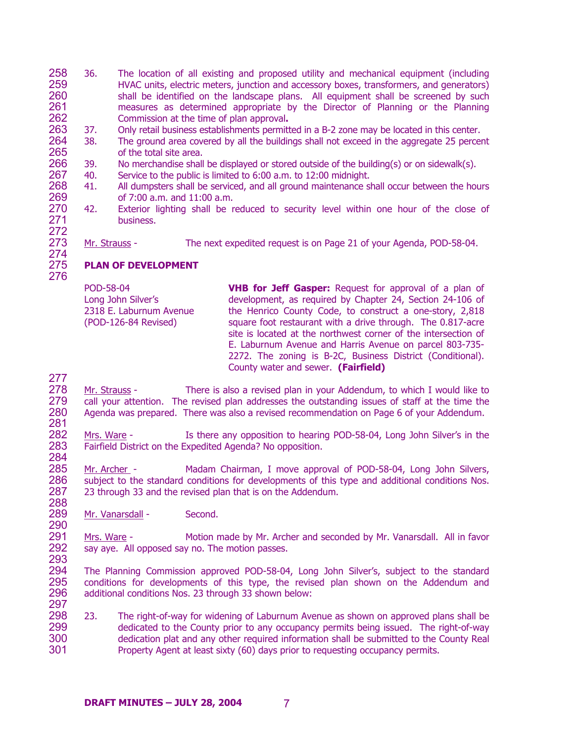- 258 259 260 261 262 36. The location of all existing and proposed utility and mechanical equipment (including HVAC units, electric meters, junction and accessory boxes, transformers, and generators) shall be identified on the landscape plans. All equipment shall be screened by such measures as determined appropriate by the Director of Planning or the Planning Commission at the time of plan approval**.**
- 263 37. Only retail business establishments permitted in a B-2 zone may be located in this center.
- 264 265 38. The ground area covered by all the buildings shall not exceed in the aggregate 25 percent of the total site area.
- 266 39. No merchandise shall be displayed or stored outside of the building(s) or on sidewalk(s).
- 267 40. Service to the public is limited to 6:00 a.m. to 12:00 midnight.
- 268 269 41. All dumpsters shall be serviced, and all ground maintenance shall occur between the hours of 7:00 a.m. and 11:00 a.m.
- 270 271 272 42. Exterior lighting shall be reduced to security level within one hour of the close of business.
- 273 274 Mr. Strauss - The next expedited request is on Page 21 of your Agenda, POD-58-04.

# **PLAN OF DEVELOPMENT**

POD-58-04 Long John Silver's 2318 E. Laburnum Avenue (POD-126-84 Revised)

**VHB for Jeff Gasper:** Request for approval of a plan of development, as required by Chapter 24, Section 24-106 of the Henrico County Code, to construct a one-story, 2,818 square foot restaurant with a drive through. The 0.817-acre site is located at the northwest corner of the intersection of E. Laburnum Avenue and Harris Avenue on parcel 803-735- 2272. The zoning is B-2C, Business District (Conditional). County water and sewer. **(Fairfield)** 

277

290

- 278 279 280 281 Mr. Strauss - There is also a revised plan in your Addendum, to which I would like to call your attention. The revised plan addresses the outstanding issues of staff at the time the Agenda was prepared. There was also a revised recommendation on Page 6 of your Addendum.
- 282 283 284 Mrs. Ware - Is there any opposition to hearing POD-58-04, Long John Silver's in the Fairfield District on the Expedited Agenda? No opposition.
- 285 286 287 288 Mr. Archer - Madam Chairman, I move approval of POD-58-04, Long John Silvers, subject to the standard conditions for developments of this type and additional conditions Nos. 23 through 33 and the revised plan that is on the Addendum.
- 289 Mr. Vanarsdall - Second.
- 291 292 293 Mrs. Ware - Motion made by Mr. Archer and seconded by Mr. Vanarsdall. All in favor say aye. All opposed say no. The motion passes.
- 294 295 296 297 The Planning Commission approved POD-58-04, Long John Silver's, subject to the standard conditions for developments of this type, the revised plan shown on the Addendum and additional conditions Nos. 23 through 33 shown below:
- 298 299 300 301 23. The right-of-way for widening of Laburnum Avenue as shown on approved plans shall be dedicated to the County prior to any occupancy permits being issued. The right-of-way dedication plat and any other required information shall be submitted to the County Real Property Agent at least sixty (60) days prior to requesting occupancy permits.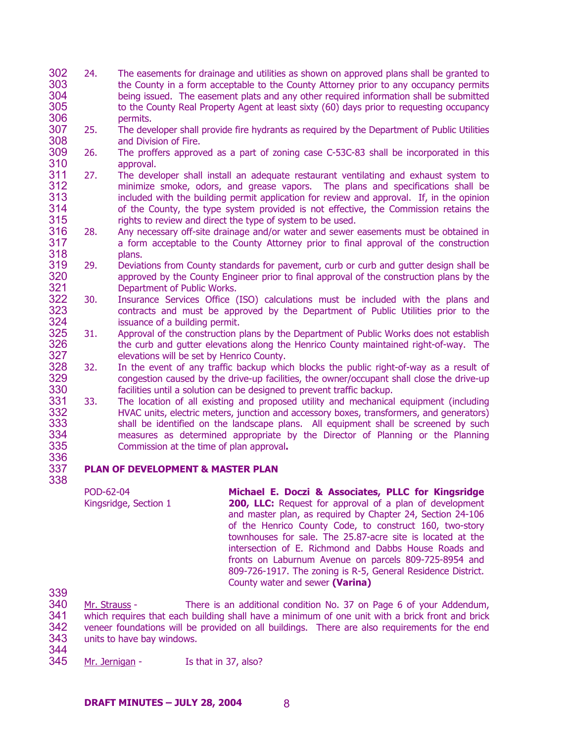- 302 303 304 305 306 24. The easements for drainage and utilities as shown on approved plans shall be granted to the County in a form acceptable to the County Attorney prior to any occupancy permits being issued. The easement plats and any other required information shall be submitted to the County Real Property Agent at least sixty (60) days prior to requesting occupancy permits.
- 307 308 25. The developer shall provide fire hydrants as required by the Department of Public Utilities and Division of Fire.
- 309 310 26. The proffers approved as a part of zoning case C-53C-83 shall be incorporated in this approval.
- 311 312 313 314 315 27. The developer shall install an adequate restaurant ventilating and exhaust system to minimize smoke, odors, and grease vapors. The plans and specifications shall be included with the building permit application for review and approval. If, in the opinion of the County, the type system provided is not effective, the Commission retains the rights to review and direct the type of system to be used.
- 316 317 318 28. Any necessary off-site drainage and/or water and sewer easements must be obtained in a form acceptable to the County Attorney prior to final approval of the construction plans.
- 319 320 321 29. Deviations from County standards for pavement, curb or curb and gutter design shall be approved by the County Engineer prior to final approval of the construction plans by the Department of Public Works.
- 322 323 324 30. Insurance Services Office (ISO) calculations must be included with the plans and contracts and must be approved by the Department of Public Utilities prior to the issuance of a building permit.
- 325 326 327 31. Approval of the construction plans by the Department of Public Works does not establish the curb and gutter elevations along the Henrico County maintained right-of-way. The elevations will be set by Henrico County.
- 328 329 330 32. In the event of any traffic backup which blocks the public right-of-way as a result of congestion caused by the drive-up facilities, the owner/occupant shall close the drive-up facilities until a solution can be designed to prevent traffic backup.
- 331 332 333 334 335 336 33. The location of all existing and proposed utility and mechanical equipment (including HVAC units, electric meters, junction and accessory boxes, transformers, and generators) shall be identified on the landscape plans. All equipment shall be screened by such measures as determined appropriate by the Director of Planning or the Planning Commission at the time of plan approval**.**

# **PLAN OF DEVELOPMENT & MASTER PLAN**

POD-62-04 Kingsridge, Section 1 **Michael E. Doczi & Associates, PLLC for Kingsridge 200, LLC:** Request for approval of a plan of development and master plan, as required by Chapter 24, Section 24-106 of the Henrico County Code, to construct 160, two-story townhouses for sale. The 25.87-acre site is located at the intersection of E. Richmond and Dabbs House Roads and fronts on Laburnum Avenue on parcels 809-725-8954 and 809-726-1917. The zoning is R-5, General Residence District. County water and sewer **(Varina)** 

339

337 338

340 341 342 343 Mr. Strauss - There is an additional condition No. 37 on Page 6 of your Addendum, which requires that each building shall have a minimum of one unit with a brick front and brick veneer foundations will be provided on all buildings. There are also requirements for the end units to have bay windows.

344<br>345 Mr. Jernigan - Is that in 37, also?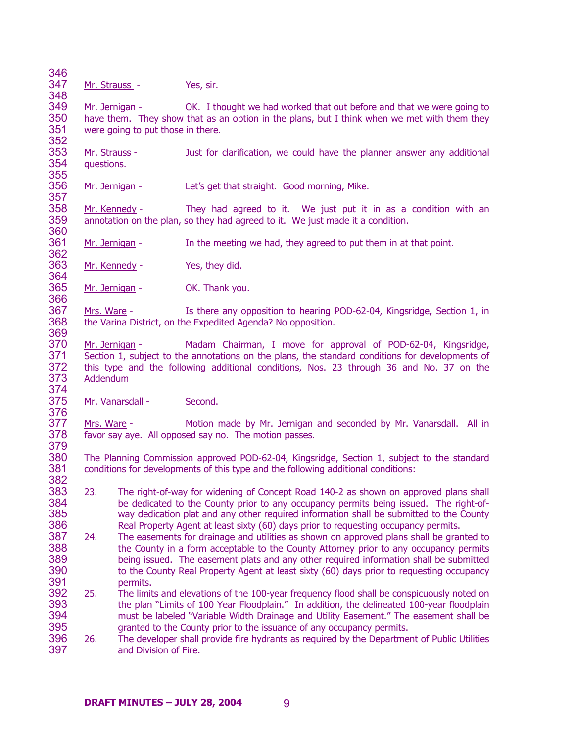346

348

366

369

347 Mr. Strauss - Yes, sir.

349 350 351 352 Mr. Jernigan - OK. I thought we had worked that out before and that we were going to have them. They show that as an option in the plans, but I think when we met with them they were going to put those in there.

353 354 355 Mr. Strauss - Just for clarification, we could have the planner answer any additional questions.

356 357 Mr. Jernigan - Let's get that straight. Good morning, Mike.

358 359 360 Mr. Kennedy - They had agreed to it. We just put it in as a condition with an annotation on the plan, so they had agreed to it. We just made it a condition.

361 362 Mr. Jernigan - In the meeting we had, they agreed to put them in at that point.

363 364 Mr. Kennedy - Yes, they did.

365 Mr. Jernigan - OK. Thank you.

367 368 Mrs. Ware - Is there any opposition to hearing POD-62-04, Kingsridge, Section 1, in the Varina District, on the Expedited Agenda? No opposition.

370 371 372 373 374 Mr. Jernigan - Madam Chairman, I move for approval of POD-62-04, Kingsridge, Section 1, subject to the annotations on the plans, the standard conditions for developments of this type and the following additional conditions, Nos. 23 through 36 and No. 37 on the Addendum

375 376 Mr. Vanarsdall - Second.

377 378 379 Mrs. Ware - Motion made by Mr. Jernigan and seconded by Mr. Vanarsdall. All in favor say aye. All opposed say no. The motion passes.

380 381 382 The Planning Commission approved POD-62-04, Kingsridge, Section 1, subject to the standard conditions for developments of this type and the following additional conditions:

- 383 384 385 386 23. The right-of-way for widening of Concept Road 140-2 as shown on approved plans shall be dedicated to the County prior to any occupancy permits being issued. The right-ofway dedication plat and any other required information shall be submitted to the County Real Property Agent at least sixty (60) days prior to requesting occupancy permits.
- 387 388 389 390 391 24. The easements for drainage and utilities as shown on approved plans shall be granted to the County in a form acceptable to the County Attorney prior to any occupancy permits being issued. The easement plats and any other required information shall be submitted to the County Real Property Agent at least sixty (60) days prior to requesting occupancy permits.
- 392 393 394 395 25. The limits and elevations of the 100-year frequency flood shall be conspicuously noted on the plan "Limits of 100 Year Floodplain." In addition, the delineated 100-year floodplain must be labeled "Variable Width Drainage and Utility Easement." The easement shall be granted to the County prior to the issuance of any occupancy permits.
- 396 397 26. The developer shall provide fire hydrants as required by the Department of Public Utilities and Division of Fire.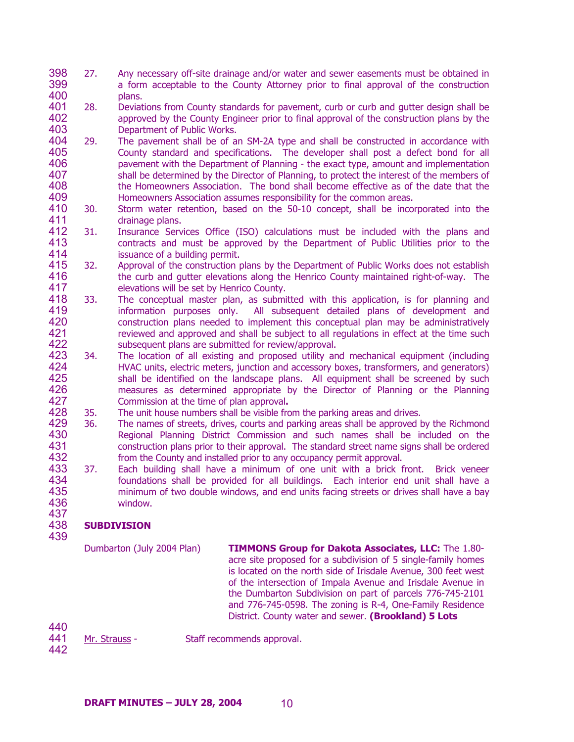- 398 399 400 27. Any necessary off-site drainage and/or water and sewer easements must be obtained in a form acceptable to the County Attorney prior to final approval of the construction plans.
- 401 402 403 28. Deviations from County standards for pavement, curb or curb and gutter design shall be approved by the County Engineer prior to final approval of the construction plans by the Department of Public Works.
- 404 405 406 407 408 409 29. The pavement shall be of an SM-2A type and shall be constructed in accordance with County standard and specifications. The developer shall post a defect bond for all pavement with the Department of Planning - the exact type, amount and implementation shall be determined by the Director of Planning, to protect the interest of the members of the Homeowners Association. The bond shall become effective as of the date that the Homeowners Association assumes responsibility for the common areas.
- 410 411 30. Storm water retention, based on the 50-10 concept, shall be incorporated into the drainage plans.
- 412 413 414 31. Insurance Services Office (ISO) calculations must be included with the plans and contracts and must be approved by the Department of Public Utilities prior to the issuance of a building permit.
- 415 416 417 32. Approval of the construction plans by the Department of Public Works does not establish the curb and gutter elevations along the Henrico County maintained right-of-way. The elevations will be set by Henrico County.
- 418 419 420 421 422 33. The conceptual master plan, as submitted with this application, is for planning and information purposes only. All subsequent detailed plans of development and construction plans needed to implement this conceptual plan may be administratively reviewed and approved and shall be subject to all regulations in effect at the time such subsequent plans are submitted for review/approval.
- 423 424 425 426 427 34. The location of all existing and proposed utility and mechanical equipment (including HVAC units, electric meters, junction and accessory boxes, transformers, and generators) shall be identified on the landscape plans. All equipment shall be screened by such measures as determined appropriate by the Director of Planning or the Planning Commission at the time of plan approval**.**
- 428 35. The unit house numbers shall be visible from the parking areas and drives.
- 429 430 431 432 36. The names of streets, drives, courts and parking areas shall be approved by the Richmond Regional Planning District Commission and such names shall be included on the construction plans prior to their approval. The standard street name signs shall be ordered from the County and installed prior to any occupancy permit approval.
- 433 434 435 436 437 37. Each building shall have a minimum of one unit with a brick front. Brick veneer foundations shall be provided for all buildings. Each interior end unit shall have a minimum of two double windows, and end units facing streets or drives shall have a bay window.

## 438 439 **SUBDIVISION**

Dumbarton (July 2004 Plan) **TIMMONS Group for Dakota Associates, LLC:** The 1.80 acre site proposed for a subdivision of 5 single-family homes is located on the north side of Irisdale Avenue, 300 feet west of the intersection of Impala Avenue and Irisdale Avenue in the Dumbarton Subdivision on part of parcels 776-745-2101 and 776-745-0598. The zoning is R-4, One-Family Residence District. County water and sewer. **(Brookland) 5 Lots**

440

441

Mr. Strauss - Staff recommends approval.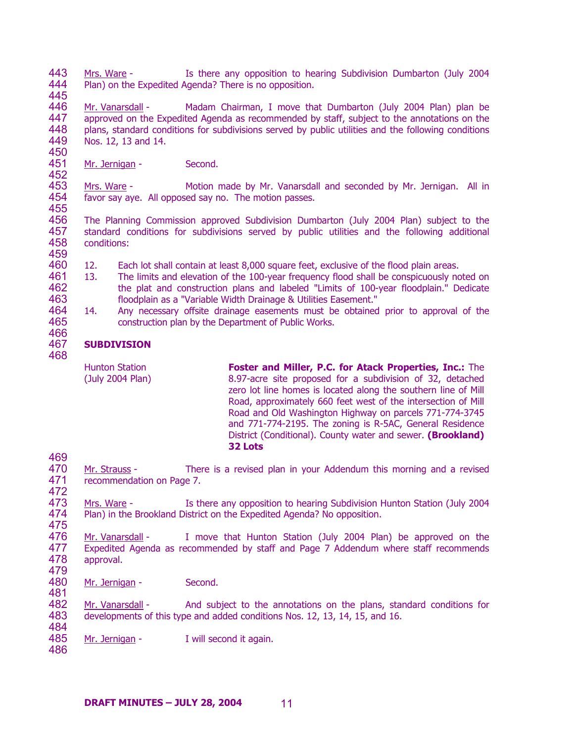443 444 Mrs. Ware - Is there any opposition to hearing Subdivision Dumbarton (July 2004 Plan) on the Expedited Agenda? There is no opposition.

445

466

469

446 447 448 449 450 Mr. Vanarsdall - Madam Chairman, I move that Dumbarton (July 2004 Plan) plan be approved on the Expedited Agenda as recommended by staff, subject to the annotations on the plans, standard conditions for subdivisions served by public utilities and the following conditions Nos. 12, 13 and 14.

451 452 Mr. Jernigan - Second.

453 454 455 Mrs. Ware - Motion made by Mr. Vanarsdall and seconded by Mr. Jernigan. All in favor say aye. All opposed say no. The motion passes.

456 457 458 459 The Planning Commission approved Subdivision Dumbarton (July 2004 Plan) subject to the standard conditions for subdivisions served by public utilities and the following additional conditions:

- 460 12. Each lot shall contain at least 8,000 square feet, exclusive of the flood plain areas.
- 461 462 463 13. The limits and elevation of the 100-year frequency flood shall be conspicuously noted on the plat and construction plans and labeled "Limits of 100-year floodplain." Dedicate floodplain as a "Variable Width Drainage & Utilities Easement."
- 464 465 14. Any necessary offsite drainage easements must be obtained prior to approval of the construction plan by the Department of Public Works.

### 467 468 **SUBDIVISION**

Hunton Station (July 2004 Plan) **Foster and Miller, P.C. for Atack Properties, Inc.:** The 8.97-acre site proposed for a subdivision of 32, detached zero lot line homes is located along the southern line of Mill Road, approximately 660 feet west of the intersection of Mill Road and Old Washington Highway on parcels 771-774-3745 and 771-774-2195. The zoning is R-5AC, General Residence District (Conditional). County water and sewer. **(Brookland) 32 Lots** 

- 470 471 472 Mr. Strauss - There is a revised plan in your Addendum this morning and a revised recommendation on Page 7.
- 473 474 475 Mrs. Ware - Is there any opposition to hearing Subdivision Hunton Station (July 2004 Plan) in the Brookland District on the Expedited Agenda? No opposition.
- 476 477 478 479 Mr. Vanarsdall - I move that Hunton Station (July 2004 Plan) be approved on the Expedited Agenda as recommended by staff and Page 7 Addendum where staff recommends approval.
- 480 Mr. Jernigan - Second.
- 482 483 484 Mr. Vanarsdall - And subject to the annotations on the plans, standard conditions for developments of this type and added conditions Nos. 12, 13, 14, 15, and 16.
- 485 Mr. Jernigan - I will second it again.
- 486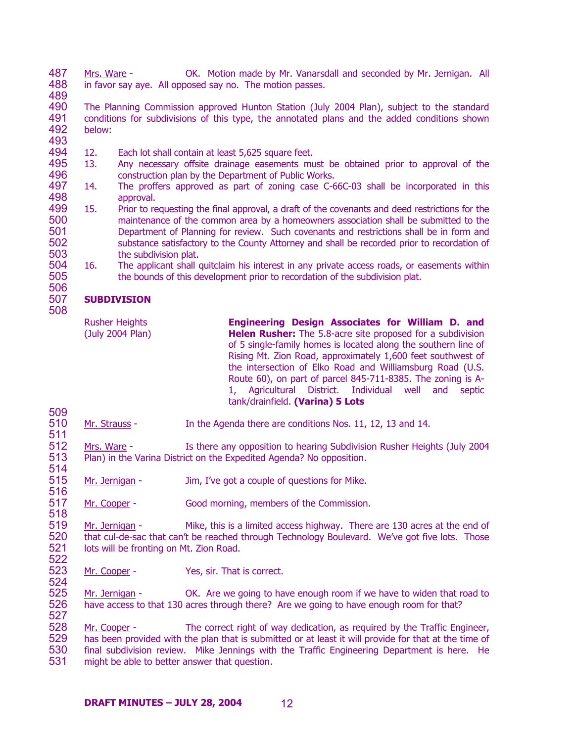487 488 Mrs. Ware - OK. Motion made by Mr. Vanarsdall and seconded by Mr. Jernigan. All in favor say aye. All opposed say no. The motion passes.

489

490 491 492 The Planning Commission approved Hunton Station (July 2004 Plan), subject to the standard conditions for subdivisions of this type, the annotated plans and the added conditions shown below:

493

509

518

494 12. Each lot shall contain at least 5,625 square feet.

- 495 496 13. Any necessary offsite drainage easements must be obtained prior to approval of the construction plan by the Department of Public Works.
- 497 498 14. The proffers approved as part of zoning case C-66C-03 shall be incorporated in this approval.
- 499 500 501 502 503 15. Prior to requesting the final approval, a draft of the covenants and deed restrictions for the maintenance of the common area by a homeowners association shall be submitted to the Department of Planning for review. Such covenants and restrictions shall be in form and substance satisfactory to the County Attorney and shall be recorded prior to recordation of the subdivision plat.
- 504 505 506 16. The applicant shall quitclaim his interest in any private access roads, or easements within the bounds of this development prior to recordation of the subdivision plat.

## 507 508 **SUBDIVISION**

| <b>Rusher Heights</b><br>(July 2004 Plan) | Engineering Design Associates for William D. and<br>Helen Rusher: The 5.8-acre site proposed for a subdivision<br>of 5 single-family homes is located along the southern line of<br>Rising Mt. Zion Road, approximately 1,600 feet southwest of<br>the intersection of Elko Road and Williamsburg Road (U.S.<br>Route 60), on part of parcel 845-711-8385. The zoning is A-<br>1, Agricultural District. Individual well and<br>septic<br>tank/drainfield. (Varina) 5 Lots |
|-------------------------------------------|----------------------------------------------------------------------------------------------------------------------------------------------------------------------------------------------------------------------------------------------------------------------------------------------------------------------------------------------------------------------------------------------------------------------------------------------------------------------------|
|                                           |                                                                                                                                                                                                                                                                                                                                                                                                                                                                            |

510 511 Mr. Strauss - In the Agenda there are conditions Nos. 11, 12, 13 and 14.

512 513 514 Mrs. Ware - Is there any opposition to hearing Subdivision Rusher Heights (July 2004 Plan) in the Varina District on the Expedited Agenda? No opposition.

515 516 Mr. Jernigan - Jim, I've got a couple of questions for Mike.

517 Mr. Cooper - Good morning, members of the Commission.

519 520 521 522 Mr. Jernigan - Mike, this is a limited access highway. There are 130 acres at the end of that cul-de-sac that can't be reached through Technology Boulevard. We've got five lots. Those lots will be fronting on Mt. Zion Road.

523 524 Mr. Cooper - Yes, sir. That is correct.

525 526 527 Mr. Jernigan - OK. Are we going to have enough room if we have to widen that road to have access to that 130 acres through there? Are we going to have enough room for that?

Mr. Cooper - The correct right of way dedication, as required by the Traffic Engineer, has been provided with the plan that is submitted or at least it will provide for that at the time of final subdivision review. Mike Jennings with the Traffic Engineering Department is here. He might be able to better answer that question. 528 529 530 531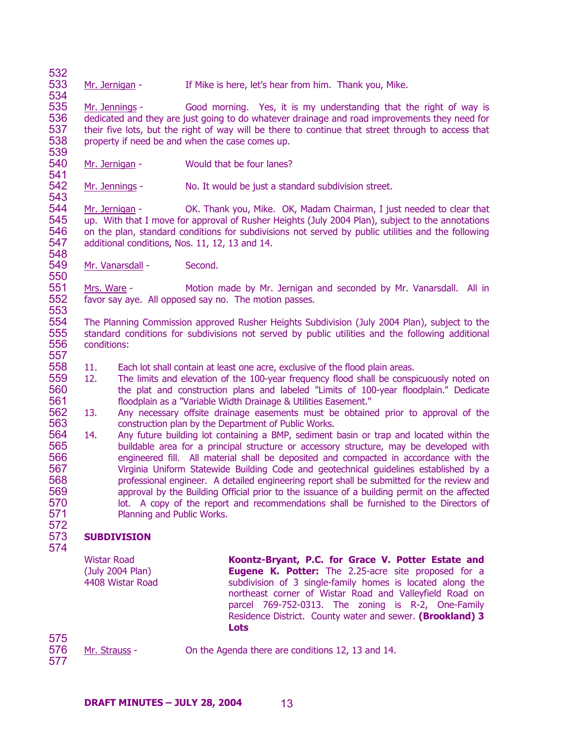533 534 Mr. Jernigan - If Mike is here, let's hear from him. Thank you, Mike.

535 536 537 538 539 Mr. Jennings - Good morning. Yes, it is my understanding that the right of way is dedicated and they are just going to do whatever drainage and road improvements they need for their five lots, but the right of way will be there to continue that street through to access that property if need be and when the case comes up.

540 541 Mr. Jernigan - Would that be four lanes?

542 543 Mr. Jennings - No. It would be just a standard subdivision street.

544 545 546 547 548 Mr. Jernigan - OK. Thank you, Mike. OK, Madam Chairman, I just needed to clear that up. With that I move for approval of Rusher Heights (July 2004 Plan), subject to the annotations on the plan, standard conditions for subdivisions not served by public utilities and the following additional conditions, Nos. 11, 12, 13 and 14.

549 Mr. Vanarsdall - Second.

551 552 553 Mrs. Ware - Motion made by Mr. Jernigan and seconded by Mr. Vanarsdall. All in favor say aye. All opposed say no. The motion passes.

554 555 556 557 The Planning Commission approved Rusher Heights Subdivision (July 2004 Plan), subject to the standard conditions for subdivisions not served by public utilities and the following additional conditions:

- 558 11. Each lot shall contain at least one acre, exclusive of the flood plain areas.
- 559 560 561 12. The limits and elevation of the 100-year frequency flood shall be conspicuously noted on the plat and construction plans and labeled "Limits of 100-year floodplain." Dedicate floodplain as a "Variable Width Drainage & Utilities Easement."
- 562 563 13. Any necessary offsite drainage easements must be obtained prior to approval of the construction plan by the Department of Public Works.
- 564 565 566 567 568 569 570 571 14. Any future building lot containing a BMP, sediment basin or trap and located within the buildable area for a principal structure or accessory structure, may be developed with engineered fill. All material shall be deposited and compacted in accordance with the Virginia Uniform Statewide Building Code and geotechnical guidelines established by a professional engineer. A detailed engineering report shall be submitted for the review and approval by the Building Official prior to the issuance of a building permit on the affected lot. A copy of the report and recommendations shall be furnished to the Directors of Planning and Public Works.

## 572 573 **SUBDIVISION**

574

532

550

Wistar Road (July 2004 Plan) 4408 Wistar Road **Koontz-Bryant, P.C. for Grace V. Potter Estate and Eugene K. Potter:** The 2.25-acre site proposed for a subdivision of 3 single-family homes is located along the northeast corner of Wistar Road and Valleyfield Road on parcel 769-752-0313. The zoning is R-2, One-Family Residence District. County water and sewer. **(Brookland) 3 Lots** 

575 576 577

Mr. Strauss - On the Agenda there are conditions 12, 13 and 14.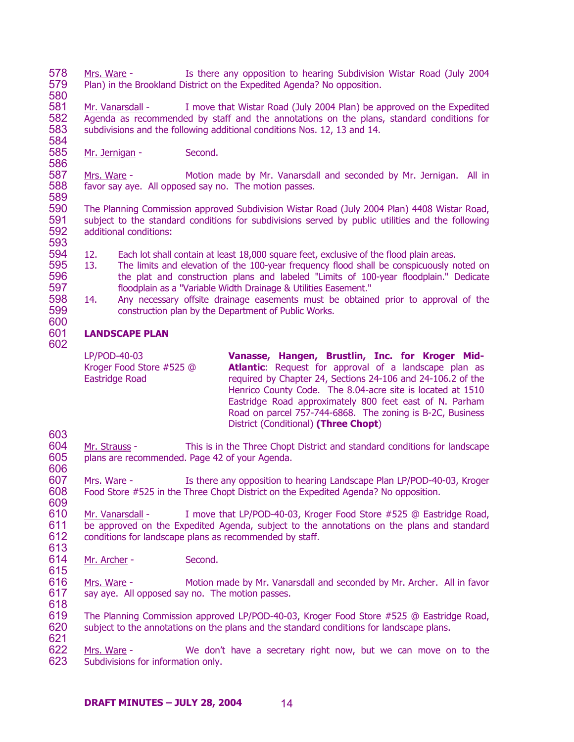578 579 580 Mrs. Ware - Is there any opposition to hearing Subdivision Wistar Road (July 2004 Plan) in the Brookland District on the Expedited Agenda? No opposition.

581 582 583 584 Mr. Vanarsdall - I move that Wistar Road (July 2004 Plan) be approved on the Expedited Agenda as recommended by staff and the annotations on the plans, standard conditions for subdivisions and the following additional conditions Nos. 12, 13 and 14.

585 586 Mr. Jernigan - Second.

587 588 589 Mrs. Ware - Motion made by Mr. Vanarsdall and seconded by Mr. Jernigan. All in favor say aye. All opposed say no. The motion passes.

590 591 592 593 The Planning Commission approved Subdivision Wistar Road (July 2004 Plan) 4408 Wistar Road, subject to the standard conditions for subdivisions served by public utilities and the following additional conditions:

- 594 12. Each lot shall contain at least 18,000 square feet, exclusive of the flood plain areas.
- 595 596 597 13. The limits and elevation of the 100-year frequency flood shall be conspicuously noted on the plat and construction plans and labeled "Limits of 100-year floodplain." Dedicate floodplain as a "Variable Width Drainage & Utilities Easement."
- 598 599 600 14. Any necessary offsite drainage easements must be obtained prior to approval of the construction plan by the Department of Public Works.

# **LANDSCAPE PLAN**

601 602

> LP/POD-40-03 Kroger Food Store #525 @ Eastridge Road **Vanasse, Hangen, Brustlin, Inc. for Kroger Mid-**Atlantic: Request for approval of a landscape plan as required by Chapter 24, Sections 24-106 and 24-106.2 of the Henrico County Code. The 8.04-acre site is located at 1510 Eastridge Road approximately 800 feet east of N. Parham Road on parcel 757-744-6868. The zoning is B-2C, Business District (Conditional) **(Three Chopt**)

603

604 605 606 Mr. Strauss - This is in the Three Chopt District and standard conditions for landscape plans are recommended. Page 42 of your Agenda.

607 608 609 Mrs. Ware - Is there any opposition to hearing Landscape Plan LP/POD-40-03, Kroger Food Store #525 in the Three Chopt District on the Expedited Agenda? No opposition.

610 611 612 613 Mr. Vanarsdall - I move that LP/POD-40-03, Kroger Food Store #525 @ Eastridge Road, be approved on the Expedited Agenda, subject to the annotations on the plans and standard conditions for landscape plans as recommended by staff.

- 614 Mr. Archer - Second.
- 615

616 617 618 Mrs. Ware - Motion made by Mr. Vanarsdall and seconded by Mr. Archer. All in favor say aye. All opposed say no. The motion passes.

619 620 621 The Planning Commission approved LP/POD-40-03, Kroger Food Store #525 @ Eastridge Road, subject to the annotations on the plans and the standard conditions for landscape plans.

Mrs. Ware - We don't have a secretary right now, but we can move on to the Subdivisions for information only. 622 623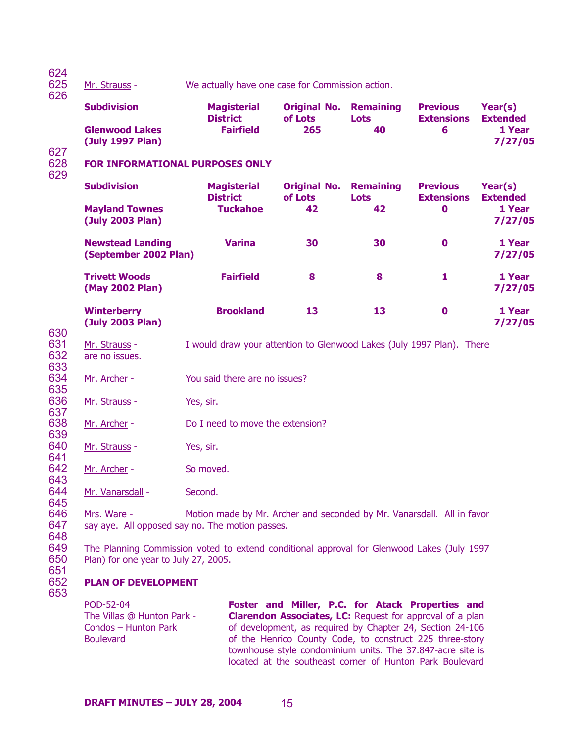| 624<br>625<br>626 | Mr. Strauss -                                                                                                                      | We actually have one case for Commission action.                       |                                                                                                                                                                                                                                              |                                 |                                      |                            |
|-------------------|------------------------------------------------------------------------------------------------------------------------------------|------------------------------------------------------------------------|----------------------------------------------------------------------------------------------------------------------------------------------------------------------------------------------------------------------------------------------|---------------------------------|--------------------------------------|----------------------------|
|                   | <b>Subdivision</b>                                                                                                                 | <b>Magisterial</b><br><b>District</b>                                  | <b>Original No.</b><br>of Lots                                                                                                                                                                                                               | <b>Remaining</b><br><b>Lots</b> | <b>Previous</b><br><b>Extensions</b> | Year(s)<br><b>Extended</b> |
| 627               | <b>Glenwood Lakes</b><br>(July 1997 Plan)                                                                                          | <b>Fairfield</b>                                                       | 265                                                                                                                                                                                                                                          | 40                              | 6                                    | 1 Year<br>7/27/05          |
| 628<br>629        | <b>FOR INFORMATIONAL PURPOSES ONLY</b>                                                                                             |                                                                        |                                                                                                                                                                                                                                              |                                 |                                      |                            |
|                   | <b>Subdivision</b>                                                                                                                 | <b>Magisterial</b><br><b>District</b>                                  | <b>Original No.</b><br>of Lots                                                                                                                                                                                                               | <b>Remaining</b><br><b>Lots</b> | <b>Previous</b><br><b>Extensions</b> | Year(s)<br><b>Extended</b> |
|                   | <b>Mayland Townes</b><br>(July 2003 Plan)                                                                                          | <b>Tuckahoe</b>                                                        | 42                                                                                                                                                                                                                                           | 42                              | $\mathbf 0$                          | 1 Year<br>7/27/05          |
|                   | <b>Newstead Landing</b><br>(September 2002 Plan)                                                                                   | <b>Varina</b>                                                          | 30                                                                                                                                                                                                                                           | 30                              | $\mathbf 0$                          | 1 Year<br>7/27/05          |
|                   | <b>Trivett Woods</b><br>(May 2002 Plan)                                                                                            | <b>Fairfield</b>                                                       | 8                                                                                                                                                                                                                                            | 8                               | 1                                    | 1 Year<br>7/27/05          |
| 630               | <b>Winterberry</b><br>(July 2003 Plan)                                                                                             | <b>Brookland</b>                                                       | 13                                                                                                                                                                                                                                           | 13                              | $\mathbf 0$                          | 1 Year<br>7/27/05          |
| 631<br>632<br>633 | Mr. Strauss -<br>are no issues.                                                                                                    | I would draw your attention to Glenwood Lakes (July 1997 Plan). There  |                                                                                                                                                                                                                                              |                                 |                                      |                            |
| 634<br>635        | Mr. Archer -                                                                                                                       | You said there are no issues?                                          |                                                                                                                                                                                                                                              |                                 |                                      |                            |
| 636<br>637        | Mr. Strauss -                                                                                                                      | Yes, sir.                                                              |                                                                                                                                                                                                                                              |                                 |                                      |                            |
| 638<br>639        | Mr. Archer -                                                                                                                       | Do I need to move the extension?                                       |                                                                                                                                                                                                                                              |                                 |                                      |                            |
| 640<br>641        | Mr. Strauss -                                                                                                                      | Yes, sir.                                                              |                                                                                                                                                                                                                                              |                                 |                                      |                            |
| 642<br>643        | Mr. Archer -                                                                                                                       | So moved.                                                              |                                                                                                                                                                                                                                              |                                 |                                      |                            |
| 644<br>645        | Mr. Vanarsdall -                                                                                                                   | Second.                                                                |                                                                                                                                                                                                                                              |                                 |                                      |                            |
| 646<br>647<br>648 | Mrs. Ware -<br>say aye. All opposed say no. The motion passes.                                                                     | Motion made by Mr. Archer and seconded by Mr. Vanarsdall. All in favor |                                                                                                                                                                                                                                              |                                 |                                      |                            |
| 649<br>650<br>651 | The Planning Commission voted to extend conditional approval for Glenwood Lakes (July 1997<br>Plan) for one year to July 27, 2005. |                                                                        |                                                                                                                                                                                                                                              |                                 |                                      |                            |
| 652<br>653        | <b>PLAN OF DEVELOPMENT</b>                                                                                                         |                                                                        |                                                                                                                                                                                                                                              |                                 |                                      |                            |
|                   | POD-52-04<br>The Villas @ Hunton Park -<br>Condos - Hunton Park<br><b>Boulevard</b>                                                |                                                                        | Foster and Miller, P.C. for Atack Properties and<br><b>Clarendon Associates, LC: Request for approval of a plan</b><br>of development, as required by Chapter 24, Section 24-106<br>of the Henrico County Code, to construct 225 three-story |                                 |                                      |                            |

townhouse style condominium units. The 37.847-acre site is located at the southeast corner of Hunton Park Boulevard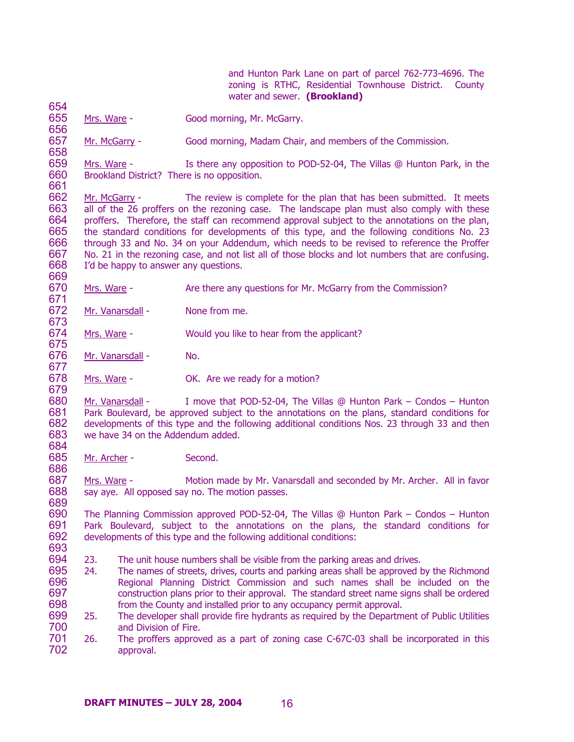and Hunton Park Lane on part of parcel 762-773-4696. The zoning is RTHC, Residential Townhouse District. County water and sewer. **(Brookland)** 

655 656 Mrs. Ware - Good morning, Mr. McGarry.

657 Mr. McGarry - Good morning, Madam Chair, and members of the Commission.

659 660 661 Mrs. Ware - Is there any opposition to POD-52-04, The Villas @ Hunton Park, in the Brookland District? There is no opposition.

662 663 664 665 666 667 668 669 Mr. McGarry - The review is complete for the plan that has been submitted. It meets all of the 26 proffers on the rezoning case. The landscape plan must also comply with these proffers. Therefore, the staff can recommend approval subject to the annotations on the plan, the standard conditions for developments of this type, and the following conditions No. 23 through 33 and No. 34 on your Addendum, which needs to be revised to reference the Proffer No. 21 in the rezoning case, and not list all of those blocks and lot numbers that are confusing. I'd be happy to answer any questions.

670 671 Mrs. Ware - Are there any questions for Mr. McGarry from the Commission?

672 673 Mr. Vanarsdall - None from me.

674 Mrs. Ware - Would you like to hear from the applicant?

676 Mr. Vanarsdall - No.

654

658

675

677

684

686

689

678 679 Mrs. Ware - **OK.** Are we ready for a motion?

680 681 682 683 Mr. Vanarsdall - I move that POD-52-04, The Villas @ Hunton Park – Condos – Hunton Park Boulevard, be approved subject to the annotations on the plans, standard conditions for developments of this type and the following additional conditions Nos. 23 through 33 and then we have 34 on the Addendum added.

685 Mr. Archer - Second.

687 688 Mrs. Ware - Motion made by Mr. Vanarsdall and seconded by Mr. Archer. All in favor say aye. All opposed say no. The motion passes.

690 691 692 693 The Planning Commission approved POD-52-04, The Villas @ Hunton Park – Condos – Hunton Park Boulevard, subject to the annotations on the plans, the standard conditions for developments of this type and the following additional conditions:

694 23. The unit house numbers shall be visible from the parking areas and drives.

- 695 696 697 698 24. The names of streets, drives, courts and parking areas shall be approved by the Richmond Regional Planning District Commission and such names shall be included on the construction plans prior to their approval. The standard street name signs shall be ordered from the County and installed prior to any occupancy permit approval.
- 699 700 25. The developer shall provide fire hydrants as required by the Department of Public Utilities and Division of Fire.
- 701 702 26. The proffers approved as a part of zoning case C-67C-03 shall be incorporated in this approval.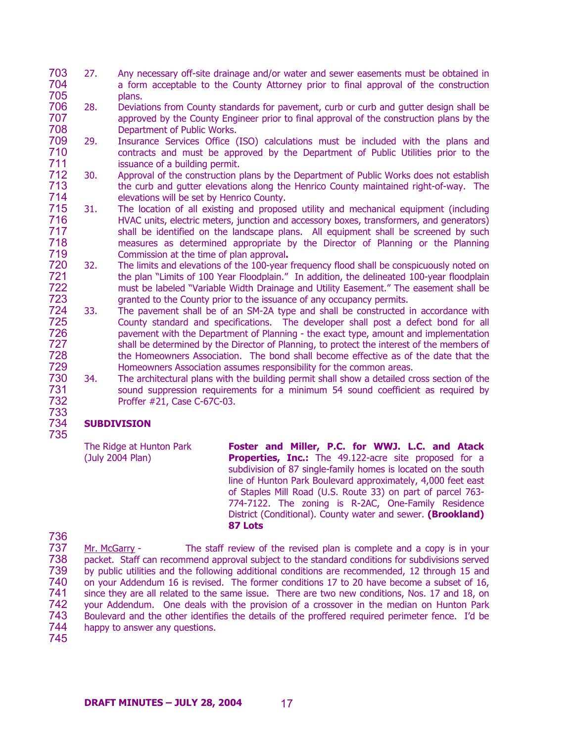- 703 704 705 27. Any necessary off-site drainage and/or water and sewer easements must be obtained in a form acceptable to the County Attorney prior to final approval of the construction plans.
- 706 707 708 28. Deviations from County standards for pavement, curb or curb and gutter design shall be approved by the County Engineer prior to final approval of the construction plans by the Department of Public Works.
- 709 710 711 29. Insurance Services Office (ISO) calculations must be included with the plans and contracts and must be approved by the Department of Public Utilities prior to the issuance of a building permit.
- 712 713 714 30. Approval of the construction plans by the Department of Public Works does not establish the curb and gutter elevations along the Henrico County maintained right-of-way. The elevations will be set by Henrico County.
- 715 716 717 718 719 31. The location of all existing and proposed utility and mechanical equipment (including HVAC units, electric meters, junction and accessory boxes, transformers, and generators) shall be identified on the landscape plans. All equipment shall be screened by such measures as determined appropriate by the Director of Planning or the Planning Commission at the time of plan approval**.**
- 720 721 722 723 32. The limits and elevations of the 100-year frequency flood shall be conspicuously noted on the plan "Limits of 100 Year Floodplain." In addition, the delineated 100-year floodplain must be labeled "Variable Width Drainage and Utility Easement." The easement shall be granted to the County prior to the issuance of any occupancy permits.
- 724 725 726 727 728 729 33. The pavement shall be of an SM-2A type and shall be constructed in accordance with County standard and specifications. The developer shall post a defect bond for all pavement with the Department of Planning - the exact type, amount and implementation shall be determined by the Director of Planning, to protect the interest of the members of the Homeowners Association. The bond shall become effective as of the date that the Homeowners Association assumes responsibility for the common areas.
- 730 731 732 733 34. The architectural plans with the building permit shall show a detailed cross section of the sound suppression requirements for a minimum 54 sound coefficient as required by Proffer #21, Case C-67C-03.

## 734 735 **SUBDIVISION**

The Ridge at Hunton Park (July 2004 Plan) **Foster and Miller, P.C. for WWJ. L.C. and Atack Properties, Inc.:** The 49.122-acre site proposed for a subdivision of 87 single-family homes is located on the south line of Hunton Park Boulevard approximately, 4,000 feet east of Staples Mill Road (U.S. Route 33) on part of parcel 763- 774-7122. The zoning is R-2AC, One-Family Residence District (Conditional). County water and sewer. **(Brookland) 87 Lots** 

736

737 738 739 740 741 742 743 744 Mr. McGarry - The staff review of the revised plan is complete and a copy is in your packet. Staff can recommend approval subject to the standard conditions for subdivisions served by public utilities and the following additional conditions are recommended, 12 through 15 and on your Addendum 16 is revised. The former conditions 17 to 20 have become a subset of 16, since they are all related to the same issue. There are two new conditions, Nos. 17 and 18, on your Addendum. One deals with the provision of a crossover in the median on Hunton Park Boulevard and the other identifies the details of the proffered required perimeter fence. I'd be happy to answer any questions.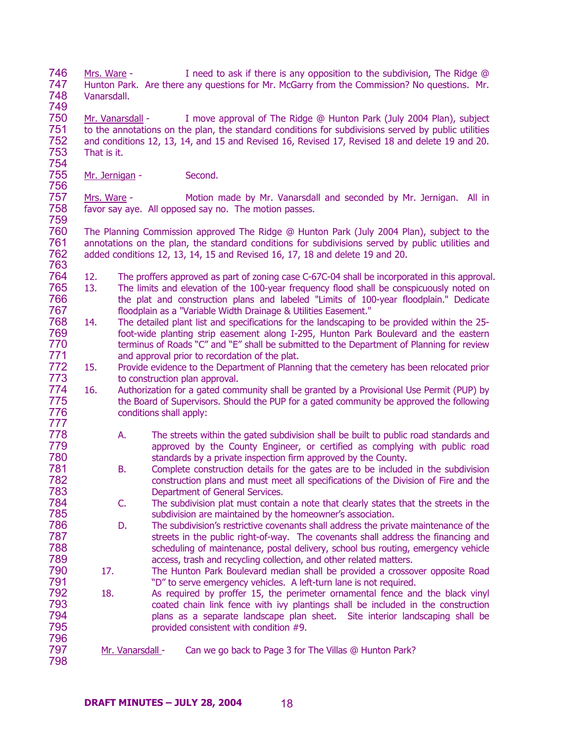746 747 748 749 Mrs. Ware - I need to ask if there is any opposition to the subdivision, The Ridge @ Hunton Park. Are there any questions for Mr. McGarry from the Commission? No questions. Mr. Vanarsdall.

750 751 752 753 754 Mr. Vanarsdall - I move approval of The Ridge @ Hunton Park (July 2004 Plan), subject to the annotations on the plan, the standard conditions for subdivisions served by public utilities and conditions 12, 13, 14, and 15 and Revised 16, Revised 17, Revised 18 and delete 19 and 20. That is it.

755 756 Mr. Jernigan - Second.

791

797 798

757 758 759 Mrs. Ware - Motion made by Mr. Vanarsdall and seconded by Mr. Jernigan. All in favor say aye. All opposed say no. The motion passes.

760 761 762 763 The Planning Commission approved The Ridge @ Hunton Park (July 2004 Plan), subject to the annotations on the plan, the standard conditions for subdivisions served by public utilities and added conditions 12, 13, 14, 15 and Revised 16, 17, 18 and delete 19 and 20.

- 764 12. The proffers approved as part of zoning case C-67C-04 shall be incorporated in this approval.
- 765 766 767 13. The limits and elevation of the 100-year frequency flood shall be conspicuously noted on the plat and construction plans and labeled "Limits of 100-year floodplain." Dedicate floodplain as a "Variable Width Drainage & Utilities Easement."
- 768 769 770 771 14. The detailed plant list and specifications for the landscaping to be provided within the 25 foot-wide planting strip easement along I-295, Hunton Park Boulevard and the eastern terminus of Roads "C" and "E" shall be submitted to the Department of Planning for review and approval prior to recordation of the plat.
- 772 773 15. Provide evidence to the Department of Planning that the cemetery has been relocated prior to construction plan approval.
- 774 775 776 777 16. Authorization for a gated community shall be granted by a Provisional Use Permit (PUP) by the Board of Supervisors. Should the PUP for a gated community be approved the following conditions shall apply:
	- A. The streets within the gated subdivision shall be built to public road standards and approved by the County Engineer, or certified as complying with public road standards by a private inspection firm approved by the County.
	- B. Complete construction details for the gates are to be included in the subdivision construction plans and must meet all specifications of the Division of Fire and the Department of General Services.
		- C. The subdivision plat must contain a note that clearly states that the streets in the subdivision are maintained by the homeowner's association.
- 786 787 788 789 790 D. The subdivision's restrictive covenants shall address the private maintenance of the streets in the public right-of-way. The covenants shall address the financing and scheduling of maintenance, postal delivery, school bus routing, emergency vehicle access, trash and recycling collection, and other related matters.
	- 17.The Hunton Park Boulevard median shall be provided a crossover opposite Road "D" to serve emergency vehicles. A left-turn lane is not required.
- 792 793 794 795 796 18. As required by proffer 15, the perimeter ornamental fence and the black vinyl coated chain link fence with ivy plantings shall be included in the construction plans as a separate landscape plan sheet. Site interior landscaping shall be provided consistent with condition #9.
	- Mr. Vanarsdall Can we go back to Page 3 for The Villas @ Hunton Park?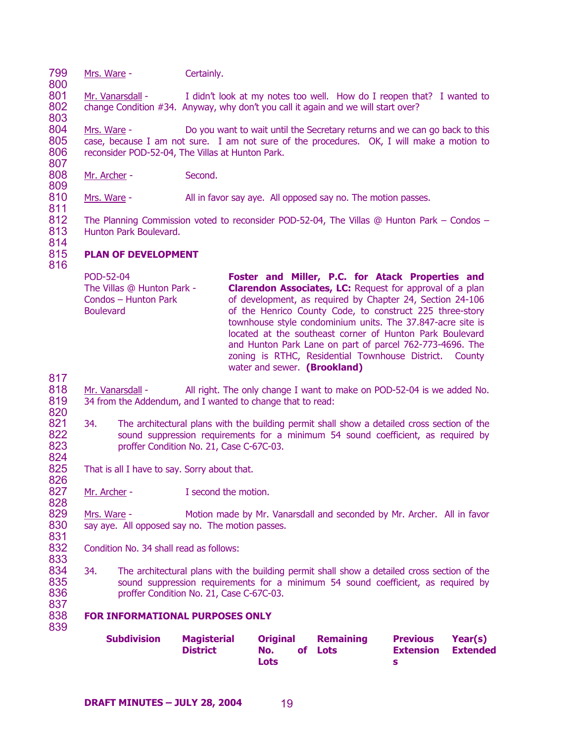799 Mrs. Ware - Certainly.

801 802 803 Mr. Vanarsdall - I didn't look at my notes too well. How do I reopen that? I wanted to change Condition #34. Anyway, why don't you call it again and we will start over?

804 805 806 807 Mrs. Ware - Do you want to wait until the Secretary returns and we can go back to this case, because I am not sure. I am not sure of the procedures. OK, I will make a motion to reconsider POD-52-04, The Villas at Hunton Park.

808 Mr. Archer - Second.

810 811 Mrs. Ware - **All in favor say aye.** All opposed say no. The motion passes.

812 813 The Planning Commission voted to reconsider POD-52-04, The Villas @ Hunton Park – Condos – Hunton Park Boulevard.

814

809

800

### 815 **PLAN OF DEVELOPMENT**

816

POD-52-04 The Villas @ Hunton Park - Condos – Hunton Park Boulevard **Foster and Miller, P.C. for Atack Properties and Clarendon Associates, LC:** Request for approval of a plan of development, as required by Chapter 24, Section 24-106 of the Henrico County Code, to construct 225 three-story townhouse style condominium units. The 37.847-acre site is located at the southeast corner of Hunton Park Boulevard and Hunton Park Lane on part of parcel 762-773-4696. The zoning is RTHC, Residential Townhouse District. County water and sewer. **(Brookland)** 

817

828

839

- 818 819 820 Mr. Vanarsdall - All right. The only change I want to make on POD-52-04 is we added No. 34 from the Addendum, and I wanted to change that to read:
- 821 822 823 824 34. The architectural plans with the building permit shall show a detailed cross section of the sound suppression requirements for a minimum 54 sound coefficient, as required by proffer Condition No. 21, Case C-67C-03.
- 825 826 That is all I have to say. Sorry about that.

827 Mr. Archer - T second the motion.

829 830 831 Mrs. Ware - Motion made by Mr. Vanarsdall and seconded by Mr. Archer. All in favor say aye. All opposed say no. The motion passes.

- 832 833 Condition No. 34 shall read as follows:
- 834 835 836 837 34. The architectural plans with the building permit shall show a detailed cross section of the sound suppression requirements for a minimum 54 sound coefficient, as required by proffer Condition No. 21, Case C-67C-03.

### 838 **FOR INFORMATIONAL PURPOSES ONLY**

| <b>Subdivision</b> | <b>Magisterial</b> |             | <b>Original Remaining</b> | <b>Previous Year(s)</b>   |  |
|--------------------|--------------------|-------------|---------------------------|---------------------------|--|
|                    | <b>District</b>    | No.         | of Lots                   | <b>Extension Extended</b> |  |
|                    |                    | <b>Lots</b> |                           |                           |  |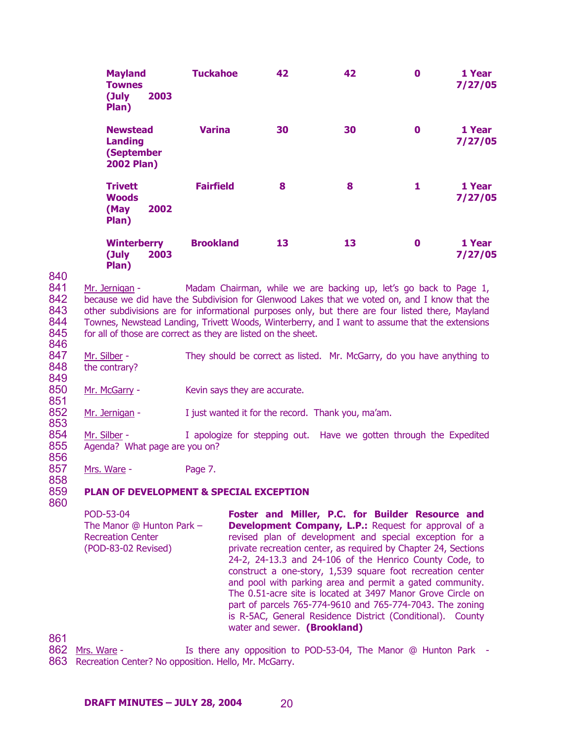| <b>Mayland</b><br><b>Townes</b><br>(July<br>2003<br>Plan)            | <b>Tuckahoe</b>  | 42 | 42 | 0        | 1 Year<br>7/27/05 |
|----------------------------------------------------------------------|------------------|----|----|----------|-------------------|
| <b>Newstead</b><br><b>Landing</b><br>(September<br><b>2002 Plan)</b> | <b>Varina</b>    | 30 | 30 | $\bf{0}$ | 1 Year<br>7/27/05 |
| <b>Trivett</b><br><b>Woods</b><br>2002<br>(May<br>Plan)              | <b>Fairfield</b> | 8  | 8  | 1        | 1 Year<br>7/27/05 |
| <b>Winterberry</b><br>(July<br>2003<br>Plan)                         | <b>Brookland</b> | 13 | 13 | 0        | 1 Year<br>7/27/05 |

840

849

851

856

858

841 842 843 844 845 Mr. Jernigan - Madam Chairman, while we are backing up, let's go back to Page 1, because we did have the Subdivision for Glenwood Lakes that we voted on, and I know that the other subdivisions are for informational purposes only, but there are four listed there, Mayland Townes, Newstead Landing, Trivett Woods, Winterberry, and I want to assume that the extensions for all of those are correct as they are listed on the sheet.

846 847 848 Mr. Silber - They should be correct as listed. Mr. McGarry, do you have anything to the contrary?

850 Mr. McGarry - Kevin says they are accurate.

852 853 Mr. Jernigan - I just wanted it for the record. Thank you, ma'am.

854 855 Mr. Silber - I apologize for stepping out. Have we gotten through the Expedited Agenda? What page are you on?

857 Mrs. Ware - Page 7.

### 859 **PLAN OF DEVELOPMENT & SPECIAL EXCEPTION**

860

POD-53-04 The Manor @ Hunton Park – Recreation Center (POD-83-02 Revised) **Foster and Miller, P.C. for Builder Resource and Development Company, L.P.: Request for approval of a** revised plan of development and special exception for a private recreation center, as required by Chapter 24, Sections 24-2, 24-13.3 and 24-106 of the Henrico County Code, to construct a one-story, 1,539 square foot recreation center and pool with parking area and permit a gated community. The 0.51-acre site is located at 3497 Manor Grove Circle on part of parcels 765-774-9610 and 765-774-7043. The zoning is R-5AC, General Residence District (Conditional). County water and sewer. **(Brookland)** 

861

Is there any opposition to POD-53-04, The Manor @ Hunton Park -863 Recreation Center? No opposition. Hello, Mr. McGarry. **862** Mrs. Ware -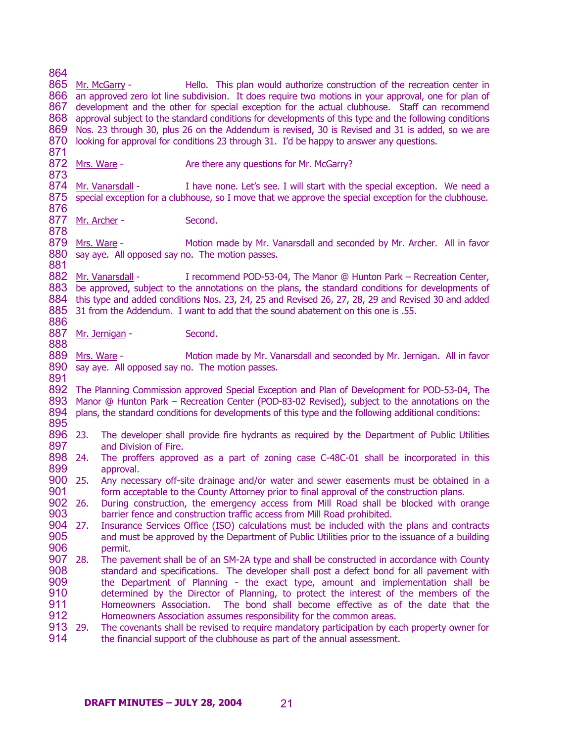864

865 Mr. McGarry -866 an approved zero lot line subdivision. It does require two motions in your approval, one for plan of 867 development and the other for special exception for the actual clubhouse. Staff can recommend 868 approval subject to the standard conditions for developments of this type and the following conditions 869 Nos. 23 through 30, plus 26 on the Addendum is revised, 30 is Revised and 31 is added, so we are 870 looking for approval for conditions 23 through 31. I'd be happy to answer any questions. 871 Hello. This plan would authorize construction of the recreation center in 872 Mrs. Ware -873 Are there any questions for Mr. McGarry? 874 Mr. Vanarsdall -875 special exception for a clubhouse, so I move that we approve the special exception for the clubhouse. 876 I have none. Let's see. I will start with the special exception. We need a 877 Mr. Archer - Second. 878 879 Mrs. Ware -880 say aye. All opposed say no. The motion passes. 881 Motion made by Mr. Vanarsdall and seconded by Mr. Archer. All in favor 882 Mr. Vanarsdall -883 be approved, subject to the annotations on the plans, the standard conditions for developments of 884 this type and added conditions Nos. 23, 24, 25 and Revised 26, 27, 28, 29 and Revised 30 and added 885 31 from the Addendum. I want to add that the sound abatement on this one is .55. 886 I recommend POD-53-04, The Manor @ Hunton Park – Recreation Center, 887 Mr. Jernigan - Second. 888 889 Mrs. Ware -890 say aye. All opposed say no. The motion passes. 891 892 The Planning Commission approved Special Exception and Plan of Development for POD-53-04, The 893 Manor @ Hunton Park – Recreation Center (POD-83-02 Revised), subject to the annotations on the 894 plans, the standard conditions for developments of this type and the following additional conditions: 895 896 23. 897 898 899 900 25. Any necessary off-site drainage and/or water and sewer easements must be obtained in a 901 902 26. 903 904 27. 905 906 907 28. 908 909 910 911 912 913 29. 914 Motion made by Mr. Vanarsdall and seconded by Mr. Jernigan. All in favor 23. The developer shall provide fire hydrants as required by the Department of Public Utilities and Division of Fire. The proffers approved as a part of zoning case C-48C-01 shall be incorporated in this approval. form acceptable to the County Attorney prior to final approval of the construction plans. 26. During construction, the emergency access from Mill Road shall be blocked with orange barrier fence and construction traffic access from Mill Road prohibited. 27. Insurance Services Office (ISO) calculations must be included with the plans and contracts and must be approved by the Department of Public Utilities prior to the issuance of a building permit. The pavement shall be of an SM-2A type and shall be constructed in accordance with County standard and specifications. The developer shall post a defect bond for all pavement with the Department of Planning - the exact type, amount and implementation shall be determined by the Director of Planning, to protect the interest of the members of the Homeowners Association. The bond shall become effective as of the date that the Homeowners Association assumes responsibility for the common areas. 29. The covenants shall be revised to require mandatory participation by each property owner for the financial support of the clubhouse as part of the annual assessment.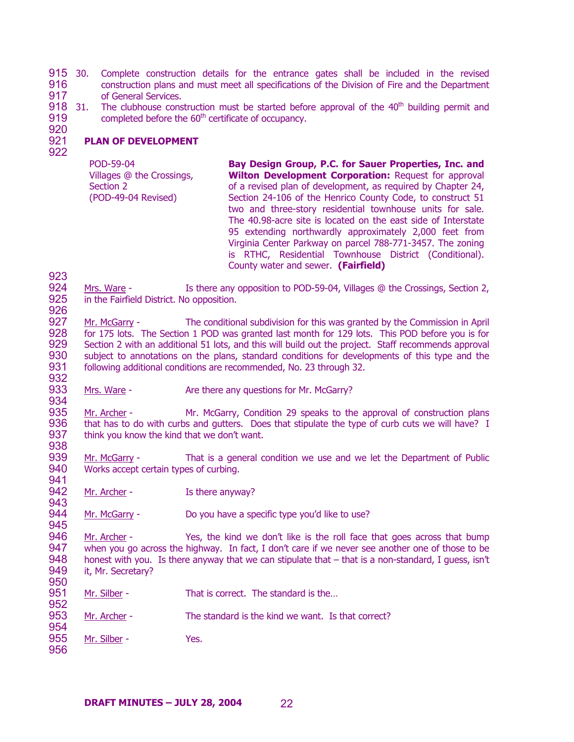915 30. Complete construction details for the entrance gates shall be included in the revised 916 917 construction plans and must meet all specifications of the Division of Fire and the Department of General Services.

918 31. The clubhouse construction must be started before approval of the  $40<sup>th</sup>$  building permit and 919 920 completed before the 60<sup>th</sup> certificate of occupancy.

### 921 922 **PLAN OF DEVELOPMENT**

POD-59-04 Villages @ the Crossings, Section 2 (POD-49-04 Revised) **Bay Design Group, P.C. for Sauer Properties, Inc. and Wilton Development Corporation:** Request for approval of a revised plan of development, as required by Chapter 24, Section 24-106 of the Henrico County Code, to construct 51 two and three-story residential townhouse units for sale. The 40.98-acre site is located on the east side of Interstate 95 extending northwardly approximately 2,000 feet from Virginia Center Parkway on parcel 788-771-3457. The zoning is RTHC, Residential Townhouse District (Conditional). County water and sewer. **(Fairfield)** 

924 925 926 Mrs. Ware - Is there any opposition to POD-59-04, Villages @ the Crossings, Section 2, in the Fairfield District. No opposition.

927 928 929 930 931 932 Mr. McGarry - The conditional subdivision for this was granted by the Commission in April for 175 lots. The Section 1 POD was granted last month for 129 lots. This POD before you is for Section 2 with an additional 51 lots, and this will build out the project. Staff recommends approval subject to annotations on the plans, standard conditions for developments of this type and the following additional conditions are recommended, No. 23 through 32.

933 934 Mrs. Ware - Are there any questions for Mr. McGarry?

935 936 937 Mr. Archer - Mr. McGarry, Condition 29 speaks to the approval of construction plans that has to do with curbs and gutters. Does that stipulate the type of curb cuts we will have? I think you know the kind that we don't want.

- 939 940 941 Mr. McGarry - That is a general condition we use and we let the Department of Public Works accept certain types of curbing.
- 942 Mr. Archer - Is there anyway?
- 944 Mr. McGarry - Do you have a specific type you'd like to use?

946 947 948 949 Mr. Archer - Yes, the kind we don't like is the roll face that goes across that bump when you go across the highway. In fact, I don't care if we never see another one of those to be honest with you. Is there anyway that we can stipulate that – that is a non-standard, I quess, isn't it, Mr. Secretary?

- 951 Mr. Silber - That is correct. The standard is the...
- 953 Mr. Archer - The standard is the kind we want. Is that correct?
- 955 Mr. Silber - Yes.
- 956

923

938

943

945

950

952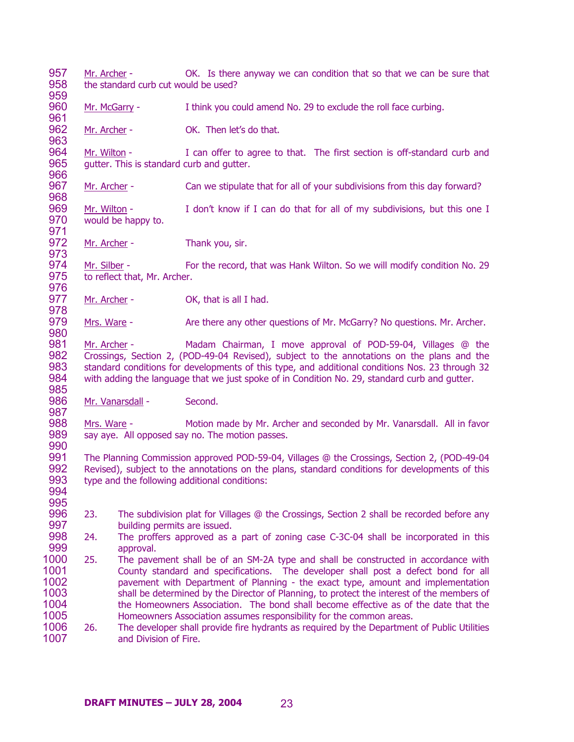- 957 958 959 Mr. Archer - CK. Is there anyway we can condition that so that we can be sure that the standard curb cut would be used?
- 960 961 Mr. McGarry - I think you could amend No. 29 to exclude the roll face curbing.
- 962 963 Mr. Archer - **OK.** Then let's do that.
- 964 965 966 Mr. Wilton - I can offer to agree to that. The first section is off-standard curb and gutter. This is standard curb and gutter.
- 967 968 Mr. Archer - Can we stipulate that for all of your subdivisions from this day forward?
- 969 970 Mr. Wilton - I don't know if I can do that for all of my subdivisions, but this one I would be happy to.
- 972 973 Mr. Archer - Thank you, sir.

971

976

980

985

987

990

- 974 975 Mr. Silber - For the record, that was Hank Wilton. So we will modify condition No. 29 to reflect that, Mr. Archer.
- 977 978 Mr. Archer - OK, that is all I had.
- 979 Mrs. Ware - Are there any other questions of Mr. McGarry? No questions. Mr. Archer.
- 981 982 983 984 Mr. Archer - Madam Chairman, I move approval of POD-59-04, Villages @ the Crossings, Section 2, (POD-49-04 Revised), subject to the annotations on the plans and the standard conditions for developments of this type, and additional conditions Nos. 23 through 32 with adding the language that we just spoke of in Condition No. 29, standard curb and gutter.
- 986 Mr. Vanarsdall - Second.
- 988 989 Mrs. Ware - Motion made by Mr. Archer and seconded by Mr. Vanarsdall. All in favor say aye. All opposed say no. The motion passes.
- 991 992 993 994 The Planning Commission approved POD-59-04, Villages @ the Crossings, Section 2, (POD-49-04 Revised), subject to the annotations on the plans, standard conditions for developments of this type and the following additional conditions:
- 996 997 23. The subdivision plat for Villages @ the Crossings, Section 2 shall be recorded before any building permits are issued.
- 998 999 24. The proffers approved as a part of zoning case C-3C-04 shall be incorporated in this approval.
- 1000 1001 1002 1003 1004 1005 25. The pavement shall be of an SM-2A type and shall be constructed in accordance with County standard and specifications. The developer shall post a defect bond for all pavement with Department of Planning - the exact type, amount and implementation shall be determined by the Director of Planning, to protect the interest of the members of the Homeowners Association. The bond shall become effective as of the date that the Homeowners Association assumes responsibility for the common areas.
- 1006 1007 26. The developer shall provide fire hydrants as required by the Department of Public Utilities and Division of Fire.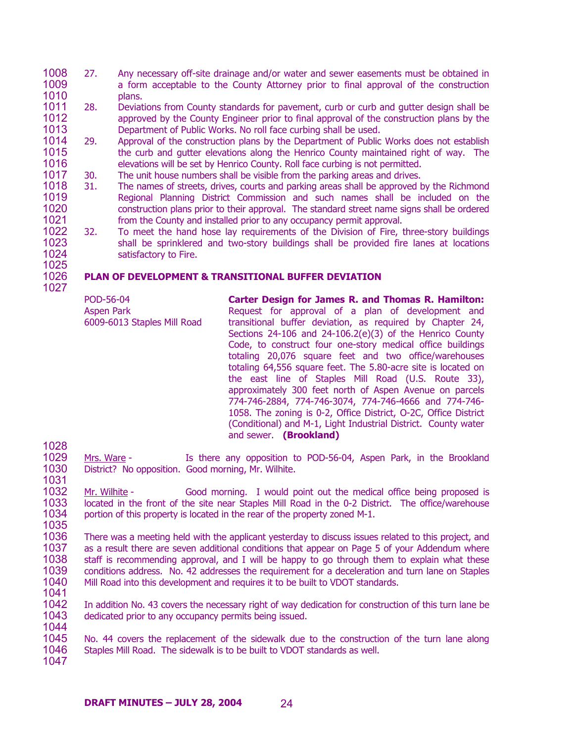- 1008 1009 1010 27. Any necessary off-site drainage and/or water and sewer easements must be obtained in a form acceptable to the County Attorney prior to final approval of the construction plans.
- 1011 1012 1013 28. Deviations from County standards for pavement, curb or curb and gutter design shall be approved by the County Engineer prior to final approval of the construction plans by the Department of Public Works. No roll face curbing shall be used.
- 1014 1015 1016 29. Approval of the construction plans by the Department of Public Works does not establish the curb and gutter elevations along the Henrico County maintained right of way. The elevations will be set by Henrico County. Roll face curbing is not permitted.
- 1017 30. The unit house numbers shall be visible from the parking areas and drives.
- 1018 1019 1020 1021 31. The names of streets, drives, courts and parking areas shall be approved by the Richmond Regional Planning District Commission and such names shall be included on the construction plans prior to their approval. The standard street name signs shall be ordered from the County and installed prior to any occupancy permit approval.
- 1022 1023 1024 32. To meet the hand hose lay requirements of the Division of Fire, three-story buildings shall be sprinklered and two-story buildings shall be provided fire lanes at locations satisfactory to Fire.

# **PLAN OF DEVELOPMENT & TRANSITIONAL BUFFER DEVIATION**

| POD-56-04<br><b>Aspen Park</b><br>6009-6013 Staples Mill Road | Carter Design for James R. and Thomas R. Hamilton:<br>Request for approval of a plan of development and<br>transitional buffer deviation, as required by Chapter 24,<br>Sections $24-106$ and $24-106.2(e)(3)$ of the Henrico County<br>Code, to construct four one-story medical office buildings<br>totaling 20,076 square feet and two office/warehouses<br>totaling 64,556 square feet. The 5.80-acre site is located on<br>the east line of Staples Mill Road (U.S. Route 33),<br>approximately 300 feet north of Aspen Avenue on parcels<br>774-746-2884, 774-746-3074, 774-746-4666 and 774-746-<br>1058. The zoning is 0-2, Office District, O-2C, Office District |
|---------------------------------------------------------------|----------------------------------------------------------------------------------------------------------------------------------------------------------------------------------------------------------------------------------------------------------------------------------------------------------------------------------------------------------------------------------------------------------------------------------------------------------------------------------------------------------------------------------------------------------------------------------------------------------------------------------------------------------------------------|
|                                                               | (Conditional) and M-1, Light Industrial District. County water<br>and sewer. (Brookland)                                                                                                                                                                                                                                                                                                                                                                                                                                                                                                                                                                                   |

- 1029 1030 1031 Mrs. Ware - Is there any opposition to POD-56-04, Aspen Park, in the Brookland District? No opposition. Good morning, Mr. Wilhite.
- 1032 1033 1034 Mr. Wilhite - Good morning. I would point out the medical office being proposed is located in the front of the site near Staples Mill Road in the 0-2 District. The office/warehouse portion of this property is located in the rear of the property zoned M-1.
- 1035 1036 1037 1038 1039 1040 There was a meeting held with the applicant yesterday to discuss issues related to this project, and as a result there are seven additional conditions that appear on Page 5 of your Addendum where staff is recommending approval, and I will be happy to go through them to explain what these conditions address. No. 42 addresses the requirement for a deceleration and turn lane on Staples Mill Road into this development and requires it to be built to VDOT standards.
	- 1041

1028

1025 1026 1027

1042 1043 1044 In addition No. 43 covers the necessary right of way dedication for construction of this turn lane be dedicated prior to any occupancy permits being issued.

1045 1046 1047 No. 44 covers the replacement of the sidewalk due to the construction of the turn lane along Staples Mill Road. The sidewalk is to be built to VDOT standards as well.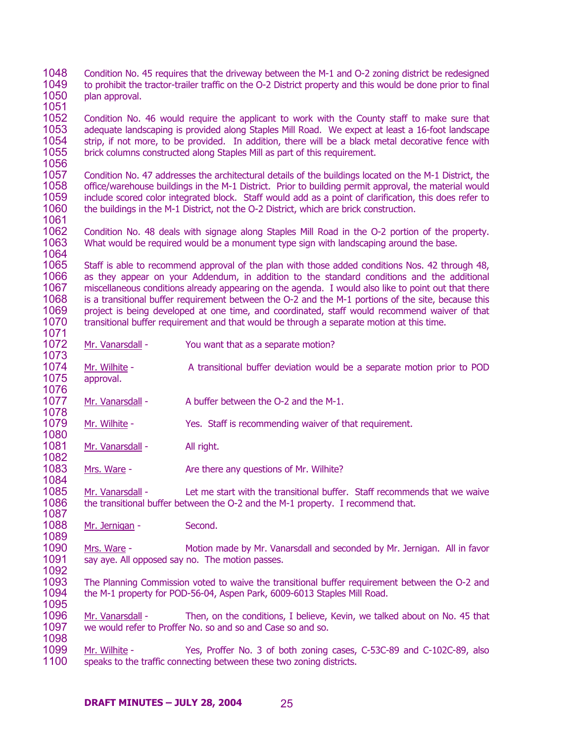1048 1049 1050 Condition No. 45 requires that the driveway between the M-1 and O-2 zoning district be redesigned to prohibit the tractor-trailer traffic on the O-2 District property and this would be done prior to final plan approval.

1052 1053 1054 1055 1056 Condition No. 46 would require the applicant to work with the County staff to make sure that adequate landscaping is provided along Staples Mill Road. We expect at least a 16-foot landscape strip, if not more, to be provided. In addition, there will be a black metal decorative fence with brick columns constructed along Staples Mill as part of this requirement.

1057 1058 1059 1060 Condition No. 47 addresses the architectural details of the buildings located on the M-1 District, the office/warehouse buildings in the M-1 District. Prior to building permit approval, the material would include scored color integrated block. Staff would add as a point of clarification, this does refer to the buildings in the M-1 District, not the O-2 District, which are brick construction.

1062 1063 1064 Condition No. 48 deals with signage along Staples Mill Road in the O-2 portion of the property. What would be required would be a monument type sign with landscaping around the base.

1065 1066 1067 1068 1069 1070 1071 Staff is able to recommend approval of the plan with those added conditions Nos. 42 through 48, as they appear on your Addendum, in addition to the standard conditions and the additional miscellaneous conditions already appearing on the agenda. I would also like to point out that there is a transitional buffer requirement between the O-2 and the M-1 portions of the site, because this project is being developed at one time, and coordinated, staff would recommend waiver of that transitional buffer requirement and that would be through a separate motion at this time.

- 1072 1073 Mr. Vanarsdall - You want that as a separate motion?
- 1074 1075 1076 Mr. Wilhite - A transitional buffer deviation would be a separate motion prior to POD approval.
- 1077 1078 Mr. Vanarsdall - A buffer between the O-2 and the M-1.
- 1079 1080 Mr. Wilhite - Yes. Staff is recommending waiver of that requirement.
- 1081 Mr. Vanarsdall - All right.

1051

1061

1082

1083 1084 Mrs. Ware - The Are there any questions of Mr. Wilhite?

1085 1086 1087 Mr. Vanarsdall - Let me start with the transitional buffer. Staff recommends that we waive the transitional buffer between the O-2 and the M-1 property. I recommend that.

1088 1089 Mr. Jernigan - Second.

1090 1091 1092 Mrs. Ware - Motion made by Mr. Vanarsdall and seconded by Mr. Jernigan. All in favor say aye. All opposed say no. The motion passes.

1093 1094 1095 The Planning Commission voted to waive the transitional buffer requirement between the O-2 and the M-1 property for POD-56-04, Aspen Park, 6009-6013 Staples Mill Road.

1096 1097 1098 Mr. Vanarsdall - Then, on the conditions, I believe, Kevin, we talked about on No. 45 that we would refer to Proffer No. so and so and Case so and so.

Mr. Wilhite - Yes, Proffer No. 3 of both zoning cases, C-53C-89 and C-102C-89, also speaks to the traffic connecting between these two zoning districts. 1099 1100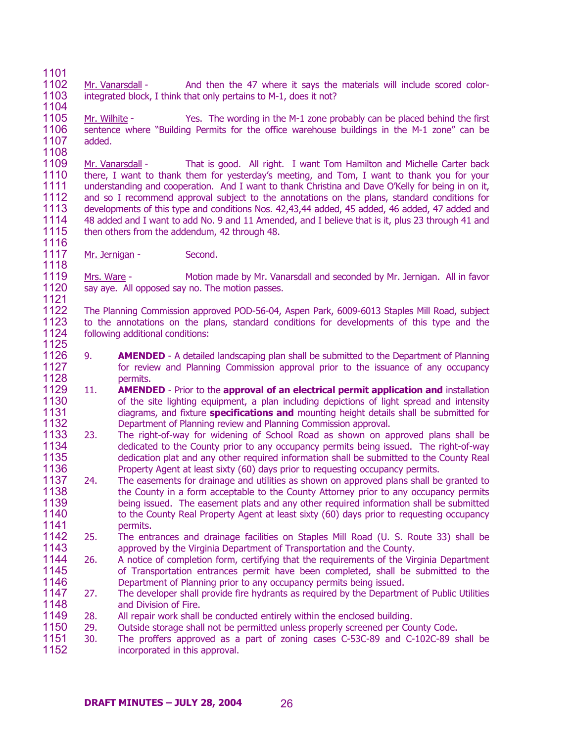1101

1104

1108

1118

1102 1103 Mr. Vanarsdall - And then the 47 where it says the materials will include scored colorintegrated block, I think that only pertains to M-1, does it not?

1105 1106 1107 Mr. Wilhite - Yes. The wording in the M-1 zone probably can be placed behind the first sentence where "Building Permits for the office warehouse buildings in the M-1 zone" can be added.

1109 1110 1111 1112 1113 1114 1115 1116 Mr. Vanarsdall - That is good. All right. I want Tom Hamilton and Michelle Carter back there, I want to thank them for yesterday's meeting, and Tom, I want to thank you for your understanding and cooperation. And I want to thank Christina and Dave O'Kelly for being in on it, and so I recommend approval subject to the annotations on the plans, standard conditions for developments of this type and conditions Nos. 42,43,44 added, 45 added, 46 added, 47 added and 48 added and I want to add No. 9 and 11 Amended, and I believe that is it, plus 23 through 41 and then others from the addendum, 42 through 48.

1117 Mr. Jernigan - Second.

1119 1120 1121 Mrs. Ware - Motion made by Mr. Vanarsdall and seconded by Mr. Jernigan. All in favor say aye. All opposed say no. The motion passes.

1122 1123 1124 1125 The Planning Commission approved POD-56-04, Aspen Park, 6009-6013 Staples Mill Road, subject to the annotations on the plans, standard conditions for developments of this type and the following additional conditions:

- 1126 1127 1128 9. **AMENDED** - A detailed landscaping plan shall be submitted to the Department of Planning for review and Planning Commission approval prior to the issuance of any occupancy permits.
- 1129 1130 1131 1132 11. **AMENDED** - Prior to the **approval of an electrical permit application and** installation of the site lighting equipment, a plan including depictions of light spread and intensity diagrams, and fixture **specifications and** mounting height details shall be submitted for Department of Planning review and Planning Commission approval.
- 1133 1134 1135 1136 23. The right-of-way for widening of School Road as shown on approved plans shall be dedicated to the County prior to any occupancy permits being issued. The right-of-way dedication plat and any other required information shall be submitted to the County Real Property Agent at least sixty (60) days prior to requesting occupancy permits.
- 1137 1138 1139 1140 1141 24. The easements for drainage and utilities as shown on approved plans shall be granted to the County in a form acceptable to the County Attorney prior to any occupancy permits being issued. The easement plats and any other required information shall be submitted to the County Real Property Agent at least sixty (60) days prior to requesting occupancy permits.
- 1142 1143 25. The entrances and drainage facilities on Staples Mill Road (U. S. Route 33) shall be approved by the Virginia Department of Transportation and the County.
- 1144 1145 1146 26. A notice of completion form, certifying that the requirements of the Virginia Department of Transportation entrances permit have been completed, shall be submitted to the Department of Planning prior to any occupancy permits being issued.
- 1147 1148 27. The developer shall provide fire hydrants as required by the Department of Public Utilities and Division of Fire.
- 1149 28. All repair work shall be conducted entirely within the enclosed building.
- 1150 29. Outside storage shall not be permitted unless properly screened per County Code.
- 1151 1152 30. The proffers approved as a part of zoning cases C-53C-89 and C-102C-89 shall be incorporated in this approval.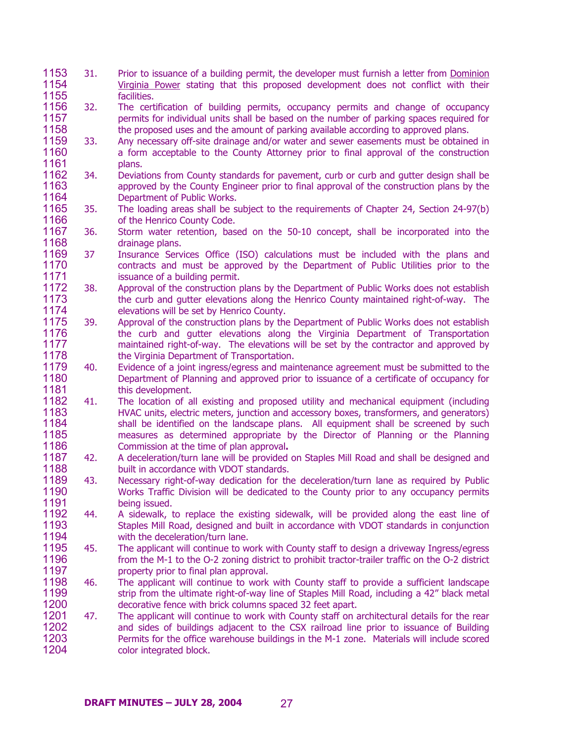- 31. Prior to issuance of a building permit, the developer must furnish a letter from Dominion Virginia Power stating that this proposed development does not conflict with their facilities. 1153 1154 1155
- 1156 1157 1158 32. The certification of building permits, occupancy permits and change of occupancy permits for individual units shall be based on the number of parking spaces required for the proposed uses and the amount of parking available according to approved plans.
- 1159 1160 1161 33. Any necessary off-site drainage and/or water and sewer easements must be obtained in a form acceptable to the County Attorney prior to final approval of the construction plans.
- 1162 1163 1164 34. Deviations from County standards for pavement, curb or curb and gutter design shall be approved by the County Engineer prior to final approval of the construction plans by the Department of Public Works.
- 1165 1166 35. The loading areas shall be subject to the requirements of Chapter 24, Section 24-97(b) of the Henrico County Code.
- 1167 1168 36. Storm water retention, based on the 50-10 concept, shall be incorporated into the drainage plans.
- 1169 1170 1171 37 Insurance Services Office (ISO) calculations must be included with the plans and contracts and must be approved by the Department of Public Utilities prior to the issuance of a building permit.
- 1172 1173 1174 38. Approval of the construction plans by the Department of Public Works does not establish the curb and gutter elevations along the Henrico County maintained right-of-way. The elevations will be set by Henrico County.
- 1175 1176 1177 1178 39. Approval of the construction plans by the Department of Public Works does not establish the curb and gutter elevations along the Virginia Department of Transportation maintained right-of-way. The elevations will be set by the contractor and approved by the Virginia Department of Transportation.
- 1179 1180 1181 40. Evidence of a joint ingress/egress and maintenance agreement must be submitted to the Department of Planning and approved prior to issuance of a certificate of occupancy for this development.
- 1182 1183 1184 1185 1186 41. The location of all existing and proposed utility and mechanical equipment (including HVAC units, electric meters, junction and accessory boxes, transformers, and generators) shall be identified on the landscape plans. All equipment shall be screened by such measures as determined appropriate by the Director of Planning or the Planning Commission at the time of plan approval**.**
- 1187 1188 42. A deceleration/turn lane will be provided on Staples Mill Road and shall be designed and built in accordance with VDOT standards.
- 1189 1190 1191 43. Necessary right-of-way dedication for the deceleration/turn lane as required by Public Works Traffic Division will be dedicated to the County prior to any occupancy permits being issued.
- 1192 1193 1194 44. A sidewalk, to replace the existing sidewalk, will be provided along the east line of Staples Mill Road, designed and built in accordance with VDOT standards in conjunction with the deceleration/turn lane.
- 1195 1196 1197 45. The applicant will continue to work with County staff to design a driveway Ingress/egress from the M-1 to the O-2 zoning district to prohibit tractor-trailer traffic on the O-2 district property prior to final plan approval.
- 1198 1199 1200 46. The applicant will continue to work with County staff to provide a sufficient landscape strip from the ultimate right-of-way line of Staples Mill Road, including a 42" black metal decorative fence with brick columns spaced 32 feet apart.
- 1201 1202 1203 1204 47. The applicant will continue to work with County staff on architectural details for the rear and sides of buildings adjacent to the CSX railroad line prior to issuance of Building Permits for the office warehouse buildings in the M-1 zone. Materials will include scored color integrated block.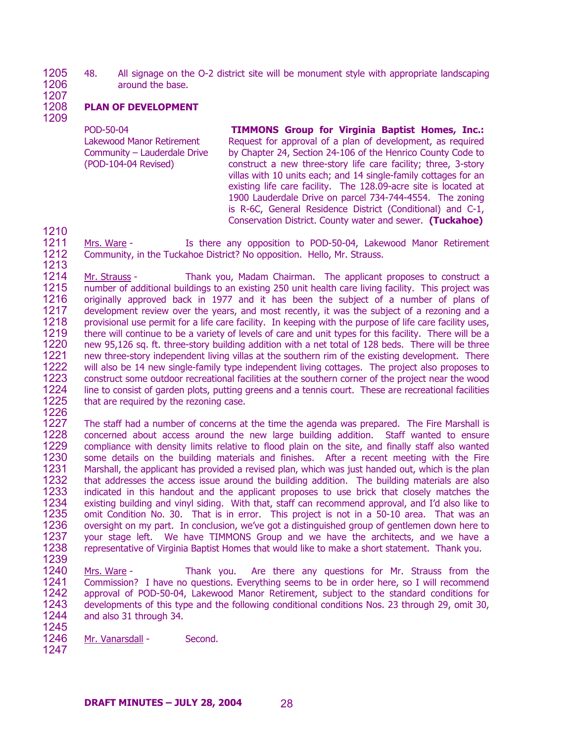1205 1206 48. All signage on the O-2 district site will be monument style with appropriate landscaping around the base.

1207 1208

1209

# **PLAN OF DEVELOPMENT**

POD-50-04 Lakewood Manor Retirement Community – Lauderdale Drive (POD-104-04 Revised)

**TIMMONS Group for Virginia Baptist Homes, Inc.:**  Request for approval of a plan of development, as required by Chapter 24, Section 24-106 of the Henrico County Code to construct a new three-story life care facility; three, 3-story villas with 10 units each; and 14 single-family cottages for an existing life care facility. The 128.09-acre site is located at 1900 Lauderdale Drive on parcel 734-744-4554. The zoning is R-6C, General Residence District (Conditional) and C-1, Conservation District. County water and sewer. **(Tuckahoe)**

1210

1211 1212 1213 Mrs. Ware - Is there any opposition to POD-50-04, Lakewood Manor Retirement Community, in the Tuckahoe District? No opposition. Hello, Mr. Strauss.

1214 1215 1216 1217 1218 1219 1220 1221 1222 1223 1224 1225 Mr. Strauss - Thank you, Madam Chairman. The applicant proposes to construct a number of additional buildings to an existing 250 unit health care living facility. This project was originally approved back in 1977 and it has been the subject of a number of plans of development review over the years, and most recently, it was the subject of a rezoning and a provisional use permit for a life care facility. In keeping with the purpose of life care facility uses, there will continue to be a variety of levels of care and unit types for this facility. There will be a new 95,126 sq. ft. three-story building addition with a net total of 128 beds. There will be three new three-story independent living villas at the southern rim of the existing development. There will also be 14 new single-family type independent living cottages. The project also proposes to construct some outdoor recreational facilities at the southern corner of the project near the wood line to consist of garden plots, putting greens and a tennis court. These are recreational facilities that are required by the rezoning case.

1226

1227 1228 1229 1230 1231 1232 1233 1234 1235 1236 1237 1238 1239 The staff had a number of concerns at the time the agenda was prepared. The Fire Marshall is concerned about access around the new large building addition. Staff wanted to ensure compliance with density limits relative to flood plain on the site, and finally staff also wanted some details on the building materials and finishes. After a recent meeting with the Fire Marshall, the applicant has provided a revised plan, which was just handed out, which is the plan that addresses the access issue around the building addition. The building materials are also indicated in this handout and the applicant proposes to use brick that closely matches the existing building and vinyl siding. With that, staff can recommend approval, and I'd also like to omit Condition No. 30. That is in error. This project is not in a 50-10 area. That was an oversight on my part. In conclusion, we've got a distinguished group of gentlemen down here to your stage left. We have TIMMONS Group and we have the architects, and we have a representative of Virginia Baptist Homes that would like to make a short statement. Thank you.

- 1240 1241 1242 1243 1244 Mrs. Ware - Thank you. Are there any questions for Mr. Strauss from the Commission? I have no questions. Everything seems to be in order here, so I will recommend approval of POD-50-04, Lakewood Manor Retirement, subject to the standard conditions for developments of this type and the following conditional conditions Nos. 23 through 29, omit 30, and also 31 through 34.
- 1246 Mr. Vanarsdall - Second.
- 1247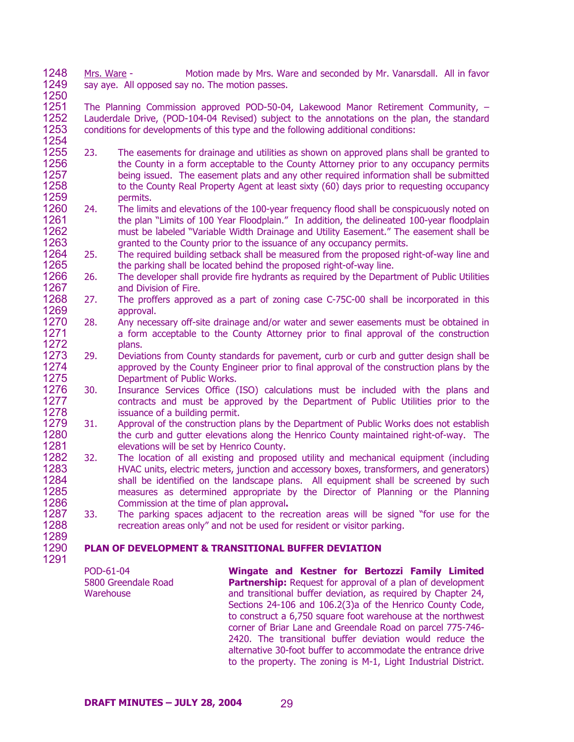1248 1249 1250 Mrs. Ware - Motion made by Mrs. Ware and seconded by Mr. Vanarsdall. All in favor say aye. All opposed say no. The motion passes.

1251 1252 1253 1254 The Planning Commission approved POD-50-04, Lakewood Manor Retirement Community, – Lauderdale Drive, (POD-104-04 Revised) subject to the annotations on the plan, the standard conditions for developments of this type and the following additional conditions:

- 1255 1256 1257 1258 1259 23. The easements for drainage and utilities as shown on approved plans shall be granted to the County in a form acceptable to the County Attorney prior to any occupancy permits being issued. The easement plats and any other required information shall be submitted to the County Real Property Agent at least sixty (60) days prior to requesting occupancy permits.
- 1260 1261 1262 1263 24. The limits and elevations of the 100-year frequency flood shall be conspicuously noted on the plan "Limits of 100 Year Floodplain." In addition, the delineated 100-year floodplain must be labeled "Variable Width Drainage and Utility Easement." The easement shall be granted to the County prior to the issuance of any occupancy permits.
- 1264 1265 25. The required building setback shall be measured from the proposed right-of-way line and the parking shall be located behind the proposed right-of-way line.
- 1266 1267 26. The developer shall provide fire hydrants as required by the Department of Public Utilities and Division of Fire.
- 1268 1269 27. The proffers approved as a part of zoning case C-75C-00 shall be incorporated in this approval.
- 1270 1271 1272 28. Any necessary off-site drainage and/or water and sewer easements must be obtained in a form acceptable to the County Attorney prior to final approval of the construction plans.
- 1273 1274 1275 29. Deviations from County standards for pavement, curb or curb and gutter design shall be approved by the County Engineer prior to final approval of the construction plans by the Department of Public Works.
- 1276 1277 1278 30. Insurance Services Office (ISO) calculations must be included with the plans and contracts and must be approved by the Department of Public Utilities prior to the issuance of a building permit.
- 1279 1280 1281 31. Approval of the construction plans by the Department of Public Works does not establish the curb and gutter elevations along the Henrico County maintained right-of-way. The elevations will be set by Henrico County.
- 1282 1283 1284 1285 1286 32. The location of all existing and proposed utility and mechanical equipment (including HVAC units, electric meters, junction and accessory boxes, transformers, and generators) shall be identified on the landscape plans. All equipment shall be screened by such measures as determined appropriate by the Director of Planning or the Planning Commission at the time of plan approval**.**
- 1287 1288 1289 33. The parking spaces adjacent to the recreation areas will be signed "for use for the recreation areas only" and not be used for resident or visitor parking.

### 1290 **PLAN OF DEVELOPMENT & TRANSITIONAL BUFFER DEVIATION**

1291

POD-61-04 5800 Greendale Road **Warehouse** 

**Wingate and Kestner for Bertozzi Family Limited Partnership:** Request for approval of a plan of development and transitional buffer deviation, as required by Chapter 24, Sections 24-106 and 106.2(3)a of the Henrico County Code, to construct a 6,750 square foot warehouse at the northwest corner of Briar Lane and Greendale Road on parcel 775-746- 2420. The transitional buffer deviation would reduce the alternative 30-foot buffer to accommodate the entrance drive to the property. The zoning is M-1, Light Industrial District.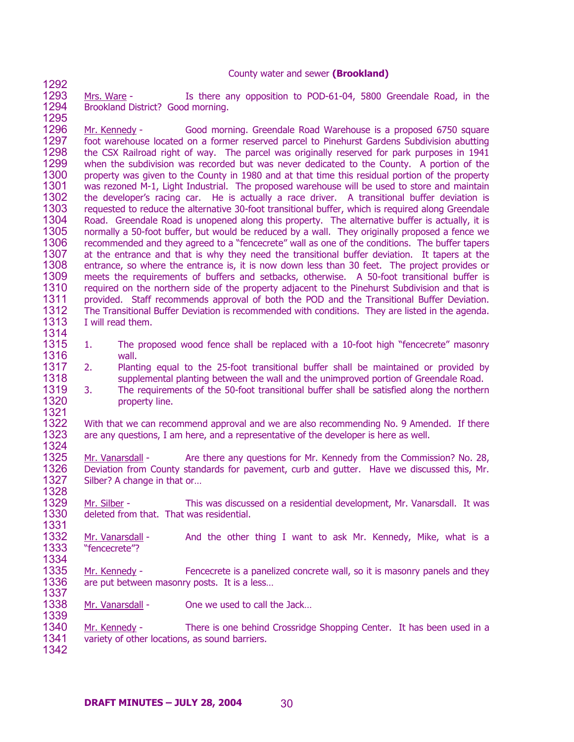## County water and sewer **(Brookland)**

1293 1294 1295 Mrs. Ware - Is there any opposition to POD-61-04, 5800 Greendale Road, in the Brookland District? Good morning.

1292

1339

1296 1297 1298 1299 1300 1301 1302 1303 1304 1305 1306 1307 1308 1309 1310 1311 1312 1313 1314 Mr. Kennedy - Good morning. Greendale Road Warehouse is a proposed 6750 square foot warehouse located on a former reserved parcel to Pinehurst Gardens Subdivision abutting the CSX Railroad right of way. The parcel was originally reserved for park purposes in 1941 when the subdivision was recorded but was never dedicated to the County. A portion of the property was given to the County in 1980 and at that time this residual portion of the property was rezoned M-1, Light Industrial. The proposed warehouse will be used to store and maintain the developer's racing car. He is actually a race driver. A transitional buffer deviation is requested to reduce the alternative 30-foot transitional buffer, which is required along Greendale Road. Greendale Road is unopened along this property. The alternative buffer is actually, it is normally a 50-foot buffer, but would be reduced by a wall. They originally proposed a fence we recommended and they agreed to a "fencecrete" wall as one of the conditions. The buffer tapers at the entrance and that is why they need the transitional buffer deviation. It tapers at the entrance, so where the entrance is, it is now down less than 30 feet. The project provides or meets the requirements of buffers and setbacks, otherwise. A 50-foot transitional buffer is required on the northern side of the property adjacent to the Pinehurst Subdivision and that is provided. Staff recommends approval of both the POD and the Transitional Buffer Deviation. The Transitional Buffer Deviation is recommended with conditions. They are listed in the agenda. I will read them.

- 1315 1316 1. The proposed wood fence shall be replaced with a 10-foot high "fencecrete" masonry wall.
- 1317 1318 2. Planting equal to the 25-foot transitional buffer shall be maintained or provided by supplemental planting between the wall and the unimproved portion of Greendale Road.
- 1319 1320 1321 3. The requirements of the 50-foot transitional buffer shall be satisfied along the northern property line.

1322 1323 1324 With that we can recommend approval and we are also recommending No. 9 Amended. If there are any questions, I am here, and a representative of the developer is here as well.

1325 1326 1327 1328 Mr. Vanarsdall - Are there any questions for Mr. Kennedy from the Commission? No. 28, Deviation from County standards for pavement, curb and gutter. Have we discussed this, Mr. Silber? A change in that or…

1329 1330 1331 Mr. Silber - This was discussed on a residential development, Mr. Vanarsdall. It was deleted from that. That was residential.

1332 1333 1334 Mr. Vanarsdall - And the other thing I want to ask Mr. Kennedy, Mike, what is a "fencecrete"?

1335 1336 1337 Mr. Kennedy - Fencecrete is a panelized concrete wall, so it is masonry panels and they are put between masonry posts. It is a less…

1338 Mr. Vanarsdall - One we used to call the Jack...

1340 1341 1342 Mr. Kennedy - There is one behind Crossridge Shopping Center. It has been used in a variety of other locations, as sound barriers.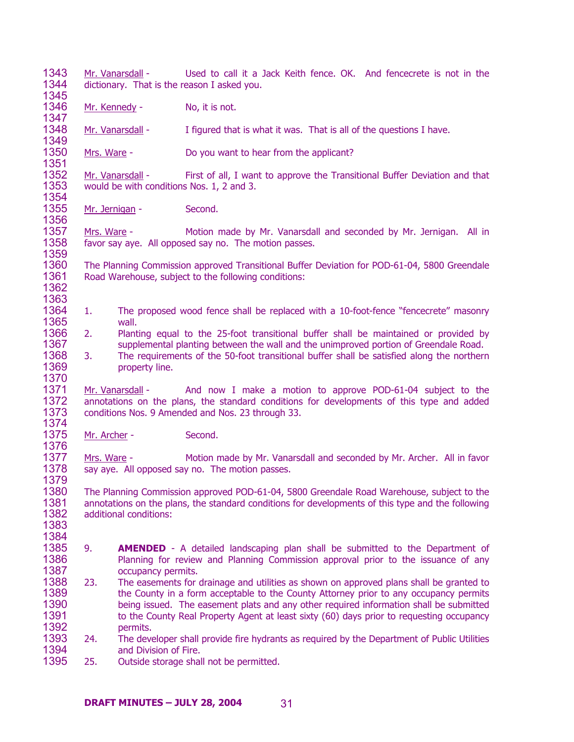1343 1344 1345 Mr. Vanarsdall - Used to call it a Jack Keith fence. OK. And fencecrete is not in the dictionary. That is the reason I asked you. 1346 1347 Mr. Kennedy - No, it is not. 1348 1349 Mr. Vanarsdall - I figured that is what it was. That is all of the questions I have. 1350 1351 Mrs. Ware - Do you want to hear from the applicant? 1352 1353 1354 Mr. Vanarsdall - First of all, I want to approve the Transitional Buffer Deviation and that would be with conditions Nos. 1, 2 and 3. 1355 1356 Mr. Jernigan - Second. 1357 1358 1359 1360 1361 1362 1363 1364 1365 1366 1367 1368 1369 1370 Mrs. Ware - Motion made by Mr. Vanarsdall and seconded by Mr. Jernigan. All in favor say aye. All opposed say no. The motion passes. The Planning Commission approved Transitional Buffer Deviation for POD-61-04, 5800 Greendale Road Warehouse, subject to the following conditions: 1. The proposed wood fence shall be replaced with a 10-foot-fence "fencecrete" masonry wall. 2. Planting equal to the 25-foot transitional buffer shall be maintained or provided by supplemental planting between the wall and the unimproved portion of Greendale Road. 3. The requirements of the 50-foot transitional buffer shall be satisfied along the northern property line. 1371 1372 1373 1374 Mr. Vanarsdall - And now I make a motion to approve POD-61-04 subject to the annotations on the plans, the standard conditions for developments of this type and added conditions Nos. 9 Amended and Nos. 23 through 33. 1375 1376 Mr. Archer - Second. 1377 1378 1379 1380 1381 1382 1383 1384 1385 1386 1387 1388 1389 1390 1391 1392 1393 1394 1395 Mrs. Ware - Motion made by Mr. Vanarsdall and seconded by Mr. Archer. All in favor say aye. All opposed say no. The motion passes. The Planning Commission approved POD-61-04, 5800 Greendale Road Warehouse, subject to the annotations on the plans, the standard conditions for developments of this type and the following additional conditions: 9. **AMENDED** - A detailed landscaping plan shall be submitted to the Department of Planning for review and Planning Commission approval prior to the issuance of any occupancy permits. 23. The easements for drainage and utilities as shown on approved plans shall be granted to the County in a form acceptable to the County Attorney prior to any occupancy permits being issued. The easement plats and any other required information shall be submitted to the County Real Property Agent at least sixty (60) days prior to requesting occupancy permits. 24. The developer shall provide fire hydrants as required by the Department of Public Utilities and Division of Fire. 25. Outside storage shall not be permitted.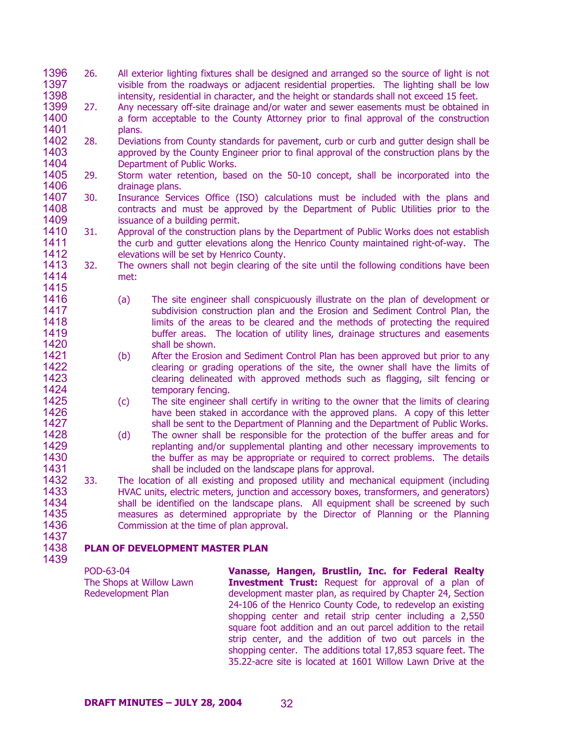- 1396 1397 1398 26. All exterior lighting fixtures shall be designed and arranged so the source of light is not visible from the roadways or adjacent residential properties. The lighting shall be low intensity, residential in character, and the height or standards shall not exceed 15 feet.
- 1399 1400 1401 27. Any necessary off-site drainage and/or water and sewer easements must be obtained in a form acceptable to the County Attorney prior to final approval of the construction plans.
- 1402 1403 1404 28. Deviations from County standards for pavement, curb or curb and gutter design shall be approved by the County Engineer prior to final approval of the construction plans by the Department of Public Works.
- 1405 1406 29. Storm water retention, based on the 50-10 concept, shall be incorporated into the drainage plans.
- 1407 1408 1409 30. Insurance Services Office (ISO) calculations must be included with the plans and contracts and must be approved by the Department of Public Utilities prior to the issuance of a building permit.
- 1410 1411 1412 31. Approval of the construction plans by the Department of Public Works does not establish the curb and gutter elevations along the Henrico County maintained right-of-way. The elevations will be set by Henrico County.
- 1413 1414 1415 32. The owners shall not begin clearing of the site until the following conditions have been met:
- 1416 1417 1418 1419 1420 1421 (a) The site engineer shall conspicuously illustrate on the plan of development or subdivision construction plan and the Erosion and Sediment Control Plan, the limits of the areas to be cleared and the methods of protecting the required buffer areas. The location of utility lines, drainage structures and easements shall be shown.
	- (b) After the Erosion and Sediment Control Plan has been approved but prior to any clearing or grading operations of the site, the owner shall have the limits of clearing delineated with approved methods such as flagging, silt fencing or temporary fencing.
		- (c) The site engineer shall certify in writing to the owner that the limits of clearing have been staked in accordance with the approved plans. A copy of this letter shall be sent to the Department of Planning and the Department of Public Works.
		- (d) The owner shall be responsible for the protection of the buffer areas and for replanting and/or supplemental planting and other necessary improvements to the buffer as may be appropriate or required to correct problems. The details shall be included on the landscape plans for approval.
- 1432 1433 1434 1435 1436 1437 33. The location of all existing and proposed utility and mechanical equipment (including HVAC units, electric meters, junction and accessory boxes, transformers, and generators) shall be identified on the landscape plans. All equipment shall be screened by such measures as determined appropriate by the Director of Planning or the Planning Commission at the time of plan approval.

### 1438 **PLAN OF DEVELOPMENT MASTER PLAN**

1439

> POD-63-04 The Shops at Willow Lawn Redevelopment Plan

**Vanasse, Hangen, Brustlin, Inc. for Federal Realty Investment Trust:** Request for approval of a plan of development master plan, as required by Chapter 24, Section 24-106 of the Henrico County Code, to redevelop an existing shopping center and retail strip center including a 2,550 square foot addition and an out parcel addition to the retail strip center, and the addition of two out parcels in the shopping center. The additions total 17,853 square feet. The 35.22-acre site is located at 1601 Willow Lawn Drive at the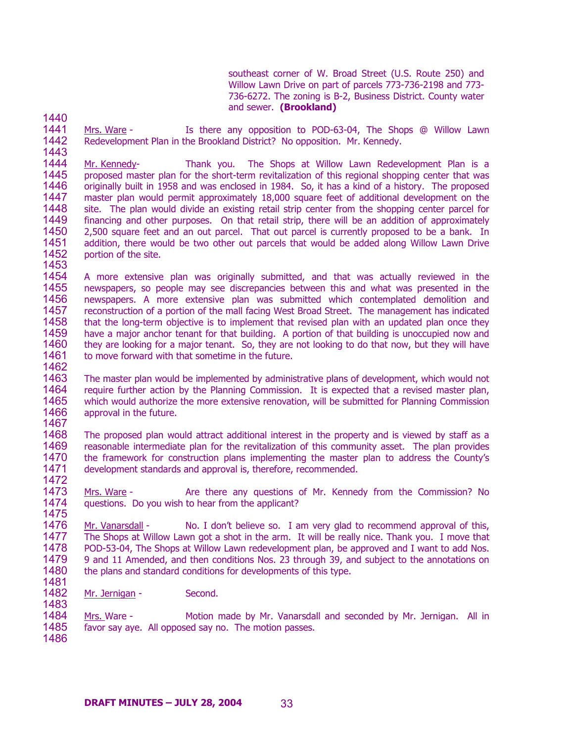southeast corner of W. Broad Street (U.S. Route 250) and Willow Lawn Drive on part of parcels 773-736-2198 and 773- 736-6272. The zoning is B-2, Business District. County water and sewer. **(Brookland)** 

1440

1443

1453

1483

1441 1442 Mrs. Ware - Is there any opposition to POD-63-04, The Shops @ Willow Lawn Redevelopment Plan in the Brookland District? No opposition. Mr. Kennedy.

1444 1445 1446 1447 1448 1449 1450 1451 1452 Mr. Kennedy- Thank you. The Shops at Willow Lawn Redevelopment Plan is a proposed master plan for the short-term revitalization of this regional shopping center that was originally built in 1958 and was enclosed in 1984. So, it has a kind of a history. The proposed master plan would permit approximately 18,000 square feet of additional development on the site. The plan would divide an existing retail strip center from the shopping center parcel for financing and other purposes. On that retail strip, there will be an addition of approximately 2,500 square feet and an out parcel. That out parcel is currently proposed to be a bank. In addition, there would be two other out parcels that would be added along Willow Lawn Drive portion of the site.

- 1454 1455 1456 1457 1458 1459 1460 1461 1462 A more extensive plan was originally submitted, and that was actually reviewed in the newspapers, so people may see discrepancies between this and what was presented in the newspapers. A more extensive plan was submitted which contemplated demolition and reconstruction of a portion of the mall facing West Broad Street. The management has indicated that the long-term objective is to implement that revised plan with an updated plan once they have a major anchor tenant for that building. A portion of that building is unoccupied now and they are looking for a major tenant. So, they are not looking to do that now, but they will have to move forward with that sometime in the future.
- 1463 1464 1465 1466 1467 The master plan would be implemented by administrative plans of development, which would not require further action by the Planning Commission. It is expected that a revised master plan, which would authorize the more extensive renovation, will be submitted for Planning Commission approval in the future.
- 1468 1469 1470 1471 1472 The proposed plan would attract additional interest in the property and is viewed by staff as a reasonable intermediate plan for the revitalization of this community asset. The plan provides the framework for construction plans implementing the master plan to address the County's development standards and approval is, therefore, recommended.
- 1473 1474 1475 Mrs. Ware - The Are there any questions of Mr. Kennedy from the Commission? No questions. Do you wish to hear from the applicant?
- 1476 1477 1478 1479 1480 1481 Mr. Vanarsdall - No. I don't believe so. I am very glad to recommend approval of this, The Shops at Willow Lawn got a shot in the arm. It will be really nice. Thank you. I move that POD-53-04, The Shops at Willow Lawn redevelopment plan, be approved and I want to add Nos. 9 and 11 Amended, and then conditions Nos. 23 through 39, and subject to the annotations on the plans and standard conditions for developments of this type.
- 1482 Mr. Jernigan - Second.

1484 1485 1486 Mrs. Ware - Motion made by Mr. Vanarsdall and seconded by Mr. Jernigan. All in favor say aye. All opposed say no. The motion passes.

**DRAFT MINUTES – JULY 28, 2004** 33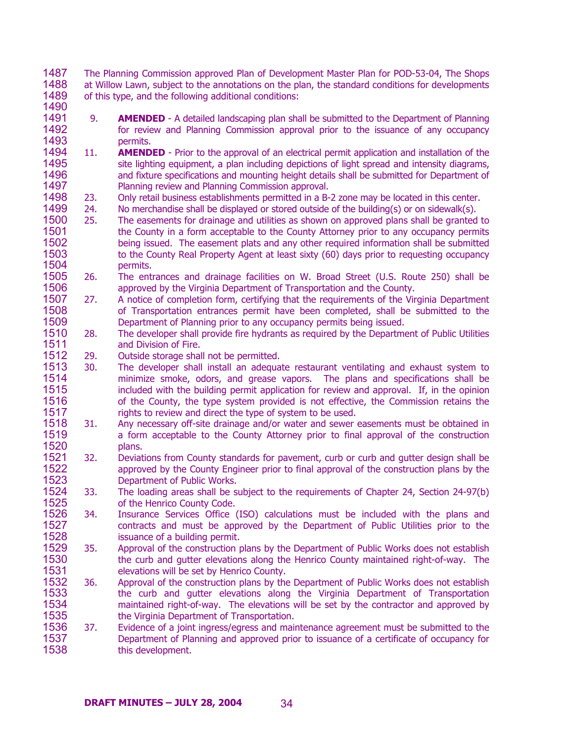1487 1488 1489 The Planning Commission approved Plan of Development Master Plan for POD-53-04, The Shops at Willow Lawn, subject to the annotations on the plan, the standard conditions for developments of this type, and the following additional conditions:

- 1491 1492 1493 9. **AMENDED** - A detailed landscaping plan shall be submitted to the Department of Planning for review and Planning Commission approval prior to the issuance of any occupancy permits.
- 1494 1495 1496 1497 11. **AMENDED** - Prior to the approval of an electrical permit application and installation of the site lighting equipment, a plan including depictions of light spread and intensity diagrams, and fixture specifications and mounting height details shall be submitted for Department of Planning review and Planning Commission approval.
- 1498 23. Only retail business establishments permitted in a B-2 zone may be located in this center.
- 1499 24. No merchandise shall be displayed or stored outside of the building(s) or on sidewalk(s).
- 1500 1501 1502 1503 1504 25. The easements for drainage and utilities as shown on approved plans shall be granted to the County in a form acceptable to the County Attorney prior to any occupancy permits being issued. The easement plats and any other required information shall be submitted to the County Real Property Agent at least sixty (60) days prior to requesting occupancy permits.
- 1505 1506 26. The entrances and drainage facilities on W. Broad Street (U.S. Route 250) shall be approved by the Virginia Department of Transportation and the County.
- 1507 1508 1509 27. A notice of completion form, certifying that the requirements of the Virginia Department of Transportation entrances permit have been completed, shall be submitted to the Department of Planning prior to any occupancy permits being issued.
- 1510 1511 28. The developer shall provide fire hydrants as required by the Department of Public Utilities and Division of Fire.
- 1512 29. Outside storage shall not be permitted.

- 1513 1514 1515 1516 1517 30. The developer shall install an adequate restaurant ventilating and exhaust system to minimize smoke, odors, and grease vapors. The plans and specifications shall be included with the building permit application for review and approval. If, in the opinion of the County, the type system provided is not effective, the Commission retains the rights to review and direct the type of system to be used.
- 1518 1519 1520 31. Any necessary off-site drainage and/or water and sewer easements must be obtained in a form acceptable to the County Attorney prior to final approval of the construction plans.
- 1521 1522 1523 32. Deviations from County standards for pavement, curb or curb and gutter design shall be approved by the County Engineer prior to final approval of the construction plans by the Department of Public Works.
- 1524 1525 33. The loading areas shall be subject to the requirements of Chapter 24, Section 24-97(b) of the Henrico County Code.
- 1526 1527 1528 34. Insurance Services Office (ISO) calculations must be included with the plans and contracts and must be approved by the Department of Public Utilities prior to the issuance of a building permit.
- 1529 1530 1531 35. Approval of the construction plans by the Department of Public Works does not establish the curb and gutter elevations along the Henrico County maintained right-of-way. The elevations will be set by Henrico County.
- 1532 1533 1534 1535 36. Approval of the construction plans by the Department of Public Works does not establish the curb and gutter elevations along the Virginia Department of Transportation maintained right-of-way. The elevations will be set by the contractor and approved by the Virginia Department of Transportation.
- 1536 1537 1538 37. Evidence of a joint ingress/egress and maintenance agreement must be submitted to the Department of Planning and approved prior to issuance of a certificate of occupancy for this development.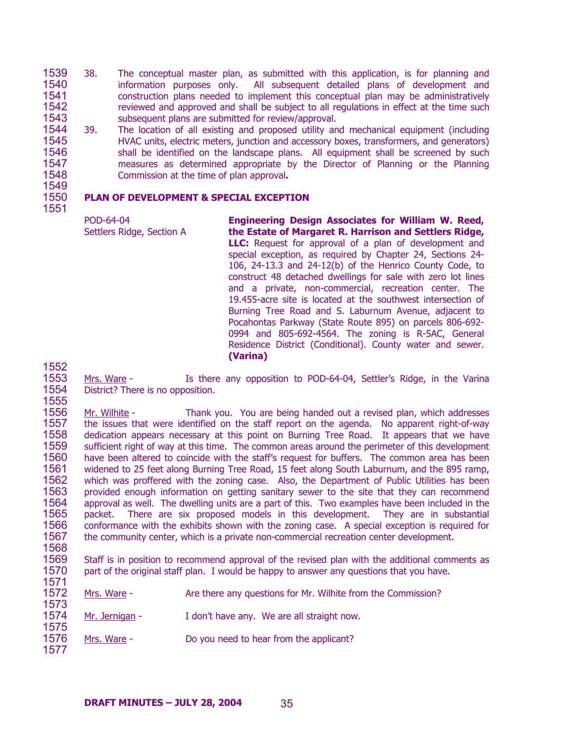- 1539 1540 1541 1542 1543 38. The conceptual master plan, as submitted with this application, is for planning and information purposes only. All subsequent detailed plans of development and construction plans needed to implement this conceptual plan may be administratively reviewed and approved and shall be subject to all regulations in effect at the time such subsequent plans are submitted for review/approval.
- 1544 1545 1546 1547 1548 1549 39. The location of all existing and proposed utility and mechanical equipment (including HVAC units, electric meters, junction and accessory boxes, transformers, and generators) shall be identified on the landscape plans. All equipment shall be screened by such measures as determined appropriate by the Director of Planning or the Planning Commission at the time of plan approval**.**

### 1550 1551 **PLAN OF DEVELOPMENT & SPECIAL EXCEPTION**

1552

POD-64-04 Settlers Ridge, Section A **Engineering Design Associates for William W. Reed, the Estate of Margaret R. Harrison and Settlers Ridge, LLC:** Request for approval of a plan of development and special exception, as required by Chapter 24, Sections 24- 106, 24-13.3 and 24-12(b) of the Henrico County Code, to construct 48 detached dwellings for sale with zero lot lines and a private, non-commercial, recreation center. The 19.455-acre site is located at the southwest intersection of Burning Tree Road and S. Laburnum Avenue, adjacent to Pocahontas Parkway (State Route 895) on parcels 806-692- 0994 and 805-692-4564. The zoning is R-5AC, General Residence District (Conditional). County water and sewer. **(Varina)** 

1553 1554 1555 Mrs. Ware - Is there any opposition to POD-64-04, Settler's Ridge, in the Varina District? There is no opposition.

1556 1557 1558 1559 1560 1561 1562 1563 1564 1565 1566 1567 1568 Mr. Wilhite - Thank you. You are being handed out a revised plan, which addresses the issues that were identified on the staff report on the agenda. No apparent right-of-way dedication appears necessary at this point on Burning Tree Road. It appears that we have sufficient right of way at this time. The common areas around the perimeter of this development have been altered to coincide with the staff's request for buffers. The common area has been widened to 25 feet along Burning Tree Road, 15 feet along South Laburnum, and the 895 ramp, which was proffered with the zoning case. Also, the Department of Public Utilities has been provided enough information on getting sanitary sewer to the site that they can recommend approval as well. The dwelling units are a part of this. Two examples have been included in the packet. There are six proposed models in this development. They are in substantial conformance with the exhibits shown with the zoning case. A special exception is required for the community center, which is a private non-commercial recreation center development.

1569 1570 1571 Staff is in position to recommend approval of the revised plan with the additional comments as part of the original staff plan. I would be happy to answer any questions that you have.

- 1572 1573 Mrs. Ware - Are there any questions for Mr. Wilhite from the Commission? 1574 1575 Mr. Jernigan - I don't have any. We are all straight now.
- 1576 1577 Mrs. Ware - Do you need to hear from the applicant?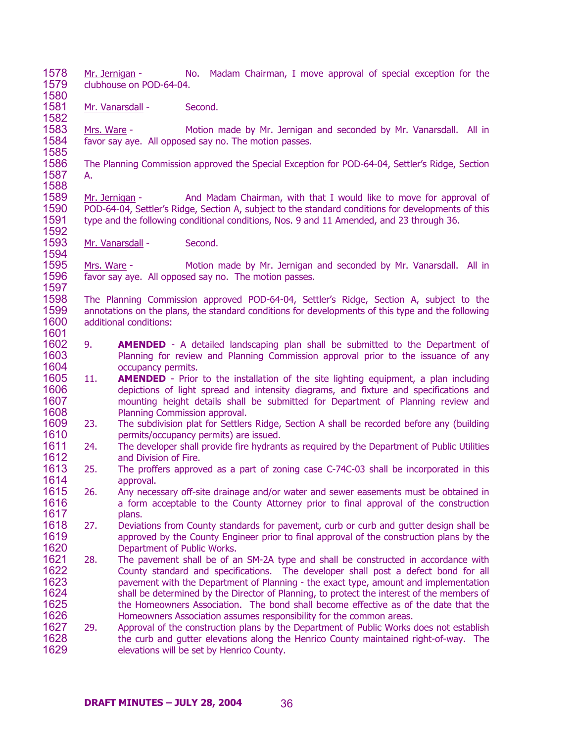1578 1579 1580 Mr. Jernigan - No. Madam Chairman, I move approval of special exception for the clubhouse on POD-64-04.

1581 1582 Mr. Vanarsdall - Second.

1583 1584 1585 Mrs. Ware - Motion made by Mr. Jernigan and seconded by Mr. Vanarsdall. All in favor say aye. All opposed say no. The motion passes.

1586 1587 1588 The Planning Commission approved the Special Exception for POD-64-04, Settler's Ridge, Section A.

1589 1590 1591 1592 Mr. Jernigan - And Madam Chairman, with that I would like to move for approval of POD-64-04, Settler's Ridge, Section A, subject to the standard conditions for developments of this type and the following conditional conditions, Nos. 9 and 11 Amended, and 23 through 36.

1593 1594 Mr. Vanarsdall - Second.

1597

1601

1595 1596 Mrs. Ware - Motion made by Mr. Jernigan and seconded by Mr. Vanarsdall. All in favor say aye. All opposed say no. The motion passes.

1598 1599 1600 The Planning Commission approved POD-64-04, Settler's Ridge, Section A, subject to the annotations on the plans, the standard conditions for developments of this type and the following additional conditions:

- 1602 1603 1604 9. **AMENDED** - A detailed landscaping plan shall be submitted to the Department of Planning for review and Planning Commission approval prior to the issuance of any occupancy permits.
- 1605 1606 1607 1608 11. **AMENDED** - Prior to the installation of the site lighting equipment, a plan including depictions of light spread and intensity diagrams, and fixture and specifications and mounting height details shall be submitted for Department of Planning review and Planning Commission approval.
- 1609 1610 23. The subdivision plat for Settlers Ridge, Section A shall be recorded before any (building permits/occupancy permits) are issued.
- 1611 1612 24. The developer shall provide fire hydrants as required by the Department of Public Utilities and Division of Fire.
- 1613 1614 25. The proffers approved as a part of zoning case C-74C-03 shall be incorporated in this approval.
- 1615 1616 1617 26. Any necessary off-site drainage and/or water and sewer easements must be obtained in a form acceptable to the County Attorney prior to final approval of the construction plans.
- 1618 1619 1620 27. Deviations from County standards for pavement, curb or curb and gutter design shall be approved by the County Engineer prior to final approval of the construction plans by the Department of Public Works.
- 1621 1622 1623 1624 1625 1626 28. The pavement shall be of an SM-2A type and shall be constructed in accordance with County standard and specifications. The developer shall post a defect bond for all pavement with the Department of Planning - the exact type, amount and implementation shall be determined by the Director of Planning, to protect the interest of the members of the Homeowners Association. The bond shall become effective as of the date that the Homeowners Association assumes responsibility for the common areas.
- 1627 1628 1629 29. Approval of the construction plans by the Department of Public Works does not establish the curb and gutter elevations along the Henrico County maintained right-of-way. The elevations will be set by Henrico County.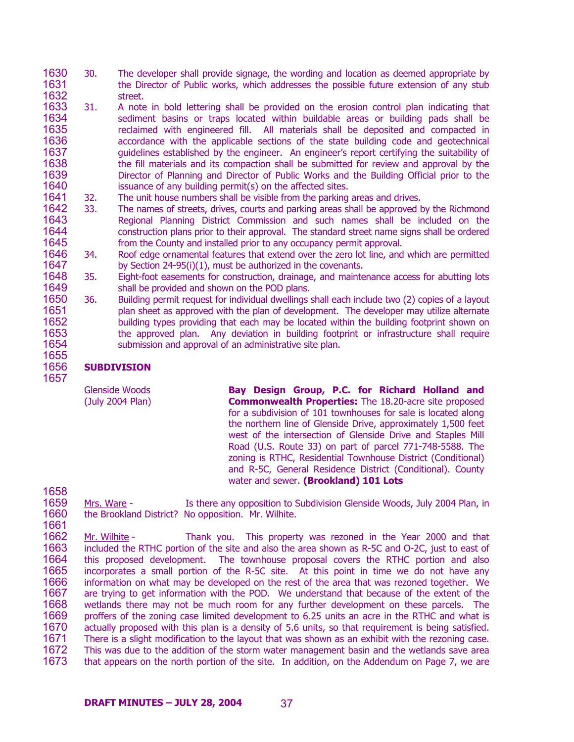- 1630 1631 1632 30. The developer shall provide signage, the wording and location as deemed appropriate by the Director of Public works, which addresses the possible future extension of any stub street.
- 1633 1634 1635 1636 1637 1638 1639 1640 31. A note in bold lettering shall be provided on the erosion control plan indicating that sediment basins or traps located within buildable areas or building pads shall be reclaimed with engineered fill. All materials shall be deposited and compacted in accordance with the applicable sections of the state building code and geotechnical guidelines established by the engineer. An engineer's report certifying the suitability of the fill materials and its compaction shall be submitted for review and approval by the Director of Planning and Director of Public Works and the Building Official prior to the issuance of any building permit(s) on the affected sites.
- 1641 32. The unit house numbers shall be visible from the parking areas and drives.
- 1642 1643 1644 1645 33. The names of streets, drives, courts and parking areas shall be approved by the Richmond Regional Planning District Commission and such names shall be included on the construction plans prior to their approval. The standard street name signs shall be ordered from the County and installed prior to any occupancy permit approval.
- 1646 1647 34. Roof edge ornamental features that extend over the zero lot line, and which are permitted by Section 24-95(i)(1), must be authorized in the covenants.
- 1648 1649 35. Eight-foot easements for construction, drainage, and maintenance access for abutting lots shall be provided and shown on the POD plans.
- 1650 1651 1652 1653 1654 1655 36. Building permit request for individual dwellings shall each include two (2) copies of a layout plan sheet as approved with the plan of development. The developer may utilize alternate building types providing that each may be located within the building footprint shown on the approved plan. Any deviation in building footprint or infrastructure shall require submission and approval of an administrative site plan.

## **SUBDIVISION**

1656 1657

1658

1661

Glenside Woods (July 2004 Plan) **Bay Design Group, P.C. for Richard Holland and Commonwealth Properties:** The 18.20-acre site proposed for a subdivision of 101 townhouses for sale is located along the northern line of Glenside Drive, approximately 1,500 feet west of the intersection of Glenside Drive and Staples Mill Road (U.S. Route 33) on part of parcel 771-748-5588. The zoning is RTHC, Residential Townhouse District (Conditional) and R-5C, General Residence District (Conditional). County water and sewer. **(Brookland) 101 Lots** 

1659 1660 Mrs. Ware - Is there any opposition to Subdivision Glenside Woods, July 2004 Plan, in the Brookland District? No opposition. Mr. Wilhite.

Mr. Wilhite - Thank you. This property was rezoned in the Year 2000 and that included the RTHC portion of the site and also the area shown as R-5C and O-2C, just to east of this proposed development. The townhouse proposal covers the RTHC portion and also incorporates a small portion of the R-5C site. At this point in time we do not have any information on what may be developed on the rest of the area that was rezoned together. We are trying to get information with the POD. We understand that because of the extent of the wetlands there may not be much room for any further development on these parcels. The proffers of the zoning case limited development to 6.25 units an acre in the RTHC and what is actually proposed with this plan is a density of 5.6 units, so that requirement is being satisfied. There is a slight modification to the layout that was shown as an exhibit with the rezoning case. This was due to the addition of the storm water management basin and the wetlands save area that appears on the north portion of the site. In addition, on the Addendum on Page 7, we are 1662 1663 1664 1665 1666 1667 1668 1669 1670 1671 1672 1673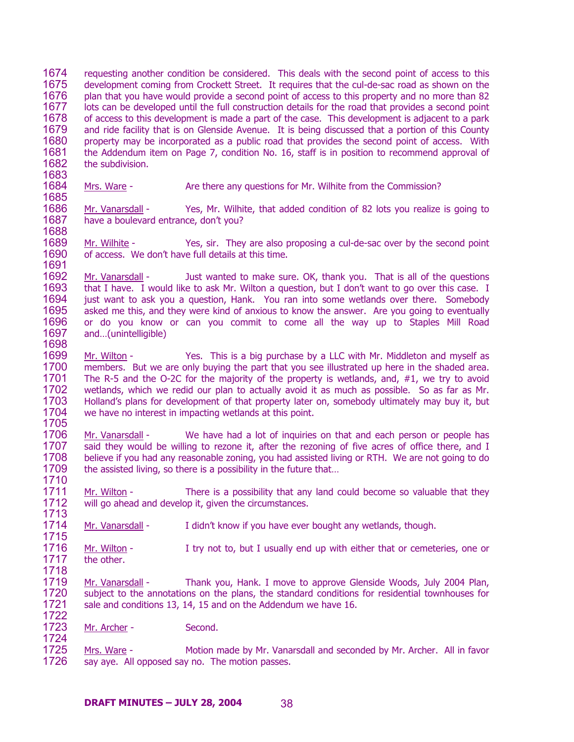1674 1675 1676 1677 1678 1679 1680 1681 1682 requesting another condition be considered. This deals with the second point of access to this development coming from Crockett Street. It requires that the cul-de-sac road as shown on the plan that you have would provide a second point of access to this property and no more than 82 lots can be developed until the full construction details for the road that provides a second point of access to this development is made a part of the case. This development is adjacent to a park and ride facility that is on Glenside Avenue. It is being discussed that a portion of this County property may be incorporated as a public road that provides the second point of access. With the Addendum item on Page 7, condition No. 16, staff is in position to recommend approval of the subdivision.

1684 1685 Mrs. Ware - Are there any questions for Mr. Wilhite from the Commission?

1686 1687 1688 Mr. Vanarsdall - Yes, Mr. Wilhite, that added condition of 82 lots you realize is going to have a boulevard entrance, don't you?

1689 1690 1691 Mr. Wilhite - Yes, sir. They are also proposing a cul-de-sac over by the second point of access. We don't have full details at this time.

1692 1693 1694 1695 1696 1697 Mr. Vanarsdall - Just wanted to make sure. OK, thank you. That is all of the questions that I have. I would like to ask Mr. Wilton a question, but I don't want to go over this case. I just want to ask you a question, Hank. You ran into some wetlands over there. Somebody asked me this, and they were kind of anxious to know the answer. Are you going to eventually or do you know or can you commit to come all the way up to Staples Mill Road and…(unintelligible)

1699 1700 1701 1702 1703 1704 1705 Mr. Wilton - Yes. This is a big purchase by a LLC with Mr. Middleton and myself as members. But we are only buying the part that you see illustrated up here in the shaded area. The R-5 and the O-2C for the majority of the property is wetlands, and, #1, we try to avoid wetlands, which we redid our plan to actually avoid it as much as possible. So as far as Mr. Holland's plans for development of that property later on, somebody ultimately may buy it, but we have no interest in impacting wetlands at this point.

1706 1707 1708 1709 1710 Mr. Vanarsdall - We have had a lot of inquiries on that and each person or people has said they would be willing to rezone it, after the rezoning of five acres of office there, and I believe if you had any reasonable zoning, you had assisted living or RTH. We are not going to do the assisted living, so there is a possibility in the future that…

1711 1712 1713 Mr. Wilton - There is a possibility that any land could become so valuable that they will go ahead and develop it, given the circumstances.

1714 Mr. Vanarsdall - I didn't know if you have ever bought any wetlands, though.

1716 1717 1718 Mr. Wilton - I try not to, but I usually end up with either that or cemeteries, one or the other.

1719 1720 1721 1722 Mr. Vanarsdall - Thank you, Hank. I move to approve Glenside Woods, July 2004 Plan, subject to the annotations on the plans, the standard conditions for residential townhouses for sale and conditions 13, 14, 15 and on the Addendum we have 16.

1723 1724 Mr. Archer - Second.

1683

1698

1715

Mrs. Ware - Motion made by Mr. Vanarsdall and seconded by Mr. Archer. All in favor say aye. All opposed say no. The motion passes. 1725 1726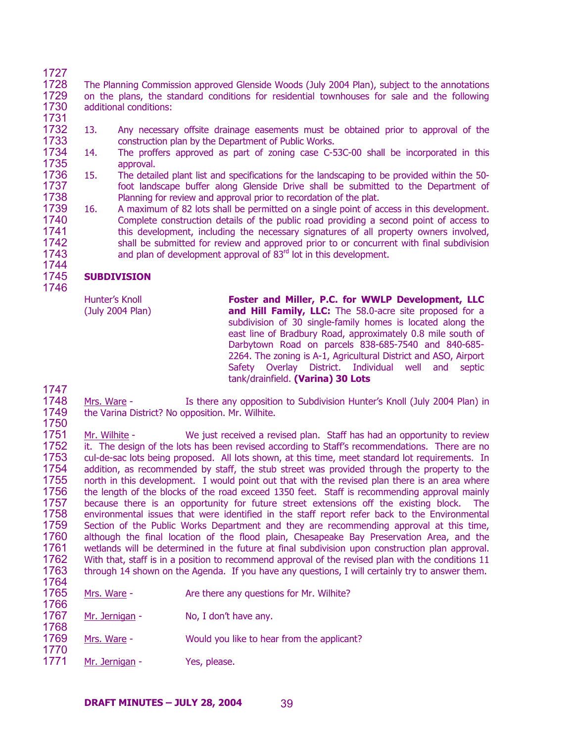- 1727 1728 1729 1730 1731 The Planning Commission approved Glenside Woods (July 2004 Plan), subject to the annotations on the plans, the standard conditions for residential townhouses for sale and the following additional conditions:
- 1732 1733 13. Any necessary offsite drainage easements must be obtained prior to approval of the construction plan by the Department of Public Works.
- 1734 1735 14. The proffers approved as part of zoning case C-53C-00 shall be incorporated in this approval.
- 1736 1737 1738 15. The detailed plant list and specifications for the landscaping to be provided within the 50 foot landscape buffer along Glenside Drive shall be submitted to the Department of Planning for review and approval prior to recordation of the plat.
- 1739 1740 1741 1742 1743 16. A maximum of 82 lots shall be permitted on a single point of access in this development. Complete construction details of the public road providing a second point of access to this development, including the necessary signatures of all property owners involved, shall be submitted for review and approved prior to or concurrent with final subdivision and plan of development approval of  $83<sup>rd</sup>$  lot in this development.

### 1745 **SUBDIVISION**

Hunter's Knoll (July 2004 Plan)

**Foster and Miller, P.C. for WWLP Development, LLC and Hill Family, LLC:** The 58.0-acre site proposed for a subdivision of 30 single-family homes is located along the east line of Bradbury Road, approximately 0.8 mile south of Darbytown Road on parcels 838-685-7540 and 840-685- 2264. The zoning is A-1, Agricultural District and ASO, Airport Safety Overlay District. Individual well and septic tank/drainfield. **(Varina) 30 Lots** 

1747

1744

- 1748 1749 1750 Mrs. Ware - Is there any opposition to Subdivision Hunter's Knoll (July 2004 Plan) in the Varina District? No opposition. Mr. Wilhite.
- 1751 1752 1753 1754 1755 1756 1757 1758 1759 1760 1761 1762 1763 1764 Mr. Wilhite - We just received a revised plan. Staff has had an opportunity to review it. The design of the lots has been revised according to Staff's recommendations. There are no cul-de-sac lots being proposed. All lots shown, at this time, meet standard lot requirements. In addition, as recommended by staff, the stub street was provided through the property to the north in this development. I would point out that with the revised plan there is an area where the length of the blocks of the road exceed 1350 feet. Staff is recommending approval mainly because there is an opportunity for future street extensions off the existing block. The environmental issues that were identified in the staff report refer back to the Environmental Section of the Public Works Department and they are recommending approval at this time, although the final location of the flood plain, Chesapeake Bay Preservation Area, and the wetlands will be determined in the future at final subdivision upon construction plan approval. With that, staff is in a position to recommend approval of the revised plan with the conditions 11 through 14 shown on the Agenda. If you have any questions, I will certainly try to answer them.

| ---<br>1765<br>1766 | Mrs. Ware -    | Are there any questions for Mr. Wilhite?   |
|---------------------|----------------|--------------------------------------------|
| 1767<br>1768        | Mr. Jernigan - | No, I don't have any.                      |
| 1769<br>1770        | Mrs. Ware -    | Would you like to hear from the applicant? |
| 1771                | Mr. Jernigan - | Yes, please.                               |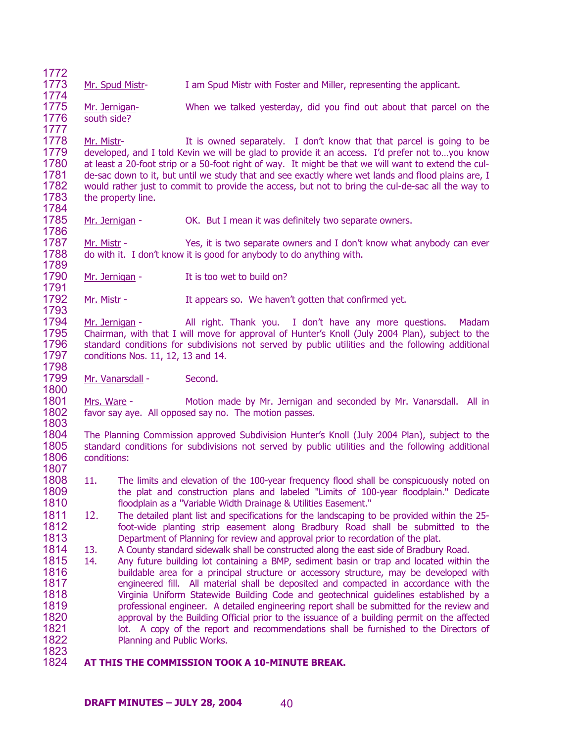1773 Mr. Spud Mistr- I am Spud Mistr with Foster and Miller, representing the applicant.

1774 1775 1776 Mr. Jernigan- When we talked yesterday, did you find out about that parcel on the south side?

1778 1779 1780 1781 1782 1783 1784 Mr. Mistr- It is owned separately. I don't know that that parcel is going to be developed, and I told Kevin we will be glad to provide it an access. I'd prefer not to…you know at least a 20-foot strip or a 50-foot right of way. It might be that we will want to extend the culde-sac down to it, but until we study that and see exactly where wet lands and flood plains are, I would rather just to commit to provide the access, but not to bring the cul-de-sac all the way to the property line.

1785 1786 Mr. Jernigan - CK. But I mean it was definitely two separate owners.

1787 1788 1789 Mr. Mistr - Yes, it is two separate owners and I don't know what anybody can ever do with it. I don't know it is good for anybody to do anything with.

1790 Mr. Jernigan - It is too wet to build on?

1792 1793 Mr. Mistr - It appears so. We haven't gotten that confirmed yet.

1794 1795 1796 1797 1798 Mr. Jernigan - All right. Thank you. I don't have any more questions. Madam Chairman, with that I will move for approval of Hunter's Knoll (July 2004 Plan), subject to the standard conditions for subdivisions not served by public utilities and the following additional conditions Nos. 11, 12, 13 and 14.

1799 Mr. Vanarsdall - Second.

1772

1777

1791

1800

1801 1802 1803 Mrs. Ware - Motion made by Mr. Jernigan and seconded by Mr. Vanarsdall. All in favor say aye. All opposed say no. The motion passes.

1804 1805 1806 1807 The Planning Commission approved Subdivision Hunter's Knoll (July 2004 Plan), subject to the standard conditions for subdivisions not served by public utilities and the following additional conditions:

- 1808 1809 1810 11. The limits and elevation of the 100-year frequency flood shall be conspicuously noted on the plat and construction plans and labeled "Limits of 100-year floodplain." Dedicate floodplain as a "Variable Width Drainage & Utilities Easement."
- 1811 1812 1813 12. The detailed plant list and specifications for the landscaping to be provided within the 25 foot-wide planting strip easement along Bradbury Road shall be submitted to the Department of Planning for review and approval prior to recordation of the plat.
- 1814 13. A County standard sidewalk shall be constructed along the east side of Bradbury Road.
- 1815 1816 1817 1818 1819 1820 1821 1822 1823 14. Any future building lot containing a BMP, sediment basin or trap and located within the buildable area for a principal structure or accessory structure, may be developed with engineered fill. All material shall be deposited and compacted in accordance with the Virginia Uniform Statewide Building Code and geotechnical guidelines established by a professional engineer. A detailed engineering report shall be submitted for the review and approval by the Building Official prior to the issuance of a building permit on the affected lot. A copy of the report and recommendations shall be furnished to the Directors of Planning and Public Works.
- 1824 **AT THIS THE COMMISSION TOOK A 10-MINUTE BREAK.**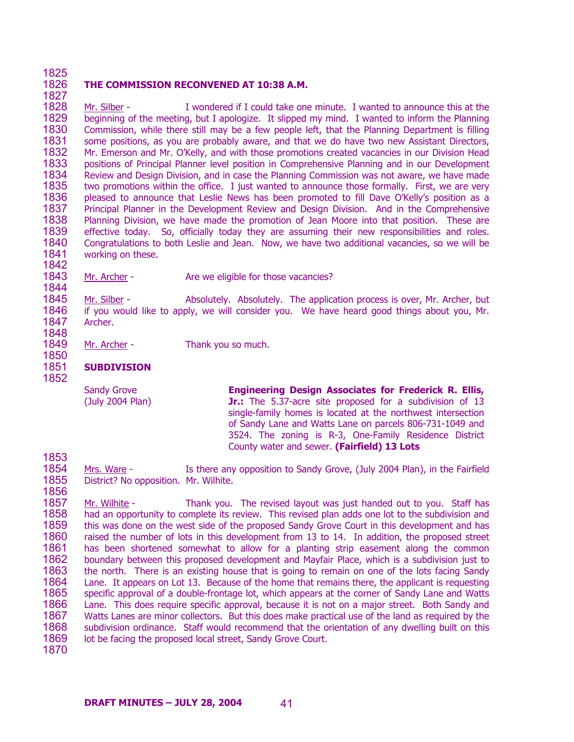### 1825 1826 **THE COMMISSION RECONVENED AT 10:38 A.M.**

1828 1829 1830 1831 1832 1833 1834 1835 1836 1837 1838 1839 1840 1841 Mr. Silber - I wondered if I could take one minute. I wanted to announce this at the beginning of the meeting, but I apologize. It slipped my mind. I wanted to inform the Planning Commission, while there still may be a few people left, that the Planning Department is filling some positions, as you are probably aware, and that we do have two new Assistant Directors, Mr. Emerson and Mr. O'Kelly, and with those promotions created vacancies in our Division Head positions of Principal Planner level position in Comprehensive Planning and in our Development Review and Design Division, and in case the Planning Commission was not aware, we have made two promotions within the office. I just wanted to announce those formally. First, we are very pleased to announce that Leslie News has been promoted to fill Dave O'Kelly's position as a Principal Planner in the Development Review and Design Division. And in the Comprehensive Planning Division, we have made the promotion of Jean Moore into that position. These are effective today. So, officially today they are assuming their new responsibilities and roles. Congratulations to both Leslie and Jean. Now, we have two additional vacancies, so we will be working on these.

1843 Mr. Archer - Are we eligible for those vacancies?

1845 1846 1847 Mr. Silber - Absolutely. Absolutely. The application process is over, Mr. Archer, but if you would like to apply, we will consider you. We have heard good things about you, Mr. Archer.

1848 1849

1827

1842

1844

1850 1851 1852

1853

Mr. Archer - Thank you so much.

# **SUBDIVISION**

Sandy Grove (July 2004 Plan)

**Engineering Design Associates for Frederick R. Ellis, Jr.:** The 5.37-acre site proposed for a subdivision of 13 single-family homes is located at the northwest intersection of Sandy Lane and Watts Lane on parcels 806-731-1049 and 3524. The zoning is R-3, One-Family Residence District County water and sewer. **(Fairfield) 13 Lots** 

1854 1855 1856 Mrs. Ware - Is there any opposition to Sandy Grove, (July 2004 Plan), in the Fairfield District? No opposition. Mr. Wilhite.

1857 1858 1859 1860 1861 1862 1863 1864 1865 1866 1867 1868 1869 1870 Mr. Wilhite - Thank you. The revised layout was just handed out to you. Staff has had an opportunity to complete its review. This revised plan adds one lot to the subdivision and this was done on the west side of the proposed Sandy Grove Court in this development and has raised the number of lots in this development from 13 to 14. In addition, the proposed street has been shortened somewhat to allow for a planting strip easement along the common boundary between this proposed development and Mayfair Place, which is a subdivision just to the north. There is an existing house that is going to remain on one of the lots facing Sandy Lane. It appears on Lot 13. Because of the home that remains there, the applicant is requesting specific approval of a double-frontage lot, which appears at the corner of Sandy Lane and Watts Lane. This does require specific approval, because it is not on a major street. Both Sandy and Watts Lanes are minor collectors. But this does make practical use of the land as required by the subdivision ordinance. Staff would recommend that the orientation of any dwelling built on this lot be facing the proposed local street, Sandy Grove Court.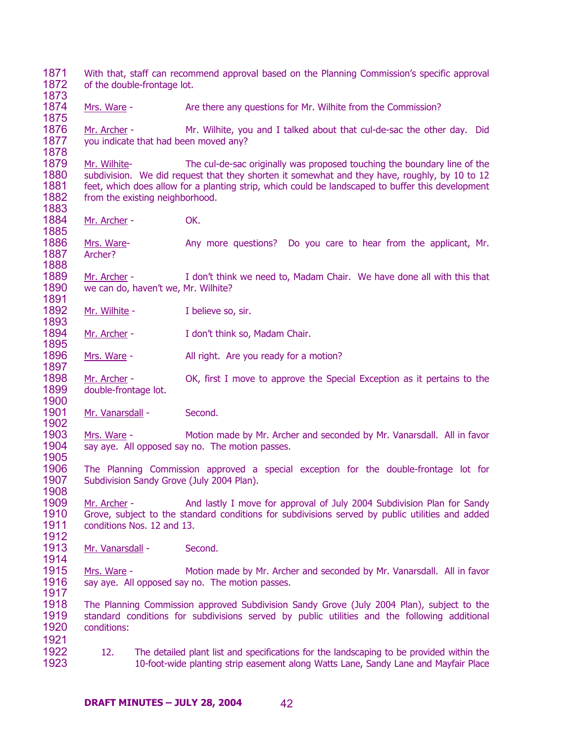1871 1872 1873 With that, staff can recommend approval based on the Planning Commission's specific approval of the double-frontage lot. 1874 1875 Mrs. Ware - Are there any questions for Mr. Wilhite from the Commission? 1876 1877 1878 Mr. Archer - Mr. Wilhite, you and I talked about that cul-de-sac the other day. Did you indicate that had been moved any? 1879 1880 1881 1882 1883 Mr. Wilhite- The cul-de-sac originally was proposed touching the boundary line of the subdivision. We did request that they shorten it somewhat and they have, roughly, by 10 to 12 feet, which does allow for a planting strip, which could be landscaped to buffer this development from the existing neighborhood. 1884 1885 Mr. Archer - OK. 1886 1887 1888 Mrs. Ware- Any more questions? Do you care to hear from the applicant, Mr. Archer? 1889 1890 1891 Mr. Archer - I don't think we need to, Madam Chair. We have done all with this that we can do, haven't we, Mr. Wilhite? 1892 1893 Mr. Wilhite - Thelieve so, sir. 1894 1895 Mr. Archer - I don't think so, Madam Chair. 1896 1897 Mrs. Ware - All right. Are you ready for a motion? 1898 1899 1900 Mr. Archer - OK, first I move to approve the Special Exception as it pertains to the double-frontage lot. 1901 1902 Mr. Vanarsdall - Second. 1903 1904 1905 1906 1907 1908 Mrs. Ware - Motion made by Mr. Archer and seconded by Mr. Vanarsdall. All in favor say aye. All opposed say no. The motion passes. The Planning Commission approved a special exception for the double-frontage lot for Subdivision Sandy Grove (July 2004 Plan). 1909 1910 1911 1912 Mr. Archer - And lastly I move for approval of July 2004 Subdivision Plan for Sandy Grove, subject to the standard conditions for subdivisions served by public utilities and added conditions Nos. 12 and 13. 1913 1914 Mr. Vanarsdall - Second. 1915 1916 1917 1918 1919 1920 1921 1922 1923 Mrs. Ware - Motion made by Mr. Archer and seconded by Mr. Vanarsdall. All in favor say aye. All opposed say no. The motion passes. The Planning Commission approved Subdivision Sandy Grove (July 2004 Plan), subject to the standard conditions for subdivisions served by public utilities and the following additional conditions: 12. The detailed plant list and specifications for the landscaping to be provided within the 10-foot-wide planting strip easement along Watts Lane, Sandy Lane and Mayfair Place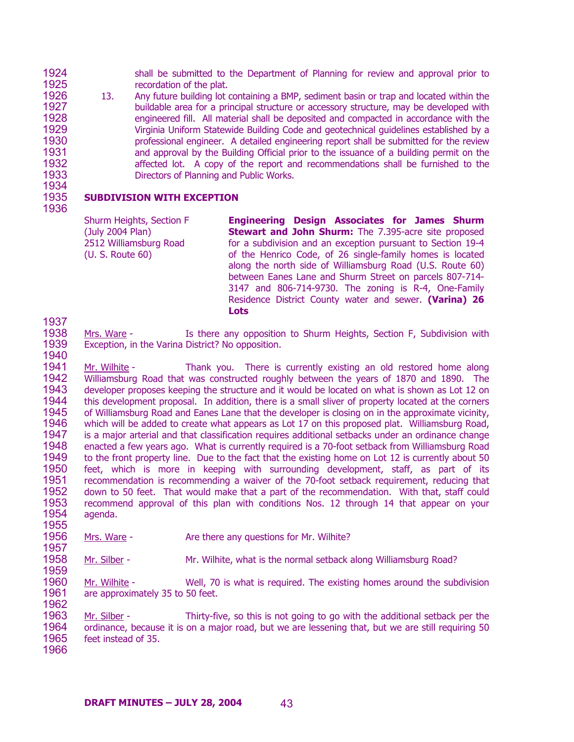1924 1925 shall be submitted to the Department of Planning for review and approval prior to recordation of the plat.

1926 1927 1928 1929 1930 1931 1932 1933 1934 13. Any future building lot containing a BMP, sediment basin or trap and located within the buildable area for a principal structure or accessory structure, may be developed with engineered fill. All material shall be deposited and compacted in accordance with the Virginia Uniform Statewide Building Code and geotechnical guidelines established by a professional engineer. A detailed engineering report shall be submitted for the review and approval by the Building Official prior to the issuance of a building permit on the affected lot. A copy of the report and recommendations shall be furnished to the Directors of Planning and Public Works.

# **SUBDIVISION WITH EXCEPTION**

Shurm Heights, Section F (July 2004 Plan) 2512 Williamsburg Road (U. S. Route 60)

**Engineering Design Associates for James Shurm Stewart and John Shurm:** The 7.395-acre site proposed for a subdivision and an exception pursuant to Section 19-4 of the Henrico Code, of 26 single-family homes is located along the north side of Williamsburg Road (U.S. Route 60) between Eanes Lane and Shurm Street on parcels 807-714- 3147 and 806-714-9730. The zoning is R-4, One-Family Residence District County water and sewer. **(Varina) 26 Lots** 

1937

1940

1935 1936

- 1938 1939 Mrs. Ware - Is there any opposition to Shurm Heights, Section F, Subdivision with Exception, in the Varina District? No opposition.
- 1941 1942 1943 1944 1945 1946 1947 1948 1949 1950 1951 1952 1953 1954 1955 Mr. Wilhite - Thank you. There is currently existing an old restored home along Williamsburg Road that was constructed roughly between the years of 1870 and 1890. The developer proposes keeping the structure and it would be located on what is shown as Lot 12 on this development proposal. In addition, there is a small sliver of property located at the corners of Williamsburg Road and Eanes Lane that the developer is closing on in the approximate vicinity, which will be added to create what appears as Lot 17 on this proposed plat. Williamsburg Road, is a major arterial and that classification requires additional setbacks under an ordinance change enacted a few years ago. What is currently required is a 70-foot setback from Williamsburg Road to the front property line. Due to the fact that the existing home on Lot 12 is currently about 50 feet, which is more in keeping with surrounding development, staff, as part of its recommendation is recommending a waiver of the 70-foot setback requirement, reducing that down to 50 feet. That would make that a part of the recommendation. With that, staff could recommend approval of this plan with conditions Nos. 12 through 14 that appear on your agenda.
- 1956 1957 Mrs. Ware - The Are there any questions for Mr. Wilhite?
- 1958 Mr. Silber - Mr. Wilhite, what is the normal setback along Williamsburg Road?
- 1960 1961 1962 Mr. Wilhite - Well, 70 is what is required. The existing homes around the subdivision are approximately 35 to 50 feet.

1963 1964 1965 Mr. Silber - Thirty-five, so this is not going to go with the additional setback per the ordinance, because it is on a major road, but we are lessening that, but we are still requiring 50 feet instead of 35.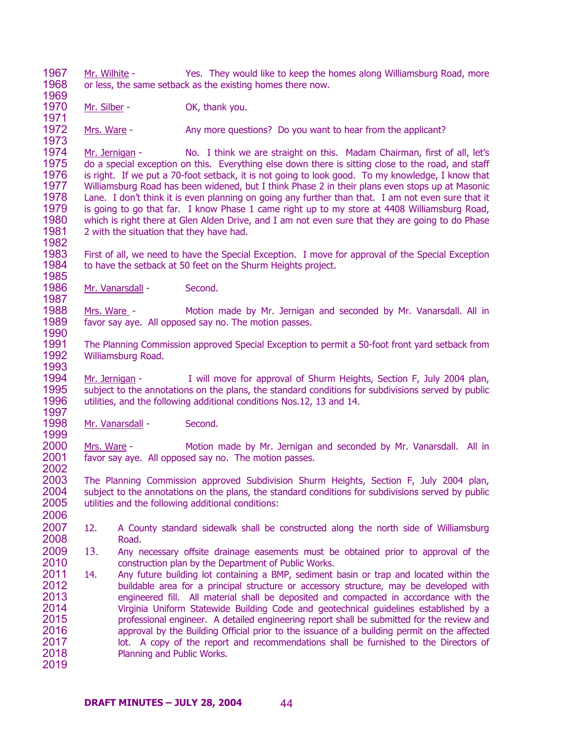1967 1968 1969 Mr. Wilhite - Yes. They would like to keep the homes along Williamsburg Road, more or less, the same setback as the existing homes there now.

1970 1971 Mr. Silber - OK, thank you.

1972 1973 Mrs. Ware - Any more questions? Do you want to hear from the applicant?

1974 1975 1976 1977 1978 1979 1980 1981 1982 Mr. Jernigan - No. I think we are straight on this. Madam Chairman, first of all, let's do a special exception on this. Everything else down there is sitting close to the road, and staff is right. If we put a 70-foot setback, it is not going to look good. To my knowledge, I know that Williamsburg Road has been widened, but I think Phase 2 in their plans even stops up at Masonic Lane. I don't think it is even planning on going any further than that. I am not even sure that it is going to go that far. I know Phase 1 came right up to my store at 4408 Williamsburg Road, which is right there at Glen Alden Drive, and I am not even sure that they are going to do Phase 2 with the situation that they have had.

1983 1984 1985 First of all, we need to have the Special Exception. I move for approval of the Special Exception to have the setback at 50 feet on the Shurm Heights project.

1986 1987 Mr. Vanarsdall - Second.

1988 1989 1990 Mrs. Ware - Motion made by Mr. Jernigan and seconded by Mr. Vanarsdall. All in favor say aye. All opposed say no. The motion passes.

1991 1992 1993 The Planning Commission approved Special Exception to permit a 50-foot front yard setback from Williamsburg Road.

1994 1995 1996 1997 Mr. Jernigan - I will move for approval of Shurm Heights, Section F, July 2004 plan, subject to the annotations on the plans, the standard conditions for subdivisions served by public utilities, and the following additional conditions Nos.12, 13 and 14.

1998 Mr. Vanarsdall - Second.

1999

2000 2001 2002 Mrs. Ware - Motion made by Mr. Jernigan and seconded by Mr. Vanarsdall. All in favor say aye. All opposed say no. The motion passes.

2003 2004 2005 2006 The Planning Commission approved Subdivision Shurm Heights, Section F, July 2004 plan, subject to the annotations on the plans, the standard conditions for subdivisions served by public utilities and the following additional conditions:

- 2007 2008 12. A County standard sidewalk shall be constructed along the north side of Williamsburg Road.
- 2009 2010 13. Any necessary offsite drainage easements must be obtained prior to approval of the construction plan by the Department of Public Works.
- 2011 2012 2013 2014 2015 2016 2017 2018 2019 14. Any future building lot containing a BMP, sediment basin or trap and located within the buildable area for a principal structure or accessory structure, may be developed with engineered fill. All material shall be deposited and compacted in accordance with the Virginia Uniform Statewide Building Code and geotechnical guidelines established by a professional engineer. A detailed engineering report shall be submitted for the review and approval by the Building Official prior to the issuance of a building permit on the affected lot. A copy of the report and recommendations shall be furnished to the Directors of Planning and Public Works.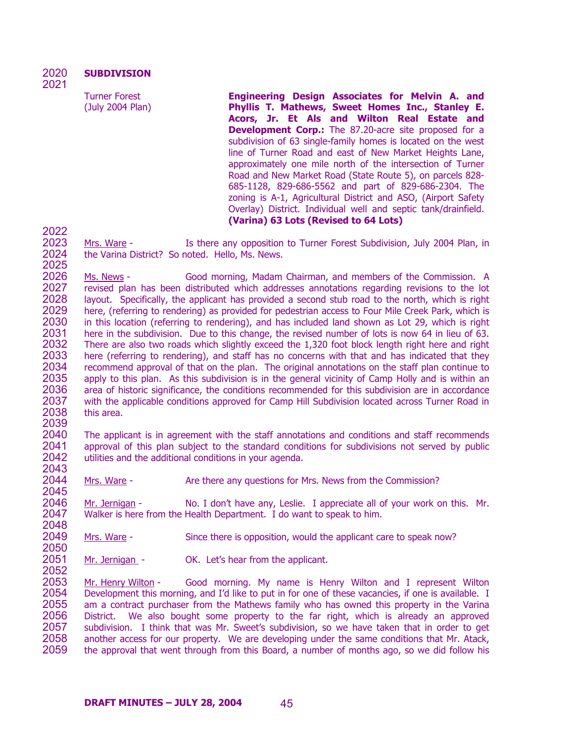Turner Forest (July 2004 Plan) **Engineering Design Associates for Melvin A. and Phyllis T. Mathews, Sweet Homes Inc., Stanley E. Acors, Jr. Et Als and Wilton Real Estate and Development Corp.:** The 87.20-acre site proposed for a subdivision of 63 single-family homes is located on the west line of Turner Road and east of New Market Heights Lane, approximately one mile north of the intersection of Turner Road and New Market Road (State Route 5), on parcels 828- 685-1128, 829-686-5562 and part of 829-686-2304. The zoning is A-1, Agricultural District and ASO, (Airport Safety Overlay) District. Individual well and septic tank/drainfield. **(Varina) 63 Lots (Revised to 64 Lots)** 

2022

2052

2023 2024 2025 Mrs. Ware - Is there any opposition to Turner Forest Subdivision, July 2004 Plan, in the Varina District? So noted. Hello, Ms. News.

2026 2027 2028 2029 2030 2031 2032 2033 2034 2035 2036 2037 2038 2039 Ms. News - Good morning, Madam Chairman, and members of the Commission. A revised plan has been distributed which addresses annotations regarding revisions to the lot layout. Specifically, the applicant has provided a second stub road to the north, which is right here, (referring to rendering) as provided for pedestrian access to Four Mile Creek Park, which is in this location (referring to rendering), and has included land shown as Lot 29, which is right here in the subdivision. Due to this change, the revised number of lots is now 64 in lieu of 63. There are also two roads which slightly exceed the 1,320 foot block length right here and right here (referring to rendering), and staff has no concerns with that and has indicated that they recommend approval of that on the plan. The original annotations on the staff plan continue to apply to this plan. As this subdivision is in the general vicinity of Camp Holly and is within an area of historic significance, the conditions recommended for this subdivision are in accordance with the applicable conditions approved for Camp Hill Subdivision located across Turner Road in this area.

2040 2041 2042 2043 The applicant is in agreement with the staff annotations and conditions and staff recommends approval of this plan subject to the standard conditions for subdivisions not served by public utilities and the additional conditions in your agenda.

2044 2045 Mrs. Ware - Are there any questions for Mrs. News from the Commission?

2046 2047 2048 Mr. Jernigan - No. I don't have any, Leslie. I appreciate all of your work on this. Mr. Walker is here from the Health Department. I do want to speak to him.

2049 2050 Mrs. Ware - Since there is opposition, would the applicant care to speak now?

2051 Mr. Jernigan - OK. Let's hear from the applicant.

Mr. Henry Wilton - Good morning. My name is Henry Wilton and I represent Wilton Development this morning, and I'd like to put in for one of these vacancies, if one is available. I am a contract purchaser from the Mathews family who has owned this property in the Varina District. We also bought some property to the far right, which is already an approved subdivision. I think that was Mr. Sweet's subdivision, so we have taken that in order to get another access for our property. We are developing under the same conditions that Mr. Atack, the approval that went through from this Board, a number of months ago, so we did follow his 2053 2054 2055 2056 2057 2058 2059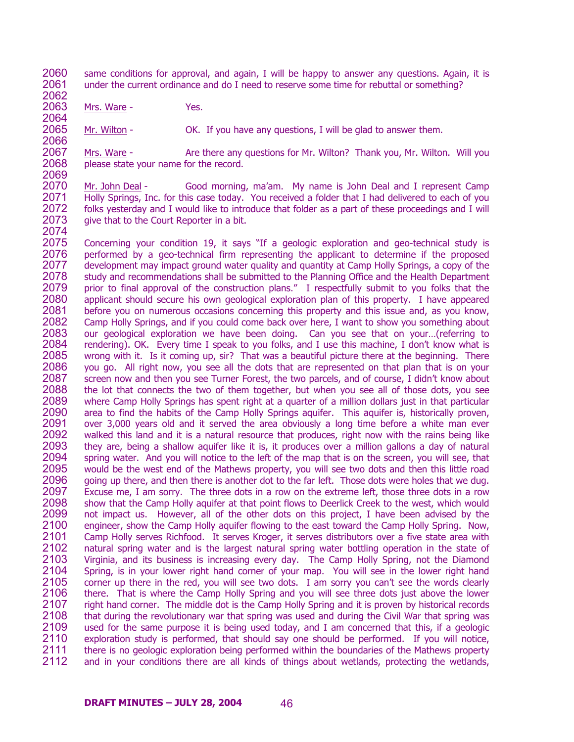2060 2061 2062 same conditions for approval, and again, I will be happy to answer any questions. Again, it is under the current ordinance and do I need to reserve some time for rebuttal or something?

2063 2064 Mrs. Ware - Yes.

2065 2066 Mr. Wilton - OK. If you have any questions, I will be glad to answer them.

2067 2068 2069 Mrs. Ware - Are there any questions for Mr. Wilton? Thank you, Mr. Wilton. Will you please state your name for the record.

2070 2071 2072 2073 2074 Mr. John Deal - Good morning, ma'am. My name is John Deal and I represent Camp Holly Springs, Inc. for this case today. You received a folder that I had delivered to each of vou folks yesterday and I would like to introduce that folder as a part of these proceedings and I will give that to the Court Reporter in a bit.

2075 2076 2077 2078 2079 2080 2081 2082 2083 2084 2085 2086 2087 2088 2089 2090 2091 2092 2093 2094 2095 2096 2097 2098 2099 2100 2101 2102 2103 2104 2105 2106 2107 2108 2109 2110 2111 2112 Concerning your condition 19, it says "If a geologic exploration and geo-technical study is performed by a geo-technical firm representing the applicant to determine if the proposed development may impact ground water quality and quantity at Camp Holly Springs, a copy of the study and recommendations shall be submitted to the Planning Office and the Health Department prior to final approval of the construction plans." I respectfully submit to you folks that the applicant should secure his own geological exploration plan of this property. I have appeared before you on numerous occasions concerning this property and this issue and, as you know, Camp Holly Springs, and if you could come back over here, I want to show you something about our geological exploration we have been doing. Can you see that on your…(referring to rendering). OK. Every time I speak to you folks, and I use this machine, I don't know what is wrong with it. Is it coming up, sir? That was a beautiful picture there at the beginning. There you go. All right now, you see all the dots that are represented on that plan that is on your screen now and then you see Turner Forest, the two parcels, and of course, I didn't know about the lot that connects the two of them together, but when you see all of those dots, you see where Camp Holly Springs has spent right at a quarter of a million dollars just in that particular area to find the habits of the Camp Holly Springs aquifer. This aquifer is, historically proven, over 3,000 years old and it served the area obviously a long time before a white man ever walked this land and it is a natural resource that produces, right now with the rains being like they are, being a shallow aquifer like it is, it produces over a million gallons a day of natural spring water. And you will notice to the left of the map that is on the screen, you will see, that would be the west end of the Mathews property, you will see two dots and then this little road going up there, and then there is another dot to the far left. Those dots were holes that we dug. Excuse me, I am sorry. The three dots in a row on the extreme left, those three dots in a row show that the Camp Holly aquifer at that point flows to Deerlick Creek to the west, which would not impact us. However, all of the other dots on this project, I have been advised by the engineer, show the Camp Holly aquifer flowing to the east toward the Camp Holly Spring. Now, Camp Holly serves Richfood. It serves Kroger, it serves distributors over a five state area with natural spring water and is the largest natural spring water bottling operation in the state of Virginia, and its business is increasing every day. The Camp Holly Spring, not the Diamond Spring, is in your lower right hand corner of your map. You will see in the lower right hand corner up there in the red, you will see two dots. I am sorry you can't see the words clearly there. That is where the Camp Holly Spring and you will see three dots just above the lower right hand corner. The middle dot is the Camp Holly Spring and it is proven by historical records that during the revolutionary war that spring was used and during the Civil War that spring was used for the same purpose it is being used today, and I am concerned that this, if a geologic exploration study is performed, that should say one should be performed. If you will notice, there is no geologic exploration being performed within the boundaries of the Mathews property and in your conditions there are all kinds of things about wetlands, protecting the wetlands,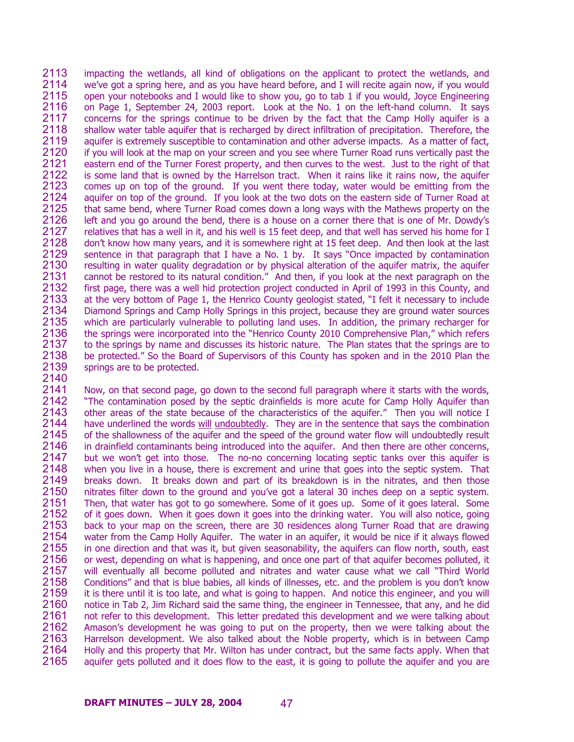2113 2114 2115 2116 2117 2118 2119 2120 2121 2122 2123 2124 2125 2126 2127 2128 2129 2130 2131 2132 2133 2134 2135 2136 2137 2138 2139 impacting the wetlands, all kind of obligations on the applicant to protect the wetlands, and we've got a spring here, and as you have heard before, and I will recite again now, if you would open your notebooks and I would like to show you, go to tab 1 if you would, Joyce Engineering on Page 1, September 24, 2003 report. Look at the No. 1 on the left-hand column. It says concerns for the springs continue to be driven by the fact that the Camp Holly aquifer is a shallow water table aquifer that is recharged by direct infiltration of precipitation. Therefore, the aquifer is extremely susceptible to contamination and other adverse impacts. As a matter of fact, if you will look at the map on your screen and you see where Turner Road runs vertically past the eastern end of the Turner Forest property, and then curves to the west. Just to the right of that is some land that is owned by the Harrelson tract. When it rains like it rains now, the aquifer comes up on top of the ground. If you went there today, water would be emitting from the aquifer on top of the ground. If you look at the two dots on the eastern side of Turner Road at that same bend, where Turner Road comes down a long ways with the Mathews property on the left and you go around the bend, there is a house on a corner there that is one of Mr. Dowdy's relatives that has a well in it, and his well is 15 feet deep, and that well has served his home for I don't know how many years, and it is somewhere right at 15 feet deep. And then look at the last sentence in that paragraph that I have a No. 1 by. It says "Once impacted by contamination resulting in water quality degradation or by physical alteration of the aquifer matrix, the aquifer cannot be restored to its natural condition." And then, if you look at the next paragraph on the first page, there was a well hid protection project conducted in April of 1993 in this County, and at the very bottom of Page 1, the Henrico County geologist stated, "I felt it necessary to include Diamond Springs and Camp Holly Springs in this project, because they are ground water sources which are particularly vulnerable to polluting land uses. In addition, the primary recharger for the springs were incorporated into the "Henrico County 2010 Comprehensive Plan," which refers to the springs by name and discusses its historic nature. The Plan states that the springs are to be protected." So the Board of Supervisors of this County has spoken and in the 2010 Plan the springs are to be protected.

2140

2141 2142 2143 Now, on that second page, go down to the second full paragraph where it starts with the words, "The contamination posed by the septic drainfields is more acute for Camp Holly Aquifer than other areas of the state because of the characteristics of the aquifer." Then you will notice I have underlined the words will undoubtedly. They are in the sentence that says the combination of the shallowness of the aquifer and the speed of the ground water flow will undoubtedly result in drainfield contaminants being introduced into the aquifer. And then there are other concerns, but we won't get into those. The no-no concerning locating septic tanks over this aquifer is when you live in a house, there is excrement and urine that goes into the septic system. That breaks down. It breaks down and part of its breakdown is in the nitrates, and then those nitrates filter down to the ground and you've got a lateral 30 inches deep on a septic system. Then, that water has got to go somewhere. Some of it goes up. Some of it goes lateral. Some of it goes down. When it goes down it goes into the drinking water. You will also notice, going back to your map on the screen, there are 30 residences along Turner Road that are drawing water from the Camp Holly Aquifer. The water in an aquifer, it would be nice if it always flowed in one direction and that was it, but given seasonability, the aquifers can flow north, south, east or west, depending on what is happening, and once one part of that aquifer becomes polluted, it will eventually all become polluted and nitrates and water cause what we call "Third World Conditions" and that is blue babies, all kinds of illnesses, etc. and the problem is you don't know it is there until it is too late, and what is going to happen. And notice this engineer, and you will notice in Tab 2, Jim Richard said the same thing, the engineer in Tennessee, that any, and he did not refer to this development. This letter predated this development and we were talking about Amason's development he was going to put on the property, then we were talking about the Harrelson development. We also talked about the Noble property, which is in between Camp Holly and this property that Mr. Wilton has under contract, but the same facts apply. When that aquifer gets polluted and it does flow to the east, it is going to pollute the aquifer and you are 2144 2145 2146 2147 2148 2149 2150 2151 2152 2153 2154 2155 2156 2157 2158 2159 2160 2161 2162 2163 2164 2165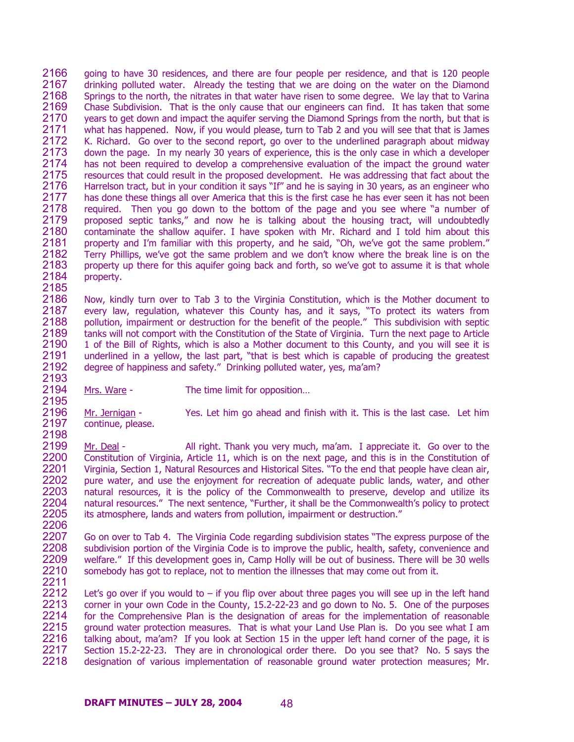2166 2167 2168 2169 2170 2171 2172 2173 2174 2175 2176 2177 2178 2179 2180 2181 2182 2183 2184 2185 going to have 30 residences, and there are four people per residence, and that is 120 people drinking polluted water. Already the testing that we are doing on the water on the Diamond Springs to the north, the nitrates in that water have risen to some degree. We lay that to Varina Chase Subdivision. That is the only cause that our engineers can find. It has taken that some years to get down and impact the aquifer serving the Diamond Springs from the north, but that is what has happened. Now, if you would please, turn to Tab 2 and you will see that that is James K. Richard. Go over to the second report, go over to the underlined paragraph about midway down the page. In my nearly 30 years of experience, this is the only case in which a developer has not been required to develop a comprehensive evaluation of the impact the ground water resources that could result in the proposed development. He was addressing that fact about the Harrelson tract, but in your condition it says "If" and he is saying in 30 years, as an engineer who has done these things all over America that this is the first case he has ever seen it has not been required. Then you go down to the bottom of the page and you see where "a number of proposed septic tanks," and now he is talking about the housing tract, will undoubtedly contaminate the shallow aquifer. I have spoken with Mr. Richard and I told him about this property and I'm familiar with this property, and he said, "Oh, we've got the same problem." Terry Phillips, we've got the same problem and we don't know where the break line is on the property up there for this aquifer going back and forth, so we've got to assume it is that whole property.

2186 2187 2188 2189 2190 2191 2192 Now, kindly turn over to Tab 3 to the Virginia Constitution, which is the Mother document to every law, regulation, whatever this County has, and it says, "To protect its waters from pollution, impairment or destruction for the benefit of the people." This subdivision with septic tanks will not comport with the Constitution of the State of Virginia. Turn the next page to Article 1 of the Bill of Rights, which is also a Mother document to this County, and you will see it is underlined in a yellow, the last part, "that is best which is capable of producing the greatest degree of happiness and safety." Drinking polluted water, yes, ma'am?

- 2193 2194 2195
- Mrs. Ware The time limit for opposition...

2196 2197 2198 Mr. Jernigan - Yes. Let him go ahead and finish with it. This is the last case. Let him continue, please.

2199 2200 2201 2202 2203 2204 2205 2206 Mr. Deal - All right. Thank you very much, ma'am. I appreciate it. Go over to the Constitution of Virginia, Article 11, which is on the next page, and this is in the Constitution of Virginia, Section 1, Natural Resources and Historical Sites. "To the end that people have clean air, pure water, and use the enjoyment for recreation of adequate public lands, water, and other natural resources, it is the policy of the Commonwealth to preserve, develop and utilize its natural resources." The next sentence, "Further, it shall be the Commonwealth's policy to protect its atmosphere, lands and waters from pollution, impairment or destruction."

2207 2208 2209 2210 2211 Go on over to Tab 4. The Virginia Code regarding subdivision states "The express purpose of the subdivision portion of the Virginia Code is to improve the public, health, safety, convenience and welfare." If this development goes in, Camp Holly will be out of business. There will be 30 wells somebody has got to replace, not to mention the illnesses that may come out from it.

2212 2213 2214 2215 2216 2217 2218 Let's go over if you would to  $-$  if you flip over about three pages you will see up in the left hand corner in your own Code in the County, 15.2-22-23 and go down to No. 5. One of the purposes for the Comprehensive Plan is the designation of areas for the implementation of reasonable ground water protection measures. That is what your Land Use Plan is. Do you see what I am talking about, ma'am? If you look at Section 15 in the upper left hand corner of the page, it is Section 15.2-22-23. They are in chronological order there. Do you see that? No. 5 says the designation of various implementation of reasonable ground water protection measures; Mr.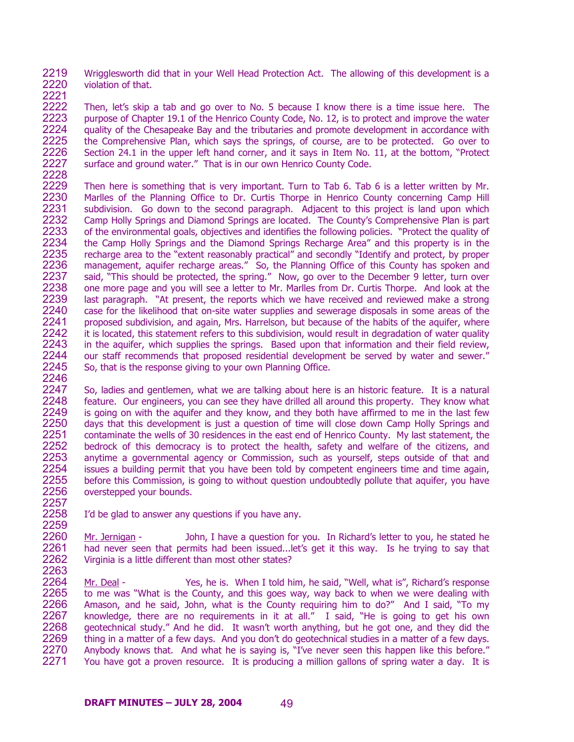2219 2220 2221 Wrigglesworth did that in your Well Head Protection Act. The allowing of this development is a violation of that.

2222 2223 2224 2225 2226 2227 Then, let's skip a tab and go over to No. 5 because I know there is a time issue here. The purpose of Chapter 19.1 of the Henrico County Code, No. 12, is to protect and improve the water quality of the Chesapeake Bay and the tributaries and promote development in accordance with the Comprehensive Plan, which says the springs, of course, are to be protected. Go over to Section 24.1 in the upper left hand corner, and it says in Item No. 11, at the bottom, "Protect surface and ground water." That is in our own Henrico County Code.

2228

2257

2229 2230 2231 2232 2233 2234 2235 2236 2237 2238 2239 2240 2241 2242 2243 2244 2245 2246 Then here is something that is very important. Turn to Tab 6. Tab 6 is a letter written by Mr. Marlles of the Planning Office to Dr. Curtis Thorpe in Henrico County concerning Camp Hill subdivision. Go down to the second paragraph. Adjacent to this project is land upon which Camp Holly Springs and Diamond Springs are located. The County's Comprehensive Plan is part of the environmental goals, objectives and identifies the following policies. "Protect the quality of the Camp Holly Springs and the Diamond Springs Recharge Area" and this property is in the recharge area to the "extent reasonably practical" and secondly "Identify and protect, by proper management, aquifer recharge areas." So, the Planning Office of this County has spoken and said, "This should be protected, the spring." Now, go over to the December 9 letter, turn over one more page and you will see a letter to Mr. Marlles from Dr. Curtis Thorpe. And look at the last paragraph. "At present, the reports which we have received and reviewed make a strong case for the likelihood that on-site water supplies and sewerage disposals in some areas of the proposed subdivision, and again, Mrs. Harrelson, but because of the habits of the aquifer, where it is located, this statement refers to this subdivision, would result in degradation of water quality in the aquifer, which supplies the springs. Based upon that information and their field review, our staff recommends that proposed residential development be served by water and sewer." So, that is the response giving to your own Planning Office.

2247 2248 2249 2250 2251 2252 2253 2254 2255 2256 So, ladies and gentlemen, what we are talking about here is an historic feature. It is a natural feature. Our engineers, you can see they have drilled all around this property. They know what is going on with the aquifer and they know, and they both have affirmed to me in the last few days that this development is just a question of time will close down Camp Holly Springs and contaminate the wells of 30 residences in the east end of Henrico County. My last statement, the bedrock of this democracy is to protect the health, safety and welfare of the citizens, and anytime a governmental agency or Commission, such as yourself, steps outside of that and issues a building permit that you have been told by competent engineers time and time again, before this Commission, is going to without question undoubtedly pollute that aquifer, you have overstepped your bounds.

2258 2259 I'd be glad to answer any questions if you have any.

2260 2261 2262 2263 Mr. Jernigan - John, I have a question for you. In Richard's letter to you, he stated he had never seen that permits had been issued...let's get it this way. Is he trying to say that Virginia is a little different than most other states?

Mr. Deal - Yes, he is. When I told him, he said, "Well, what is", Richard's response to me was "What is the County, and this goes way, way back to when we were dealing with Amason, and he said, John, what is the County requiring him to do?" And I said, "To my knowledge, there are no requirements in it at all." I said, "He is going to get his own geotechnical study." And he did. It wasn't worth anything, but he got one, and they did the thing in a matter of a few days. And you don't do geotechnical studies in a matter of a few days. Anybody knows that. And what he is saying is, "I've never seen this happen like this before." You have got a proven resource. It is producing a million gallons of spring water a day. It is 2264 2265 2266 2267 2268 2269 2270 2271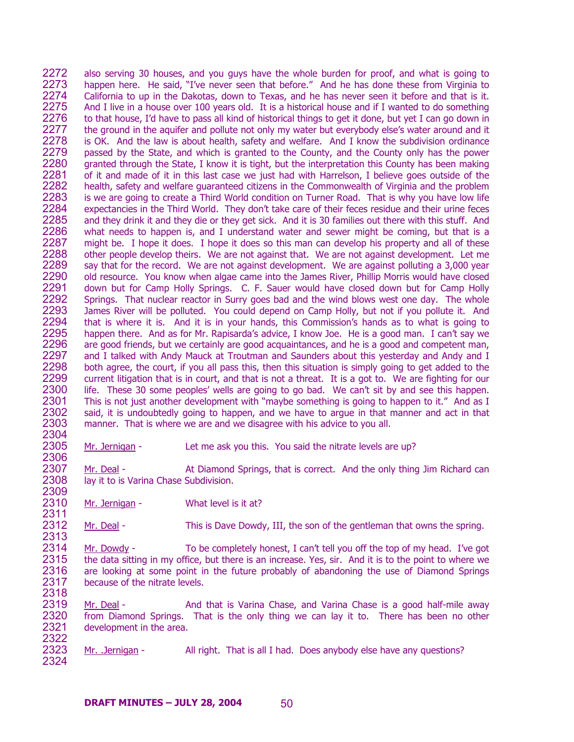2272 2273 2274 2275 2276 2277 2278 2279 2280 2281 2282 2283 2284 2285 2286 2287 2288 2289 2290 2291 2292 2293 2294 2295 2296 2297 2298 2299 2300 2301 2302 2303 2304 also serving 30 houses, and you guys have the whole burden for proof, and what is going to happen here. He said, "I've never seen that before." And he has done these from Virginia to California to up in the Dakotas, down to Texas, and he has never seen it before and that is it. And I live in a house over 100 years old. It is a historical house and if I wanted to do something to that house, I'd have to pass all kind of historical things to get it done, but yet I can go down in the ground in the aquifer and pollute not only my water but everybody else's water around and it is OK. And the law is about health, safety and welfare. And I know the subdivision ordinance passed by the State, and which is granted to the County, and the County only has the power granted through the State, I know it is tight, but the interpretation this County has been making of it and made of it in this last case we just had with Harrelson, I believe goes outside of the health, safety and welfare guaranteed citizens in the Commonwealth of Virginia and the problem is we are going to create a Third World condition on Turner Road. That is why you have low life expectancies in the Third World. They don't take care of their feces residue and their urine feces and they drink it and they die or they get sick. And it is 30 families out there with this stuff. And what needs to happen is, and I understand water and sewer might be coming, but that is a might be. I hope it does. I hope it does so this man can develop his property and all of these other people develop theirs. We are not against that. We are not against development. Let me say that for the record. We are not against development. We are against polluting a 3,000 year old resource. You know when algae came into the James River, Phillip Morris would have closed down but for Camp Holly Springs. C. F. Sauer would have closed down but for Camp Holly Springs. That nuclear reactor in Surry goes bad and the wind blows west one day. The whole James River will be polluted. You could depend on Camp Holly, but not if you pollute it. And that is where it is. And it is in your hands, this Commission's hands as to what is going to happen there. And as for Mr. Rapisarda's advice, I know Joe. He is a good man. I can't say we are good friends, but we certainly are good acquaintances, and he is a good and competent man, and I talked with Andy Mauck at Troutman and Saunders about this yesterday and Andy and I both agree, the court, if you all pass this, then this situation is simply going to get added to the current litigation that is in court, and that is not a threat. It is a got to. We are fighting for our life. These 30 some peoples' wells are going to go bad. We can't sit by and see this happen. This is not just another development with "maybe something is going to happen to it." And as I said, it is undoubtedly going to happen, and we have to argue in that manner and act in that manner. That is where we are and we disagree with his advice to you all.

2305 Mr. Jernigan - Let me ask you this. You said the nitrate levels are up?

Mr. Deal - At Diamond Springs, that is correct. And the only thing Jim Richard can lay it to is Varina Chase Subdivision.

2310 2311 Mr. Jernigan - What level is it at?

2306

2307 2308 2309

2312 2313 Mr. Deal - This is Dave Dowdy, III, the son of the gentleman that owns the spring.

2314 2315 2316 2317 2318 Mr. Dowdy - To be completely honest, I can't tell you off the top of my head. I've got the data sitting in my office, but there is an increase. Yes, sir. And it is to the point to where we are looking at some point in the future probably of abandoning the use of Diamond Springs because of the nitrate levels.

2319 2320 2321 2322 Mr. Deal - And that is Varina Chase, and Varina Chase is a good half-mile away from Diamond Springs. That is the only thing we can lay it to. There has been no other development in the area.

2323 2324 Mr. .Jernigan - All right. That is all I had. Does anybody else have any questions?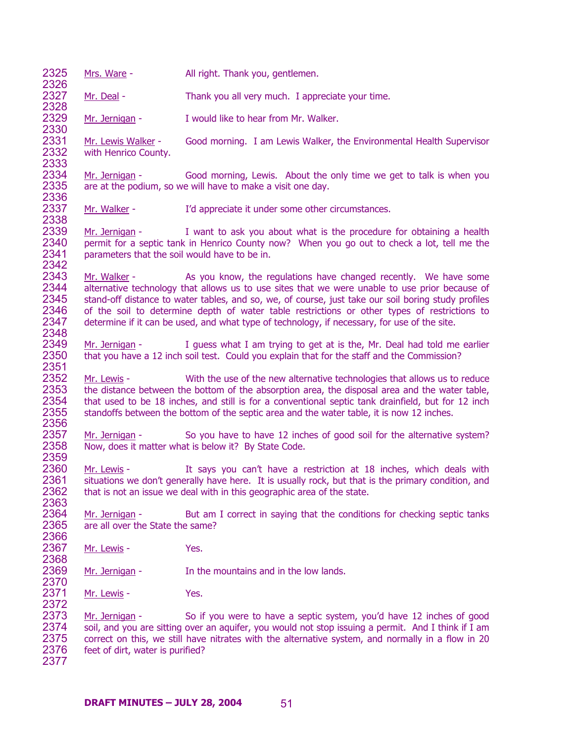| Mrs. Ware -                                        | All right. Thank you, gentlemen.                                                                                                                                                                                                                                                                                                                                                                                                                                                           |
|----------------------------------------------------|--------------------------------------------------------------------------------------------------------------------------------------------------------------------------------------------------------------------------------------------------------------------------------------------------------------------------------------------------------------------------------------------------------------------------------------------------------------------------------------------|
| Mr. Deal -                                         | Thank you all very much. I appreciate your time.                                                                                                                                                                                                                                                                                                                                                                                                                                           |
| Mr. Jernigan -                                     | I would like to hear from Mr. Walker.                                                                                                                                                                                                                                                                                                                                                                                                                                                      |
| Mr. Lewis Walker -<br>with Henrico County.         | Good morning. I am Lewis Walker, the Environmental Health Supervisor                                                                                                                                                                                                                                                                                                                                                                                                                       |
| Mr. Jernigan -                                     | Good morning, Lewis. About the only time we get to talk is when you<br>are at the podium, so we will have to make a visit one day.                                                                                                                                                                                                                                                                                                                                                         |
| Mr. Walker -                                       | I'd appreciate it under some other circumstances.                                                                                                                                                                                                                                                                                                                                                                                                                                          |
| parameters that the soil would have to be in.      | $Mr. Jernigan - I want to ask you about what is the procedure for obtaining a health$<br>permit for a septic tank in Henrico County now? When you go out to check a lot, tell me the                                                                                                                                                                                                                                                                                                       |
|                                                    | Mr. Walker - The As you know, the regulations have changed recently. We have some<br>alternative technology that allows us to use sites that we were unable to use prior because of<br>stand-off distance to water tables, and so, we, of course, just take our soil boring study profiles<br>of the soil to determine depth of water table restrictions or other types of restrictions to<br>determine if it can be used, and what type of technology, if necessary, for use of the site. |
| Mr. Jernigan -                                     | I guess what I am trying to get at is the, Mr. Deal had told me earlier<br>that you have a 12 inch soil test. Could you explain that for the staff and the Commission?                                                                                                                                                                                                                                                                                                                     |
| Mr. Lewis -                                        | With the use of the new alternative technologies that allows us to reduce<br>the distance between the bottom of the absorption area, the disposal area and the water table,<br>that used to be 18 inches, and still is for a conventional septic tank drainfield, but for 12 inch<br>standoffs between the bottom of the septic area and the water table, it is now 12 inches.                                                                                                             |
| Mr. Jernigan -                                     | So you have to have 12 inches of good soil for the alternative system?<br>Now, does it matter what is below it? By State Code.                                                                                                                                                                                                                                                                                                                                                             |
| Mr. Lewis -                                        | It says you can't have a restriction at 18 inches, which deals with<br>situations we don't generally have here. It is usually rock, but that is the primary condition, and<br>that is not an issue we deal with in this geographic area of the state.                                                                                                                                                                                                                                      |
| Mr. Jernigan -<br>are all over the State the same? | But am I correct in saying that the conditions for checking septic tanks                                                                                                                                                                                                                                                                                                                                                                                                                   |
| Mr. Lewis -                                        | Yes.                                                                                                                                                                                                                                                                                                                                                                                                                                                                                       |
| Mr. Jernigan -                                     | In the mountains and in the low lands.                                                                                                                                                                                                                                                                                                                                                                                                                                                     |
| Mr. Lewis -                                        | Yes.                                                                                                                                                                                                                                                                                                                                                                                                                                                                                       |
| Mr. Jernigan -                                     | So if you were to have a septic system, you'd have 12 inches of good<br>soil, and you are sitting over an aquifer, you would not stop issuing a permit. And I think if I am<br>correct on this, we still have nitrates with the alternative system, and normally in a flow in 20<br>feet of dirt, water is purified?                                                                                                                                                                       |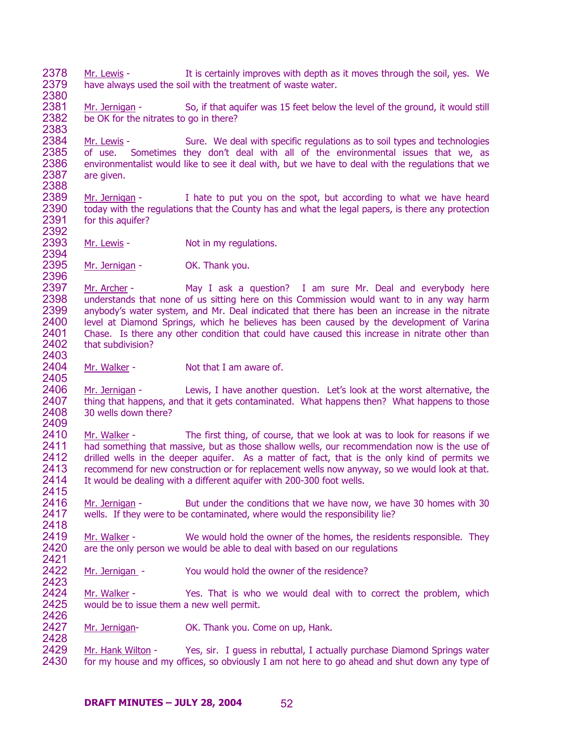2378 2379 2380 Mr. Lewis - It is certainly improves with depth as it moves through the soil, yes. We have always used the soil with the treatment of waste water.

2381 2382 2383 Mr. Jernigan - So, if that aquifer was 15 feet below the level of the ground, it would still be OK for the nitrates to go in there?

2384 2385 2386 2387 2388 Mr. Lewis - Sure. We deal with specific regulations as to soil types and technologies of use. Sometimes they don't deal with all of the environmental issues that we, as environmentalist would like to see it deal with, but we have to deal with the regulations that we are given.

2389 2390 2391 2392 Mr. Jernigan - I hate to put you on the spot, but according to what we have heard today with the regulations that the County has and what the legal papers, is there any protection for this aquifer?

2393 2394 Mr. Lewis - Not in my regulations.

2395 2396 Mr. Jernigan - **OK. Thank you.** 

2397 2398 2399 2400 2401 2402 2403 Mr. Archer - May I ask a question? I am sure Mr. Deal and everybody here understands that none of us sitting here on this Commission would want to in any way harm anybody's water system, and Mr. Deal indicated that there has been an increase in the nitrate level at Diamond Springs, which he believes has been caused by the development of Varina Chase. Is there any other condition that could have caused this increase in nitrate other than that subdivision?

2404 2405 Mr. Walker - Not that I am aware of.

2406 2407 2408 2409 Mr. Jernigan - Lewis, I have another question. Let's look at the worst alternative, the thing that happens, and that it gets contaminated. What happens then? What happens to those 30 wells down there?

2410 2411 2412 2413 2414 2415 Mr. Walker - The first thing, of course, that we look at was to look for reasons if we had something that massive, but as those shallow wells, our recommendation now is the use of drilled wells in the deeper aquifer. As a matter of fact, that is the only kind of permits we recommend for new construction or for replacement wells now anyway, so we would look at that. It would be dealing with a different aquifer with 200-300 foot wells.

2416 2417 2418 Mr. Jernigan - But under the conditions that we have now, we have 30 homes with 30 wells. If they were to be contaminated, where would the responsibility lie?

2419 2420 2421 Mr. Walker - We would hold the owner of the homes, the residents responsible. They are the only person we would be able to deal with based on our regulations

2422 2423 Mr. Jernigan - You would hold the owner of the residence?

2424 2425 2426 Mr. Walker - Yes. That is who we would deal with to correct the problem, which would be to issue them a new well permit.

2427 Mr. Jernigan- OK. Thank you. Come on up, Hank.

2428

Mr. Hank Wilton - Yes, sir. I guess in rebuttal, I actually purchase Diamond Springs water for my house and my offices, so obviously I am not here to go ahead and shut down any type of 2429 2430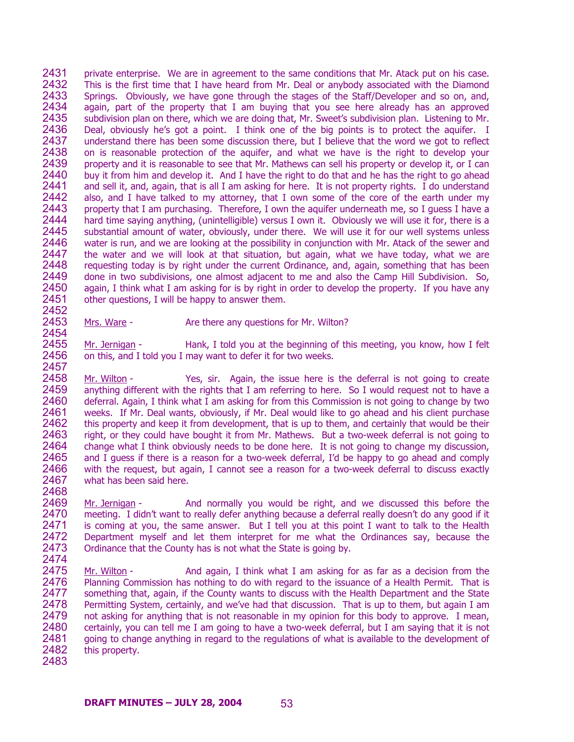2431 2432 2433 2434 2435 2436 2437 2438 2439 2440 2441 2442 2443 2444 2445 2446 2447 2448 2449 2450 2451 2452 private enterprise. We are in agreement to the same conditions that Mr. Atack put on his case. This is the first time that I have heard from Mr. Deal or anybody associated with the Diamond Springs. Obviously, we have gone through the stages of the Staff/Developer and so on, and, again, part of the property that I am buying that you see here already has an approved subdivision plan on there, which we are doing that, Mr. Sweet's subdivision plan. Listening to Mr. Deal, obviously he's got a point. I think one of the big points is to protect the aquifer. I understand there has been some discussion there, but I believe that the word we got to reflect on is reasonable protection of the aquifer, and what we have is the right to develop your property and it is reasonable to see that Mr. Mathews can sell his property or develop it, or I can buy it from him and develop it. And I have the right to do that and he has the right to go ahead and sell it, and, again, that is all I am asking for here. It is not property rights. I do understand also, and I have talked to my attorney, that I own some of the core of the earth under my property that I am purchasing. Therefore, I own the aquifer underneath me, so I guess I have a hard time saying anything, (unintelligible) versus I own it. Obviously we will use it for, there is a substantial amount of water, obviously, under there. We will use it for our well systems unless water is run, and we are looking at the possibility in conjunction with Mr. Atack of the sewer and the water and we will look at that situation, but again, what we have today, what we are requesting today is by right under the current Ordinance, and, again, something that has been done in two subdivisions, one almost adjacent to me and also the Camp Hill Subdivision. So, again, I think what I am asking for is by right in order to develop the property. If you have any other questions, I will be happy to answer them.

2453 2454 Mrs. Ware - There any questions for Mr. Wilton?

2455 2456 2457 Mr. Jernigan - Hank, I told you at the beginning of this meeting, you know, how I felt on this, and I told you I may want to defer it for two weeks.

2458 2459 2460 2461 2462 2463 2464 2465 2466 2467 Mr. Wilton - Yes, sir. Again, the issue here is the deferral is not going to create anything different with the rights that I am referring to here. So I would request not to have a deferral. Again, I think what I am asking for from this Commission is not going to change by two weeks. If Mr. Deal wants, obviously, if Mr. Deal would like to go ahead and his client purchase this property and keep it from development, that is up to them, and certainly that would be their right, or they could have bought it from Mr. Mathews. But a two-week deferral is not going to change what I think obviously needs to be done here. It is not going to change my discussion, and I guess if there is a reason for a two-week deferral, I'd be happy to go ahead and comply with the request, but again, I cannot see a reason for a two-week deferral to discuss exactly what has been said here.

2469 2470 2471 2472 2473 2474 Mr. Jernigan - And normally you would be right, and we discussed this before the meeting. I didn't want to really defer anything because a deferral really doesn't do any good if it is coming at you, the same answer. But I tell you at this point I want to talk to the Health Department myself and let them interpret for me what the Ordinances say, because the Ordinance that the County has is not what the State is going by.

2475 2476 2477 2478 2479 2480 2481 2482 2483 Mr. Wilton - And again, I think what I am asking for as far as a decision from the Planning Commission has nothing to do with regard to the issuance of a Health Permit. That is something that, again, if the County wants to discuss with the Health Department and the State Permitting System, certainly, and we've had that discussion. That is up to them, but again I am not asking for anything that is not reasonable in my opinion for this body to approve. I mean, certainly, you can tell me I am going to have a two-week deferral, but I am saying that it is not going to change anything in regard to the regulations of what is available to the development of this property.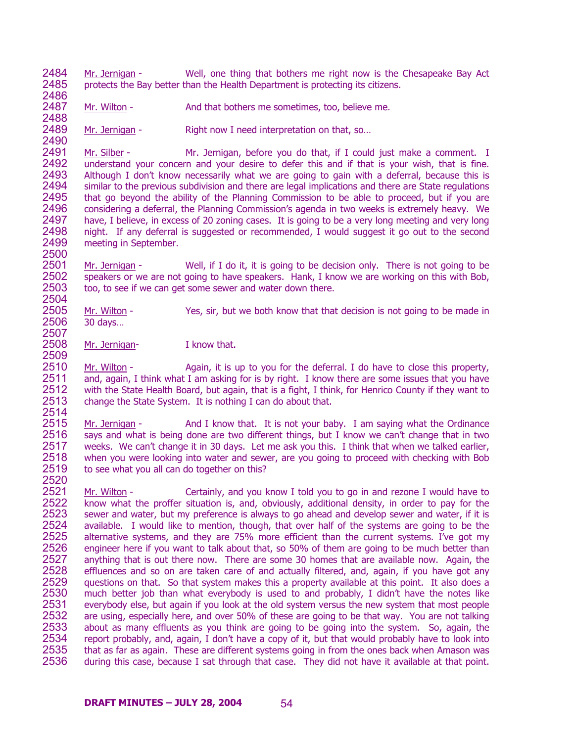2484 2485 2486 Mr. Jernigan - Well, one thing that bothers me right now is the Chesapeake Bay Act protects the Bay better than the Health Department is protecting its citizens.

2487 2488 Mr. Wilton - And that bothers me sometimes, too, believe me.

2489 2490 Mr. Jernigan - Right now I need interpretation on that, so...

2491 2492 2493 2494 2495 2496 2497 2498 2499 2500 Mr. Silber - Mr. Jernigan, before you do that, if I could just make a comment. I understand your concern and your desire to defer this and if that is your wish, that is fine. Although I don't know necessarily what we are going to gain with a deferral, because this is similar to the previous subdivision and there are legal implications and there are State regulations that go beyond the ability of the Planning Commission to be able to proceed, but if you are considering a deferral, the Planning Commission's agenda in two weeks is extremely heavy. We have, I believe, in excess of 20 zoning cases. It is going to be a very long meeting and very long night. If any deferral is suggested or recommended, I would suggest it go out to the second meeting in September.

2501 2502 2503 2504 Mr. Jernigan - Well, if I do it, it is going to be decision only. There is not going to be speakers or we are not going to have speakers. Hank, I know we are working on this with Bob, too, to see if we can get some sewer and water down there.

2505 2506 2507 Mr. Wilton - Yes, sir, but we both know that that decision is not going to be made in 30 days…

2508 2509 Mr. Jernigan-<br>I know that.

2510 2511 2512 2513 2514 Mr. Wilton - Again, it is up to you for the deferral. I do have to close this property, and, again, I think what I am asking for is by right. I know there are some issues that you have with the State Health Board, but again, that is a fight, I think, for Henrico County if they want to change the State System. It is nothing I can do about that.

2515 2516 2517 2518 2519 2520 Mr. Jernigan - And I know that. It is not your baby. I am saying what the Ordinance says and what is being done are two different things, but I know we can't change that in two weeks. We can't change it in 30 days. Let me ask you this. I think that when we talked earlier, when you were looking into water and sewer, are you going to proceed with checking with Bob to see what you all can do together on this?

Mr. Wilton - Certainly, and you know I told you to go in and rezone I would have to know what the proffer situation is, and, obviously, additional density, in order to pay for the sewer and water, but my preference is always to go ahead and develop sewer and water, if it is available. I would like to mention, though, that over half of the systems are going to be the alternative systems, and they are 75% more efficient than the current systems. I've got my engineer here if you want to talk about that, so 50% of them are going to be much better than anything that is out there now. There are some 30 homes that are available now. Again, the effluences and so on are taken care of and actually filtered, and, again, if you have got any questions on that. So that system makes this a property available at this point. It also does a much better job than what everybody is used to and probably, I didn't have the notes like everybody else, but again if you look at the old system versus the new system that most people are using, especially here, and over 50% of these are going to be that way. You are not talking about as many effluents as you think are going to be going into the system. So, again, the report probably, and, again, I don't have a copy of it, but that would probably have to look into that as far as again. These are different systems going in from the ones back when Amason was during this case, because I sat through that case. They did not have it available at that point. 2521 2522 2523 2524 2525 2526 2527 2528 2529 2530 2531 2532 2533 2534 2535 2536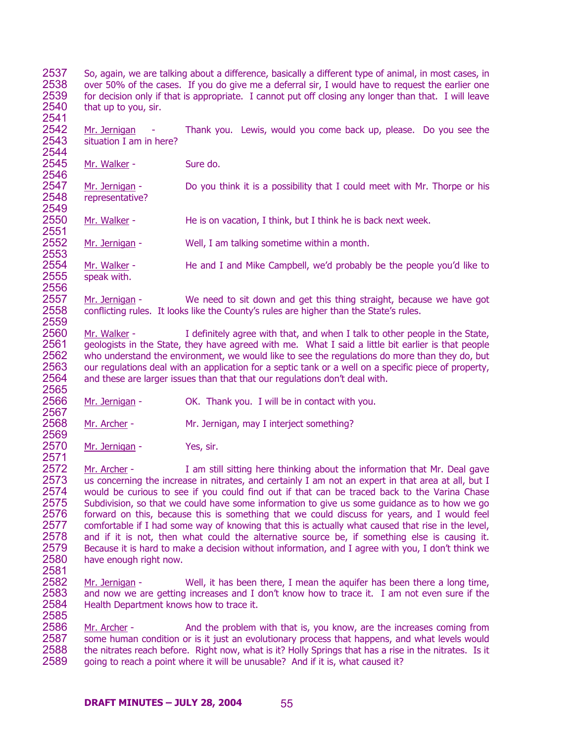2537 2538 2539 2540 2541 So, again, we are talking about a difference, basically a different type of animal, in most cases, in over 50% of the cases. If you do give me a deferral sir, I would have to request the earlier one for decision only if that is appropriate. I cannot put off closing any longer than that. I will leave that up to you, sir.

2542 2543 2544 Mr. Jernigan - Thank you. Lewis, would you come back up, please. Do you see the situation I am in here?

2545 2546 Mr. Walker - Sure do.

2556

2557 2558 2559

2569

2571

2581

2547 2548 2549 Mr. Jernigan - Do you think it is a possibility that I could meet with Mr. Thorpe or his representative?

2550 2551 Mr. Walker - He is on vacation, I think, but I think he is back next week.

2552 2553 Mr. Jernigan - Well, I am talking sometime within a month.

2554 2555 Mr. Walker - He and I and Mike Campbell, we'd probably be the people you'd like to speak with.

Mr. Jernigan - We need to sit down and get this thing straight, because we have got conflicting rules. It looks like the County's rules are higher than the State's rules.

2560 2561 2562 2563 2564 2565 Mr. Walker -  $\blacksquare$  I definitely agree with that, and when I talk to other people in the State, geologists in the State, they have agreed with me. What I said a little bit earlier is that people who understand the environment, we would like to see the regulations do more than they do, but our regulations deal with an application for a septic tank or a well on a specific piece of property, and these are larger issues than that that our regulations don't deal with.

2566 2567 Mr. Jernigan - OK. Thank you. I will be in contact with you.

2568 Mr. Archer - Mr. Jernigan, may I interject something?

2570 Mr. Jernigan - Yes, sir.

2572 2573 2574 2575 2576 2577 2578 2579 2580 Mr. Archer - I am still sitting here thinking about the information that Mr. Deal gave us concerning the increase in nitrates, and certainly I am not an expert in that area at all, but I would be curious to see if you could find out if that can be traced back to the Varina Chase Subdivision, so that we could have some information to give us some guidance as to how we go forward on this, because this is something that we could discuss for years, and I would feel comfortable if I had some way of knowing that this is actually what caused that rise in the level, and if it is not, then what could the alternative source be, if something else is causing it. Because it is hard to make a decision without information, and I agree with you, I don't think we have enough right now.

2582 2583 2584 2585 Mr. Jernigan - Well, it has been there, I mean the aquifer has been there a long time, and now we are getting increases and I don't know how to trace it. I am not even sure if the Health Department knows how to trace it.

Mr. Archer - And the problem with that is, you know, are the increases coming from some human condition or is it just an evolutionary process that happens, and what levels would the nitrates reach before. Right now, what is it? Holly Springs that has a rise in the nitrates. Is it going to reach a point where it will be unusable? And if it is, what caused it? 2586 2587 2588 2589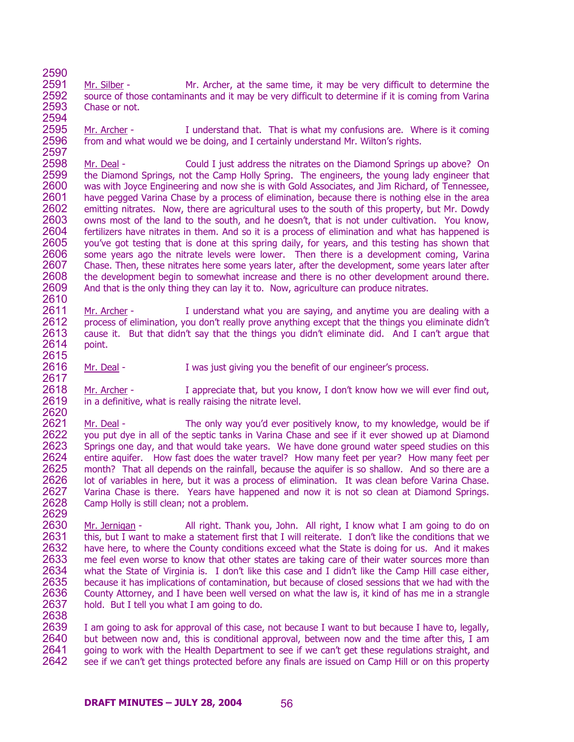2591 2592 2593 2594 Mr. Silber - Mr. Archer, at the same time, it may be very difficult to determine the source of those contaminants and it may be very difficult to determine if it is coming from Varina Chase or not.

2590

2595 2596 2597 Mr. Archer - I understand that. That is what my confusions are. Where is it coming from and what would we be doing, and I certainly understand Mr. Wilton's rights.

2598 2599 2600 2601 2602 2603 2604 2605 2606 2607 2608 2609 2610 Mr. Deal - Could I just address the nitrates on the Diamond Springs up above? On the Diamond Springs, not the Camp Holly Spring. The engineers, the young lady engineer that was with Joyce Engineering and now she is with Gold Associates, and Jim Richard, of Tennessee, have pegged Varina Chase by a process of elimination, because there is nothing else in the area emitting nitrates. Now, there are agricultural uses to the south of this property, but Mr. Dowdy owns most of the land to the south, and he doesn't, that is not under cultivation. You know, fertilizers have nitrates in them. And so it is a process of elimination and what has happened is you've got testing that is done at this spring daily, for years, and this testing has shown that some years ago the nitrate levels were lower. Then there is a development coming, Varina Chase. Then, these nitrates here some years later, after the development, some years later after the development begin to somewhat increase and there is no other development around there. And that is the only thing they can lay it to. Now, agriculture can produce nitrates.

2611 2612 2613 2614 2615 Mr. Archer - I understand what you are saying, and anytime you are dealing with a process of elimination, you don't really prove anything except that the things you eliminate didn't cause it. But that didn't say that the things you didn't eliminate did. And I can't argue that point.

2616 2617 Mr. Deal - I was just giving you the benefit of our engineer's process.

2618 2619 2620 Mr. Archer - I appreciate that, but you know, I don't know how we will ever find out, in a definitive, what is really raising the nitrate level.

2621 2622 2623 2624 2625 2626 2627 2628 2629 Mr. Deal - The only way you'd ever positively know, to my knowledge, would be if you put dye in all of the septic tanks in Varina Chase and see if it ever showed up at Diamond Springs one day, and that would take years. We have done ground water speed studies on this entire aquifer. How fast does the water travel? How many feet per year? How many feet per month? That all depends on the rainfall, because the aquifer is so shallow. And so there are a lot of variables in here, but it was a process of elimination. It was clean before Varina Chase. Varina Chase is there. Years have happened and now it is not so clean at Diamond Springs. Camp Holly is still clean; not a problem.

2630 2631 2632 2633 2634 2635 2636 2637 2638 Mr. Jernigan - All right. Thank you, John. All right, I know what I am going to do on this, but I want to make a statement first that I will reiterate. I don't like the conditions that we have here, to where the County conditions exceed what the State is doing for us. And it makes me feel even worse to know that other states are taking care of their water sources more than what the State of Virginia is. I don't like this case and I didn't like the Camp Hill case either, because it has implications of contamination, but because of closed sessions that we had with the County Attorney, and I have been well versed on what the law is, it kind of has me in a strangle hold. But I tell you what I am going to do.

2639 2640 2641 2642 I am going to ask for approval of this case, not because I want to but because I have to, legally, but between now and, this is conditional approval, between now and the time after this, I am going to work with the Health Department to see if we can't get these regulations straight, and see if we can't get things protected before any finals are issued on Camp Hill or on this property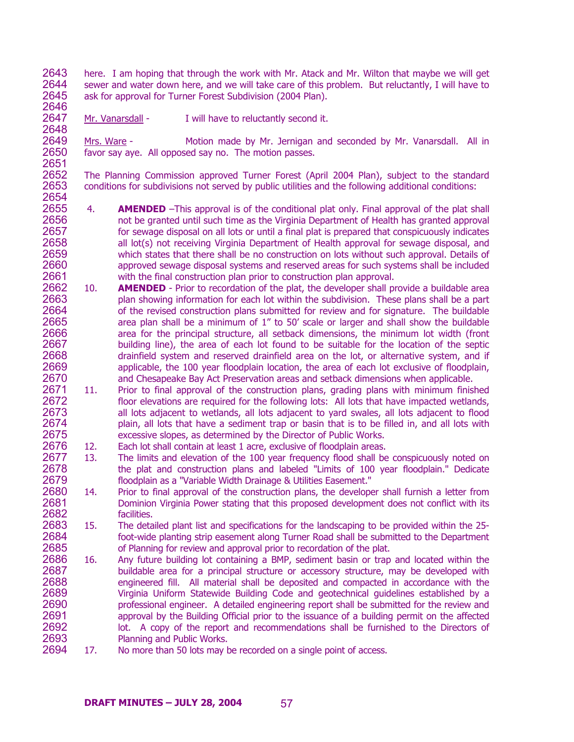2643 2644 2645 here. I am hoping that through the work with Mr. Atack and Mr. Wilton that maybe we will get sewer and water down here, and we will take care of this problem. But reluctantly, I will have to ask for approval for Turner Forest Subdivision (2004 Plan).

2646 2647 2648

Mr. Vanarsdall - I will have to reluctantly second it.

2649 2650 2651 Mrs. Ware - Motion made by Mr. Jernigan and seconded by Mr. Vanarsdall. All in favor say aye. All opposed say no. The motion passes.

2652 2653 2654 The Planning Commission approved Turner Forest (April 2004 Plan), subject to the standard conditions for subdivisions not served by public utilities and the following additional conditions:

- 2655 2656 2657 2658 2659 2660 2661 4. **AMENDED** –This approval is of the conditional plat only. Final approval of the plat shall not be granted until such time as the Virginia Department of Health has granted approval for sewage disposal on all lots or until a final plat is prepared that conspicuously indicates all lot(s) not receiving Virginia Department of Health approval for sewage disposal, and which states that there shall be no construction on lots without such approval. Details of approved sewage disposal systems and reserved areas for such systems shall be included with the final construction plan prior to construction plan approval.
- 2662 2663 2664 2665 2666 2667 2668 2669 2670 10. **AMENDED** - Prior to recordation of the plat, the developer shall provide a buildable area plan showing information for each lot within the subdivision. These plans shall be a part of the revised construction plans submitted for review and for signature. The buildable area plan shall be a minimum of 1" to 50' scale or larger and shall show the buildable area for the principal structure, all setback dimensions, the minimum lot width (front building line), the area of each lot found to be suitable for the location of the septic drainfield system and reserved drainfield area on the lot, or alternative system, and if applicable, the 100 year floodplain location, the area of each lot exclusive of floodplain, and Chesapeake Bay Act Preservation areas and setback dimensions when applicable.
- 2671 2672 2673 2674 2675 11. Prior to final approval of the construction plans, grading plans with minimum finished floor elevations are required for the following lots: All lots that have impacted wetlands, all lots adjacent to wetlands, all lots adjacent to yard swales, all lots adjacent to flood plain, all lots that have a sediment trap or basin that is to be filled in, and all lots with excessive slopes, as determined by the Director of Public Works.
- 2676 12. Each lot shall contain at least 1 acre, exclusive of floodplain areas.
- 2677 2678 2679 13. The limits and elevation of the 100 year frequency flood shall be conspicuously noted on the plat and construction plans and labeled "Limits of 100 year floodplain." Dedicate floodplain as a "Variable Width Drainage & Utilities Easement."
- 2680 2681 2682 14. Prior to final approval of the construction plans, the developer shall furnish a letter from Dominion Virginia Power stating that this proposed development does not conflict with its facilities.
- 2683 2684 2685 15. The detailed plant list and specifications for the landscaping to be provided within the 25 foot-wide planting strip easement along Turner Road shall be submitted to the Department of Planning for review and approval prior to recordation of the plat.
- 2686 2687 2688 2689 2690 2691 2692 2693 16. Any future building lot containing a BMP, sediment basin or trap and located within the buildable area for a principal structure or accessory structure, may be developed with engineered fill. All material shall be deposited and compacted in accordance with the Virginia Uniform Statewide Building Code and geotechnical guidelines established by a professional engineer. A detailed engineering report shall be submitted for the review and approval by the Building Official prior to the issuance of a building permit on the affected lot. A copy of the report and recommendations shall be furnished to the Directors of Planning and Public Works.
- 2694 17. No more than 50 lots may be recorded on a single point of access.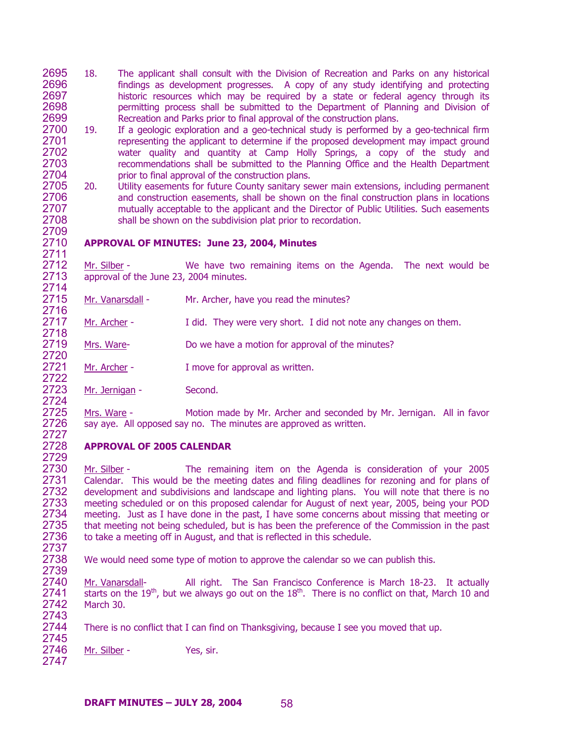- 2695 2696 2697 2698 2699 18. The applicant shall consult with the Division of Recreation and Parks on any historical findings as development progresses. A copy of any study identifying and protecting historic resources which may be required by a state or federal agency through its permitting process shall be submitted to the Department of Planning and Division of Recreation and Parks prior to final approval of the construction plans.
- 2700 2701 2702 2703 2704 19. If a geologic exploration and a geo-technical study is performed by a geo-technical firm representing the applicant to determine if the proposed development may impact ground water quality and quantity at Camp Holly Springs, a copy of the study and recommendations shall be submitted to the Planning Office and the Health Department prior to final approval of the construction plans.
- 2705 2706 2707 2708 2709 20. Utility easements for future County sanitary sewer main extensions, including permanent and construction easements, shall be shown on the final construction plans in locations mutually acceptable to the applicant and the Director of Public Utilities. Such easements shall be shown on the subdivision plat prior to recordation.

# **APPROVAL OF MINUTES: June 23, 2004, Minutes**

2712 2713 Mr. Silber - We have two remaining items on the Agenda. The next would be approval of the June 23, 2004 minutes.

2715 2716 Mr. Vanarsdall - Mr. Archer, have you read the minutes?

2717 Mr. Archer - I did. They were very short. I did not note any changes on them.

2719 2720 Mrs. Ware- **Do we have a motion for approval of the minutes?** 

2721 2722 Mr. Archer - I move for approval as written.

Mr. Jernigan - Second.

2710 2711

2714

2718

2723 2724

2725 2726 2727

2729

2739

Mrs. Ware - Motion made by Mr. Archer and seconded by Mr. Jernigan. All in favor say aye. All opposed say no. The minutes are approved as written.

### 2728 **APPROVAL OF 2005 CALENDAR**

2730 2731 2732 2733 2734 2735 2736 2737 Mr. Silber - The remaining item on the Agenda is consideration of your 2005 Calendar. This would be the meeting dates and filing deadlines for rezoning and for plans of development and subdivisions and landscape and lighting plans. You will note that there is no meeting scheduled or on this proposed calendar for August of next year, 2005, being your POD meeting. Just as I have done in the past, I have some concerns about missing that meeting or that meeting not being scheduled, but is has been the preference of the Commission in the past to take a meeting off in August, and that is reflected in this schedule.

2738 We would need some type of motion to approve the calendar so we can publish this.

Mr. Vanarsdall- All right. The San Francisco Conference is March 18-23. It actually starts on the 19<sup>th</sup>, but we always go out on the  $18^{th}$ . There is no conflict on that, March 10 and 2740 2741 2742 2743 March 30.

2744 2745 There is no conflict that I can find on Thanksgiving, because I see you moved that up.

2746 2747 Mr. Silber - Yes, sir.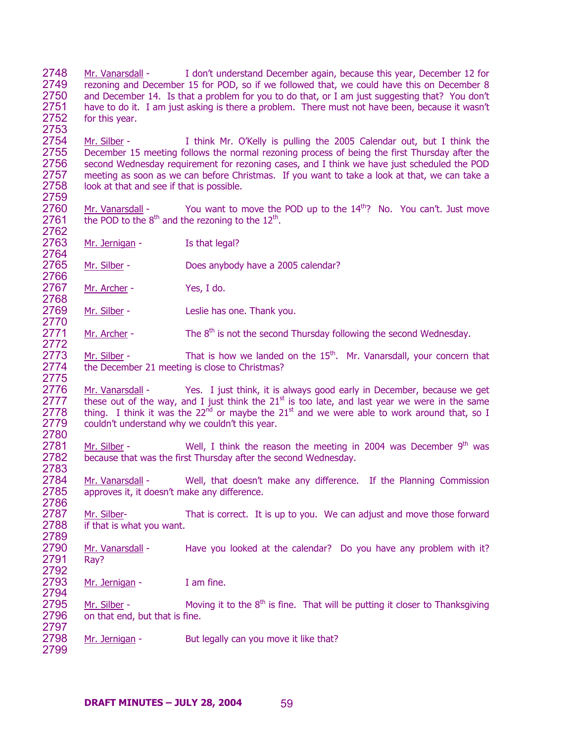2748 2749 2750 2751 2752 2753 Mr. Vanarsdall - I don't understand December again, because this year, December 12 for rezoning and December 15 for POD, so if we followed that, we could have this on December 8 and December 14. Is that a problem for you to do that, or I am just suggesting that? You don't have to do it. I am just asking is there a problem. There must not have been, because it wasn't for this year.

2754 2755 2756 2757 2758 2759 Mr. Silber - I think Mr. O'Kelly is pulling the 2005 Calendar out, but I think the December 15 meeting follows the normal rezoning process of being the first Thursday after the second Wednesday requirement for rezoning cases, and I think we have just scheduled the POD meeting as soon as we can before Christmas. If you want to take a look at that, we can take a look at that and see if that is possible.

Mr. Vanarsdall - You want to move the POD up to the  $14<sup>th</sup>$ ? No. You can't. Just move the POD to the  $8<sup>th</sup>$  and the rezoning to the  $12<sup>th</sup>$ . 2760 2761 2762

2763 2764 Mr. Jernigan - Is that legal?

2765 2766 Mr. Silber - Does anybody have a 2005 calendar?

2767 2768 Mr. Archer - Yes, I do.

2770

2772

2786

2769 Mr. Silber - Leslie has one. Thank you.

2771 Mr. Archer - The  $8<sup>th</sup>$  is not the second Thursday following the second Wednesday.

2773 2774 2775 Mr. Silber - That is how we landed on the  $15<sup>th</sup>$ . Mr. Vanarsdall, your concern that the December 21 meeting is close to Christmas?

Mr. Vanarsdall - Yes. I just think, it is always good early in December, because we get these out of the way, and I just think the  $21<sup>st</sup>$  is too late, and last year we were in the same 2776 2777 2778 2779 2780 thing. I think it was the  $22<sup>nd</sup>$  or maybe the  $21<sup>st</sup>$  and we were able to work around that, so I couldn't understand why we couldn't this year.

2781 2782 2783 Mr. Silber - Well, I think the reason the meeting in 2004 was December  $9<sup>th</sup>$  was because that was the first Thursday after the second Wednesday.

2784 2785 Mr. Vanarsdall - Well, that doesn't make any difference. If the Planning Commission approves it, it doesn't make any difference.

2787 2788 2789 Mr. Silber- That is correct. It is up to you. We can adjust and move those forward if that is what you want.

2790 2791 2792 Mr. Vanarsdall - Have you looked at the calendar? Do you have any problem with it? Ray?

2793 2794 Mr. Jernigan - I am fine.

2795 2796 2797 Mr. Silber - Moving it to the  $8<sup>th</sup>$  is fine. That will be putting it closer to Thanksgiving on that end, but that is fine.

2798 2799 Mr. Jernigan - But legally can you move it like that?